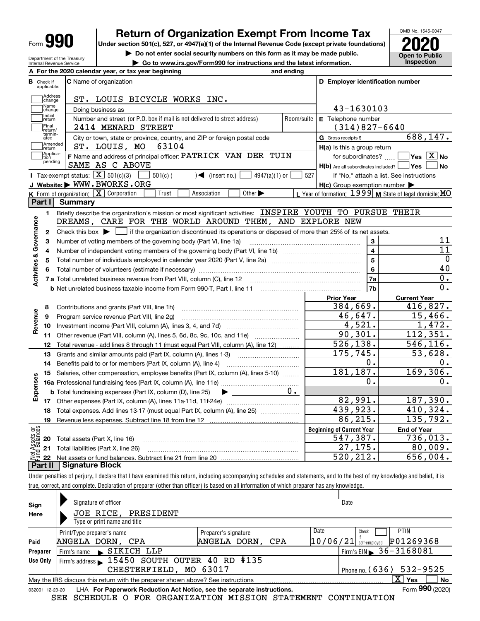| Form |  |
|------|--|
|------|--|

Check if applicable:**Address**<br>Change

**B**

# **Return of Organization Exempt From Income Tax**

**Under section 501(c), 527, or 4947(a)(1) of the Internal Revenue Code (except private foundations) 2020**

**| Do not enter social security numbers on this form as it may be made public. | Go to www.irs.gov/Form990 for instructions and the latest information. Inspection**

**Open to Public** 

**C D Employer identification number**

OMB No. 1545-0047

 $526, 138.$   $546, 116.$ 

| Department of the Treasury      |  |
|---------------------------------|--|
| <b>Internal Revenue Service</b> |  |

C Name of organization

|            | Name<br>]change                        | Doing business as                                                                                                                                                                                                             |                                         | 43-1630103                                                |                         |                                             |              |
|------------|----------------------------------------|-------------------------------------------------------------------------------------------------------------------------------------------------------------------------------------------------------------------------------|-----------------------------------------|-----------------------------------------------------------|-------------------------|---------------------------------------------|--------------|
|            | Initial<br>return<br>Final<br>return/  | Number and street (or P.O. box if mail is not delivered to street address)<br>Room/suite<br>2414 MENARD STREET                                                                                                                | E Telephone number<br>$(314)827 - 6640$ |                                                           |                         |                                             |              |
|            | termin-<br>ated<br> Amended<br>Ireturn | City or town, state or province, country, and ZIP or foreign postal code<br>63104<br>ST. LOUIS, MO                                                                                                                            |                                         | G Gross receipts \$<br>$H(a)$ is this a group return      |                         | 688,147.                                    |              |
|            | Applica-<br>]tion<br>pending           | F Name and address of principal officer: PATRICK VAN DER TUIN<br>SAME AS C ABOVE                                                                                                                                              |                                         | H(b) Are all subordinates included?   Yes   No            |                         | for subordinates? $\Box$ Yes $\boxed{X}$ No |              |
|            |                                        | Tax-exempt status: $\boxed{\textbf{X}}$ 501(c)(3)<br>$501(c)$ (<br>4947(a)(1) or<br>◀<br>(insert no.)                                                                                                                         | 527                                     |                                                           |                         | If "No," attach a list. See instructions    |              |
|            |                                        | J Website: WWW.BWORKS.ORG                                                                                                                                                                                                     |                                         | $H(c)$ Group exemption number $\blacktriangleright$       |                         |                                             |              |
|            |                                        | K Form of organization: X Corporation<br>Association<br>Other $\blacktriangleright$<br>Trust                                                                                                                                  |                                         | L Year of formation: $1999$ M State of legal domicile: MO |                         |                                             |              |
|            | Part I                                 | <b>Summary</b>                                                                                                                                                                                                                |                                         |                                                           |                         |                                             |              |
|            |                                        | Briefly describe the organization's mission or most significant activities: INSPIRE YOUTH TO PURSUE THEIR                                                                                                                     |                                         |                                                           |                         |                                             |              |
|            |                                        | DREAMS, CARE FOR THE WORLD AROUND THEM, AND EXPLORE NEW                                                                                                                                                                       |                                         |                                                           |                         |                                             |              |
| Governance |                                        | Check this box $\blacktriangleright$<br>if the organization discontinued its operations or disposed of more than 25% of its net assets.                                                                                       |                                         |                                                           |                         |                                             |              |
|            |                                        |                                                                                                                                                                                                                               |                                         |                                                           | 3                       |                                             | 11           |
|            |                                        |                                                                                                                                                                                                                               |                                         |                                                           | $\overline{\mathbf{4}}$ |                                             | 11           |
| ಹ          |                                        |                                                                                                                                                                                                                               |                                         |                                                           | 5                       |                                             | $\mathbf{0}$ |
|            |                                        | Total number of volunteers (estimate if necessary) manufacture content content content of the content of the content of the content of the content of the content of the content of the content of the content of the content |                                         |                                                           | 6                       |                                             | 40           |
| Activities |                                        |                                                                                                                                                                                                                               |                                         |                                                           | 7a                      |                                             | 0.           |
|            |                                        | <b>b</b> Net unrelated business taxable income from Form 990-T, Part I, line 11 <b>manual</b> content intervent content of                                                                                                    |                                         |                                                           | 7b                      |                                             | 0.           |
|            |                                        |                                                                                                                                                                                                                               |                                         | <b>Prior Year</b>                                         |                         | <b>Current Year</b>                         |              |
|            |                                        |                                                                                                                                                                                                                               |                                         | 384,669.                                                  |                         | 416,827.                                    |              |
|            | 9                                      | Program service revenue (Part VIII, line 2g)                                                                                                                                                                                  |                                         | 46,647.                                                   |                         | 15,466.                                     |              |
| Revenue    | 10                                     |                                                                                                                                                                                                                               |                                         | 4,521.                                                    |                         | 1,472.                                      |              |
|            | 11                                     | Other revenue (Part VIII, column (A), lines 5, 6d, 8c, 9c, 10c, and 11e)                                                                                                                                                      |                                         | 90, 301.                                                  |                         | 112,351.                                    |              |

**A For the 2020 calendar year, or tax year beginning and ending**

ST. LOUIS BICYCLE WORKS INC.

**12** Total revenue - add lines 8 through 11 (must equal Part VIII, column (A), line 12)  $\ldots$ ...

|      | 13                                                 | Grants and similar amounts paid (Part IX, column (A), lines 1-3)                  | 175,745.                         | 53,628.            |
|------|----------------------------------------------------|-----------------------------------------------------------------------------------|----------------------------------|--------------------|
|      | 14                                                 | Benefits paid to or for members (Part IX, column (A), line 4)                     |                                  |                    |
|      | 15                                                 | Salaries, other compensation, employee benefits (Part IX, column (A), lines 5-10) | 181,187.                         | 169,306.           |
| nses |                                                    | <b>16a</b> Professional fundraising fees (Part IX, column (A), line 11e)          | 0.                               |                    |
| ፪    |                                                    | υ.<br><b>b</b> Total fundraising expenses (Part IX, column (D), line 25)          |                                  |                    |
| 図    | 17                                                 | Other expenses (Part IX, column (A), lines 11a-11d, 11f-24e)                      | 82,991.                          | 187,390.           |
|      | 18                                                 | Total expenses. Add lines 13-17 (must equal Part IX, column (A), line 25)         | 439,923.                         | 410,324.           |
|      | 19                                                 | Revenue less expenses. Subtract line 18 from line 12                              | 86,215.                          | 135,792.           |
| គង្ឃ |                                                    |                                                                                   | <b>Beginning of Current Year</b> | <b>End of Year</b> |
|      |                                                    | Total assets (Part X, line 16)                                                    | 547,387.                         | 736,013.           |
|      | Net Assets<br>Lund Balanc<br><b>22 23</b><br>22 22 | Total liabilities (Part X, line 26)                                               | 27,175.                          | 80,009.            |
|      |                                                    |                                                                                   | 520,212.                         | 656,004.           |
|      | <b>Part II</b>                                     | <b>Signature Block</b>                                                            |                                  |                    |
|      |                                                    |                                                                                   |                                  |                    |

Under penalties of perjury, I declare that I have examined this return, including accompanying schedules and statements, and to the best of my knowledge and belief, it is true, correct, and complete. Declaration of preparer (other than officer) is based on all information of which preparer has any knowledge.

| Sign     | Signature of officer                                                                                                        |                      | Date                                     |  |  |  |  |  |  |  |
|----------|-----------------------------------------------------------------------------------------------------------------------------|----------------------|------------------------------------------|--|--|--|--|--|--|--|
| Here     | JOE RICE, PRESIDENT                                                                                                         |                      |                                          |  |  |  |  |  |  |  |
|          | Type or print name and title                                                                                                |                      |                                          |  |  |  |  |  |  |  |
|          | Print/Type preparer's name                                                                                                  | Preparer's signature | Date<br><b>PTIN</b><br>Check             |  |  |  |  |  |  |  |
| Paid     | ANGELA DORN, CPA                                                                                                            | ANGELA DORN, CPA     | P01269368<br> 10/06/21 <br>self-emploved |  |  |  |  |  |  |  |
| Preparer | Firm's name SIKICH LLP                                                                                                      |                      | Firm's EIN 36 - 3168081                  |  |  |  |  |  |  |  |
| Use Only | Firm's address 15450 SOUTH OUTER 40 RD #135                                                                                 |                      |                                          |  |  |  |  |  |  |  |
|          | Phone no. $(636)$ 532-9525<br>CHESTERFIELD, MO 63017                                                                        |                      |                                          |  |  |  |  |  |  |  |
|          | $\overline{\mathrm{X}}$ Yes<br><b>No</b><br>May the IRS discuss this return with the preparer shown above? See instructions |                      |                                          |  |  |  |  |  |  |  |
|          | Form 990 (2020)<br>LHA For Paperwork Reduction Act Notice, see the separate instructions.<br>032001 12-23-20                |                      |                                          |  |  |  |  |  |  |  |

SEE SCHEDULE O FOR ORGANIZATION MISSION STATEMENT CONTINUATION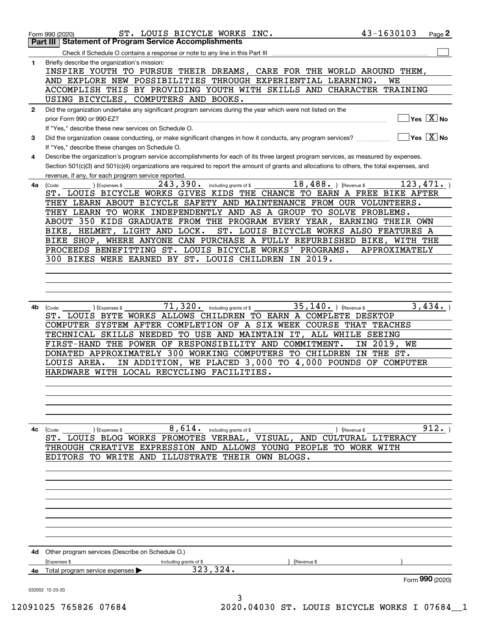|              | ST. LOUIS BICYCLE WORKS INC.<br>Form 990 (2020)                                                                                                                                                    | 43-1630103       | Page 2                  |
|--------------|----------------------------------------------------------------------------------------------------------------------------------------------------------------------------------------------------|------------------|-------------------------|
|              | <b>Part III   Statement of Program Service Accomplishments</b>                                                                                                                                     |                  |                         |
|              | Check if Schedule O contains a response or note to any line in this Part III musules contains an example of contains                                                                               |                  |                         |
| $\mathbf{1}$ | Briefly describe the organization's mission:<br>INSPIRE YOUTH TO PURSUE THEIR DREAMS, CARE FOR THE WORLD AROUND THEM,                                                                              |                  |                         |
|              | AND EXPLORE NEW POSSIBILITIES THROUGH EXPERIENTIAL LEARNING.                                                                                                                                       | WЕ               |                         |
|              | ACCOMPLISH THIS BY PROVIDING YOUTH WITH SKILLS AND CHARACTER TRAINING                                                                                                                              |                  |                         |
|              | USING BICYCLES, COMPUTERS AND BOOKS.                                                                                                                                                               |                  |                         |
| $\mathbf{2}$ | Did the organization undertake any significant program services during the year which were not listed on the<br>prior Form 990 or 990-EZ?                                                          |                  | $Yes \ \boxed{X}$ No    |
|              | If "Yes," describe these new services on Schedule O.                                                                                                                                               |                  |                         |
| 3            | Did the organization cease conducting, or make significant changes in how it conducts, any program services?<br>If "Yes," describe these changes on Schedule O.                                    |                  | $Yes \ \overline{X}$ No |
| 4            | Describe the organization's program service accomplishments for each of its three largest program services, as measured by expenses.                                                               |                  |                         |
|              | Section 501(c)(3) and 501(c)(4) organizations are required to report the amount of grants and allocations to others, the total expenses, and<br>revenue, if any, for each program service reported |                  |                         |
| 4a           | 18,488.<br>243,390.<br>including grants of \$<br>(Code:<br>(Expenses \$                                                                                                                            | (Revenue \$      | 123, 471.               |
|              | ST. LOUIS BICYCLE WORKS GIVES KIDS THE CHANCE TO EARN A FREE BIKE AFTER                                                                                                                            |                  |                         |
|              | THEY LEARN ABOUT BICYCLE SAFETY AND MAINTENANCE FROM OUR VOLUNTEERS.                                                                                                                               |                  |                         |
|              | THEY LEARN TO WORK INDEPENDENTLY AND AS A GROUP TO SOLVE PROBLEMS.                                                                                                                                 |                  |                         |
|              | ABOUT 350 KIDS GRADUATE FROM THE PROGRAM EVERY YEAR, EARNING THEIR OWN                                                                                                                             |                  |                         |
|              | ST. LOUIS BICYCLE WORKS ALSO FEATURES A<br>BIKE, HELMET, LIGHT AND LOCK.                                                                                                                           |                  |                         |
|              | BIKE SHOP, WHERE ANYONE CAN PURCHASE A FULLY REFURBISHED BIKE, WITH THE                                                                                                                            |                  |                         |
|              | PROCEEDS BENEFITTING ST. LOUIS BICYCLE WORKS' PROGRAMS.                                                                                                                                            | APPROXIMATELY    |                         |
|              | 300 BIKES WERE EARNED BY ST. LOUIS CHILDREN IN 2019.                                                                                                                                               |                  |                         |
|              |                                                                                                                                                                                                    |                  |                         |
|              |                                                                                                                                                                                                    |                  |                         |
|              |                                                                                                                                                                                                    |                  |                         |
|              |                                                                                                                                                                                                    |                  |                         |
| 4b           | $71,320$ $\cdot$ including grants of \$<br>35, 140. ) (Revenue \$<br>(Code:<br>(Expenses \$                                                                                                        |                  | 3,434.                  |
|              | ST. LOUIS BYTE WORKS ALLOWS CHILDREN TO EARN A COMPLETE DESKTOP                                                                                                                                    |                  |                         |
|              | COMPUTER SYSTEM AFTER COMPLETION OF A SIX WEEK COURSE THAT TEACHES                                                                                                                                 |                  |                         |
|              | TECHNICAL SKILLS NEEDED TO USE AND MAINTAIN IT, ALL WHILE SEEING                                                                                                                                   | 2019, WE         |                         |
|              | FIRST-HAND THE POWER OF RESPONSIBILITY AND COMMITMENT.<br>DONATED APPROXIMATELY 300 WORKING COMPUTERS TO CHILDREN                                                                                  | IN<br>IN THE ST. |                         |
|              | IN ADDITION, WE PLACED 3,000 TO 4,000 POUNDS OF COMPUTER<br>LOUIS AREA.                                                                                                                            |                  |                         |
|              | HARDWARE WITH LOCAL RECYCLING FACILITIES.                                                                                                                                                          |                  |                         |
|              |                                                                                                                                                                                                    |                  |                         |
|              |                                                                                                                                                                                                    |                  |                         |
|              |                                                                                                                                                                                                    |                  |                         |
|              |                                                                                                                                                                                                    |                  |                         |
|              |                                                                                                                                                                                                    |                  |                         |
| 4с           | $8,614$ . including grants of \$<br>) (Revenue \$<br>(Code:<br>) (Expenses \$                                                                                                                      |                  | 912.                    |
|              | ST. LOUIS BLOG WORKS PROMOTES VERBAL, VISUAL, AND CULTURAL LITERACY                                                                                                                                |                  |                         |
|              | THROUGH CREATIVE EXPRESSION AND ALLOWS YOUNG PEOPLE TO WORK WITH                                                                                                                                   |                  |                         |
|              | EDITORS TO WRITE AND ILLUSTRATE THEIR OWN BLOGS.                                                                                                                                                   |                  |                         |
|              |                                                                                                                                                                                                    |                  |                         |
|              |                                                                                                                                                                                                    |                  |                         |
|              |                                                                                                                                                                                                    |                  |                         |
|              |                                                                                                                                                                                                    |                  |                         |
|              |                                                                                                                                                                                                    |                  |                         |
|              |                                                                                                                                                                                                    |                  |                         |
|              |                                                                                                                                                                                                    |                  |                         |
|              |                                                                                                                                                                                                    |                  |                         |
| 4d           | Other program services (Describe on Schedule O.)                                                                                                                                                   |                  |                         |
|              | (Expenses \$<br>including grants of \$<br>(Revenue \$                                                                                                                                              |                  |                         |
| 4e           | 323, 324.<br>Total program service expenses                                                                                                                                                        |                  |                         |
|              |                                                                                                                                                                                                    |                  | Form 990 (2020)         |
|              | 032002 12-23-20<br>3                                                                                                                                                                               |                  |                         |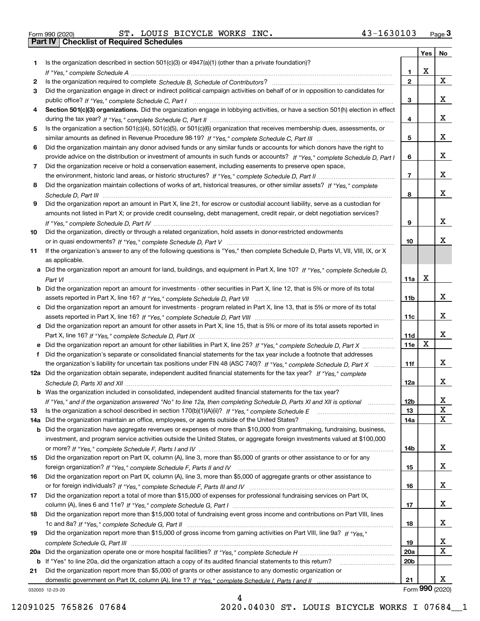| Form 990 (2020) |  |  |
|-----------------|--|--|

Form 990 (2020) ST. LOUIS BICYCLE WORKS INC. 43-1630103 <sub>Page</sub> 3<br>**Part IV | Checklist of Required Schedules** 

| Is the organization described in section $501(c)(3)$ or $4947(a)(1)$ (other than a private foundation)?<br>1.<br>X<br>1.<br>$\overline{2}$<br>X<br>2<br>Did the organization engage in direct or indirect political campaign activities on behalf of or in opposition to candidates for<br>3<br>x<br>3<br>Section 501(c)(3) organizations. Did the organization engage in lobbying activities, or have a section 501(h) election in effect<br>4<br>x<br>4<br>Is the organization a section 501(c)(4), 501(c)(5), or 501(c)(6) organization that receives membership dues, assessments, or<br>5<br>x<br>5<br>Did the organization maintain any donor advised funds or any similar funds or accounts for which donors have the right to<br>6<br>x<br>provide advice on the distribution or investment of amounts in such funds or accounts? If "Yes," complete Schedule D, Part I<br>6<br>Did the organization receive or hold a conservation easement, including easements to preserve open space,<br>7<br>x<br>$\overline{7}$<br>Did the organization maintain collections of works of art, historical treasures, or other similar assets? If "Yes," complete<br>8<br>x<br>8<br>Did the organization report an amount in Part X, line 21, for escrow or custodial account liability, serve as a custodian for<br>9<br>amounts not listed in Part X; or provide credit counseling, debt management, credit repair, or debt negotiation services?<br>x<br>9<br>Did the organization, directly or through a related organization, hold assets in donor-restricted endowments<br>10<br>x<br>10<br>If the organization's answer to any of the following questions is "Yes," then complete Schedule D, Parts VI, VIII, VIII, IX, or X<br>11<br>as applicable.<br>a Did the organization report an amount for land, buildings, and equipment in Part X, line 10? If "Yes," complete Schedule D,<br>X<br>11a<br>b Did the organization report an amount for investments - other securities in Part X, line 12, that is 5% or more of its total<br>x<br>11 <sub>b</sub><br>c Did the organization report an amount for investments - program related in Part X, line 13, that is 5% or more of its total<br>x<br>11c<br>d Did the organization report an amount for other assets in Part X, line 15, that is 5% or more of its total assets reported in<br>x<br>11d<br>$\mathbf X$<br>11e<br>e Did the organization report an amount for other liabilities in Part X, line 25? If "Yes," complete Schedule D, Part X<br>Did the organization's separate or consolidated financial statements for the tax year include a footnote that addresses<br>x<br>the organization's liability for uncertain tax positions under FIN 48 (ASC 740)? If "Yes," complete Schedule D, Part X<br>11f<br>12a Did the organization obtain separate, independent audited financial statements for the tax year? If "Yes," complete<br>x<br>12a<br>b Was the organization included in consolidated, independent audited financial statements for the tax year?<br>X<br>If "Yes," and if the organization answered "No" to line 12a, then completing Schedule D, Parts XI and XII is optional<br>12b<br>X<br>13<br>13<br>X<br>Did the organization maintain an office, employees, or agents outside of the United States?<br>14a<br>14a<br><b>b</b> Did the organization have aggregate revenues or expenses of more than \$10,000 from grantmaking, fundraising, business,<br>investment, and program service activities outside the United States, or aggregate foreign investments valued at \$100,000<br>x<br>14b<br>Did the organization report on Part IX, column (A), line 3, more than \$5,000 of grants or other assistance to or for any<br>15<br>x<br>15<br>Did the organization report on Part IX, column (A), line 3, more than \$5,000 of aggregate grants or other assistance to<br>16<br>x<br>16<br>Did the organization report a total of more than \$15,000 of expenses for professional fundraising services on Part IX,<br>17<br>x<br>17<br>Did the organization report more than \$15,000 total of fundraising event gross income and contributions on Part VIII, lines<br>18<br>x<br>18<br>Did the organization report more than \$15,000 of gross income from gaming activities on Part VIII, line 9a? If "Yes."<br>19<br>X,<br>19<br>X<br>20a<br>20 <sub>b</sub><br>b If "Yes" to line 20a, did the organization attach a copy of its audited financial statements to this return?<br>Did the organization report more than \$5,000 of grants or other assistance to any domestic organization or<br>21<br>x<br>21<br>Form 990 (2020)<br>032003 12-23-20 |  | Yes | No |
|-----------------------------------------------------------------------------------------------------------------------------------------------------------------------------------------------------------------------------------------------------------------------------------------------------------------------------------------------------------------------------------------------------------------------------------------------------------------------------------------------------------------------------------------------------------------------------------------------------------------------------------------------------------------------------------------------------------------------------------------------------------------------------------------------------------------------------------------------------------------------------------------------------------------------------------------------------------------------------------------------------------------------------------------------------------------------------------------------------------------------------------------------------------------------------------------------------------------------------------------------------------------------------------------------------------------------------------------------------------------------------------------------------------------------------------------------------------------------------------------------------------------------------------------------------------------------------------------------------------------------------------------------------------------------------------------------------------------------------------------------------------------------------------------------------------------------------------------------------------------------------------------------------------------------------------------------------------------------------------------------------------------------------------------------------------------------------------------------------------------------------------------------------------------------------------------------------------------------------------------------------------------------------------------------------------------------------------------------------------------------------------------------------------------------------------------------------------------------------------------------------------------------------------------------------------------------------------------------------------------------------------------------------------------------------------------------------------------------------------------------------------------------------------------------------------------------------------------------------------------------------------------------------------------------------------------------------------------------------------------------------------------------------------------------------------------------------------------------------------------------------------------------------------------------------------------------------------------------------------------------------------------------------------------------------------------------------------------------------------------------------------------------------------------------------------------------------------------------------------------------------------------------------------------------------------------------------------------------------------------------------------------------------------------------------------------------------------------------------------------------------------------------------------------------------------------------------------------------------------------------------------------------------------------------------------------------------------------------------------------------------------------------------------------------------------------------------------------------------------------------------------------------------------------------------------------------------------------------------------------------------------------------------------------------------------------------------------------------------------------------------------------------------------------------------------------------------------------------------------------------------------------------------------------------------------------------------------------------------------------------------------------------------|--|-----|----|
|                                                                                                                                                                                                                                                                                                                                                                                                                                                                                                                                                                                                                                                                                                                                                                                                                                                                                                                                                                                                                                                                                                                                                                                                                                                                                                                                                                                                                                                                                                                                                                                                                                                                                                                                                                                                                                                                                                                                                                                                                                                                                                                                                                                                                                                                                                                                                                                                                                                                                                                                                                                                                                                                                                                                                                                                                                                                                                                                                                                                                                                                                                                                                                                                                                                                                                                                                                                                                                                                                                                                                                                                                                                                                                                                                                                                                                                                                                                                                                                                                                                                                                                                                                                                                                                                                                                                                                                                                                                                                                                                                                                                                                                     |  |     |    |
|                                                                                                                                                                                                                                                                                                                                                                                                                                                                                                                                                                                                                                                                                                                                                                                                                                                                                                                                                                                                                                                                                                                                                                                                                                                                                                                                                                                                                                                                                                                                                                                                                                                                                                                                                                                                                                                                                                                                                                                                                                                                                                                                                                                                                                                                                                                                                                                                                                                                                                                                                                                                                                                                                                                                                                                                                                                                                                                                                                                                                                                                                                                                                                                                                                                                                                                                                                                                                                                                                                                                                                                                                                                                                                                                                                                                                                                                                                                                                                                                                                                                                                                                                                                                                                                                                                                                                                                                                                                                                                                                                                                                                                                     |  |     |    |
|                                                                                                                                                                                                                                                                                                                                                                                                                                                                                                                                                                                                                                                                                                                                                                                                                                                                                                                                                                                                                                                                                                                                                                                                                                                                                                                                                                                                                                                                                                                                                                                                                                                                                                                                                                                                                                                                                                                                                                                                                                                                                                                                                                                                                                                                                                                                                                                                                                                                                                                                                                                                                                                                                                                                                                                                                                                                                                                                                                                                                                                                                                                                                                                                                                                                                                                                                                                                                                                                                                                                                                                                                                                                                                                                                                                                                                                                                                                                                                                                                                                                                                                                                                                                                                                                                                                                                                                                                                                                                                                                                                                                                                                     |  |     |    |
|                                                                                                                                                                                                                                                                                                                                                                                                                                                                                                                                                                                                                                                                                                                                                                                                                                                                                                                                                                                                                                                                                                                                                                                                                                                                                                                                                                                                                                                                                                                                                                                                                                                                                                                                                                                                                                                                                                                                                                                                                                                                                                                                                                                                                                                                                                                                                                                                                                                                                                                                                                                                                                                                                                                                                                                                                                                                                                                                                                                                                                                                                                                                                                                                                                                                                                                                                                                                                                                                                                                                                                                                                                                                                                                                                                                                                                                                                                                                                                                                                                                                                                                                                                                                                                                                                                                                                                                                                                                                                                                                                                                                                                                     |  |     |    |
|                                                                                                                                                                                                                                                                                                                                                                                                                                                                                                                                                                                                                                                                                                                                                                                                                                                                                                                                                                                                                                                                                                                                                                                                                                                                                                                                                                                                                                                                                                                                                                                                                                                                                                                                                                                                                                                                                                                                                                                                                                                                                                                                                                                                                                                                                                                                                                                                                                                                                                                                                                                                                                                                                                                                                                                                                                                                                                                                                                                                                                                                                                                                                                                                                                                                                                                                                                                                                                                                                                                                                                                                                                                                                                                                                                                                                                                                                                                                                                                                                                                                                                                                                                                                                                                                                                                                                                                                                                                                                                                                                                                                                                                     |  |     |    |
|                                                                                                                                                                                                                                                                                                                                                                                                                                                                                                                                                                                                                                                                                                                                                                                                                                                                                                                                                                                                                                                                                                                                                                                                                                                                                                                                                                                                                                                                                                                                                                                                                                                                                                                                                                                                                                                                                                                                                                                                                                                                                                                                                                                                                                                                                                                                                                                                                                                                                                                                                                                                                                                                                                                                                                                                                                                                                                                                                                                                                                                                                                                                                                                                                                                                                                                                                                                                                                                                                                                                                                                                                                                                                                                                                                                                                                                                                                                                                                                                                                                                                                                                                                                                                                                                                                                                                                                                                                                                                                                                                                                                                                                     |  |     |    |
|                                                                                                                                                                                                                                                                                                                                                                                                                                                                                                                                                                                                                                                                                                                                                                                                                                                                                                                                                                                                                                                                                                                                                                                                                                                                                                                                                                                                                                                                                                                                                                                                                                                                                                                                                                                                                                                                                                                                                                                                                                                                                                                                                                                                                                                                                                                                                                                                                                                                                                                                                                                                                                                                                                                                                                                                                                                                                                                                                                                                                                                                                                                                                                                                                                                                                                                                                                                                                                                                                                                                                                                                                                                                                                                                                                                                                                                                                                                                                                                                                                                                                                                                                                                                                                                                                                                                                                                                                                                                                                                                                                                                                                                     |  |     |    |
|                                                                                                                                                                                                                                                                                                                                                                                                                                                                                                                                                                                                                                                                                                                                                                                                                                                                                                                                                                                                                                                                                                                                                                                                                                                                                                                                                                                                                                                                                                                                                                                                                                                                                                                                                                                                                                                                                                                                                                                                                                                                                                                                                                                                                                                                                                                                                                                                                                                                                                                                                                                                                                                                                                                                                                                                                                                                                                                                                                                                                                                                                                                                                                                                                                                                                                                                                                                                                                                                                                                                                                                                                                                                                                                                                                                                                                                                                                                                                                                                                                                                                                                                                                                                                                                                                                                                                                                                                                                                                                                                                                                                                                                     |  |     |    |
|                                                                                                                                                                                                                                                                                                                                                                                                                                                                                                                                                                                                                                                                                                                                                                                                                                                                                                                                                                                                                                                                                                                                                                                                                                                                                                                                                                                                                                                                                                                                                                                                                                                                                                                                                                                                                                                                                                                                                                                                                                                                                                                                                                                                                                                                                                                                                                                                                                                                                                                                                                                                                                                                                                                                                                                                                                                                                                                                                                                                                                                                                                                                                                                                                                                                                                                                                                                                                                                                                                                                                                                                                                                                                                                                                                                                                                                                                                                                                                                                                                                                                                                                                                                                                                                                                                                                                                                                                                                                                                                                                                                                                                                     |  |     |    |
|                                                                                                                                                                                                                                                                                                                                                                                                                                                                                                                                                                                                                                                                                                                                                                                                                                                                                                                                                                                                                                                                                                                                                                                                                                                                                                                                                                                                                                                                                                                                                                                                                                                                                                                                                                                                                                                                                                                                                                                                                                                                                                                                                                                                                                                                                                                                                                                                                                                                                                                                                                                                                                                                                                                                                                                                                                                                                                                                                                                                                                                                                                                                                                                                                                                                                                                                                                                                                                                                                                                                                                                                                                                                                                                                                                                                                                                                                                                                                                                                                                                                                                                                                                                                                                                                                                                                                                                                                                                                                                                                                                                                                                                     |  |     |    |
|                                                                                                                                                                                                                                                                                                                                                                                                                                                                                                                                                                                                                                                                                                                                                                                                                                                                                                                                                                                                                                                                                                                                                                                                                                                                                                                                                                                                                                                                                                                                                                                                                                                                                                                                                                                                                                                                                                                                                                                                                                                                                                                                                                                                                                                                                                                                                                                                                                                                                                                                                                                                                                                                                                                                                                                                                                                                                                                                                                                                                                                                                                                                                                                                                                                                                                                                                                                                                                                                                                                                                                                                                                                                                                                                                                                                                                                                                                                                                                                                                                                                                                                                                                                                                                                                                                                                                                                                                                                                                                                                                                                                                                                     |  |     |    |
|                                                                                                                                                                                                                                                                                                                                                                                                                                                                                                                                                                                                                                                                                                                                                                                                                                                                                                                                                                                                                                                                                                                                                                                                                                                                                                                                                                                                                                                                                                                                                                                                                                                                                                                                                                                                                                                                                                                                                                                                                                                                                                                                                                                                                                                                                                                                                                                                                                                                                                                                                                                                                                                                                                                                                                                                                                                                                                                                                                                                                                                                                                                                                                                                                                                                                                                                                                                                                                                                                                                                                                                                                                                                                                                                                                                                                                                                                                                                                                                                                                                                                                                                                                                                                                                                                                                                                                                                                                                                                                                                                                                                                                                     |  |     |    |
|                                                                                                                                                                                                                                                                                                                                                                                                                                                                                                                                                                                                                                                                                                                                                                                                                                                                                                                                                                                                                                                                                                                                                                                                                                                                                                                                                                                                                                                                                                                                                                                                                                                                                                                                                                                                                                                                                                                                                                                                                                                                                                                                                                                                                                                                                                                                                                                                                                                                                                                                                                                                                                                                                                                                                                                                                                                                                                                                                                                                                                                                                                                                                                                                                                                                                                                                                                                                                                                                                                                                                                                                                                                                                                                                                                                                                                                                                                                                                                                                                                                                                                                                                                                                                                                                                                                                                                                                                                                                                                                                                                                                                                                     |  |     |    |
|                                                                                                                                                                                                                                                                                                                                                                                                                                                                                                                                                                                                                                                                                                                                                                                                                                                                                                                                                                                                                                                                                                                                                                                                                                                                                                                                                                                                                                                                                                                                                                                                                                                                                                                                                                                                                                                                                                                                                                                                                                                                                                                                                                                                                                                                                                                                                                                                                                                                                                                                                                                                                                                                                                                                                                                                                                                                                                                                                                                                                                                                                                                                                                                                                                                                                                                                                                                                                                                                                                                                                                                                                                                                                                                                                                                                                                                                                                                                                                                                                                                                                                                                                                                                                                                                                                                                                                                                                                                                                                                                                                                                                                                     |  |     |    |
|                                                                                                                                                                                                                                                                                                                                                                                                                                                                                                                                                                                                                                                                                                                                                                                                                                                                                                                                                                                                                                                                                                                                                                                                                                                                                                                                                                                                                                                                                                                                                                                                                                                                                                                                                                                                                                                                                                                                                                                                                                                                                                                                                                                                                                                                                                                                                                                                                                                                                                                                                                                                                                                                                                                                                                                                                                                                                                                                                                                                                                                                                                                                                                                                                                                                                                                                                                                                                                                                                                                                                                                                                                                                                                                                                                                                                                                                                                                                                                                                                                                                                                                                                                                                                                                                                                                                                                                                                                                                                                                                                                                                                                                     |  |     |    |
|                                                                                                                                                                                                                                                                                                                                                                                                                                                                                                                                                                                                                                                                                                                                                                                                                                                                                                                                                                                                                                                                                                                                                                                                                                                                                                                                                                                                                                                                                                                                                                                                                                                                                                                                                                                                                                                                                                                                                                                                                                                                                                                                                                                                                                                                                                                                                                                                                                                                                                                                                                                                                                                                                                                                                                                                                                                                                                                                                                                                                                                                                                                                                                                                                                                                                                                                                                                                                                                                                                                                                                                                                                                                                                                                                                                                                                                                                                                                                                                                                                                                                                                                                                                                                                                                                                                                                                                                                                                                                                                                                                                                                                                     |  |     |    |
|                                                                                                                                                                                                                                                                                                                                                                                                                                                                                                                                                                                                                                                                                                                                                                                                                                                                                                                                                                                                                                                                                                                                                                                                                                                                                                                                                                                                                                                                                                                                                                                                                                                                                                                                                                                                                                                                                                                                                                                                                                                                                                                                                                                                                                                                                                                                                                                                                                                                                                                                                                                                                                                                                                                                                                                                                                                                                                                                                                                                                                                                                                                                                                                                                                                                                                                                                                                                                                                                                                                                                                                                                                                                                                                                                                                                                                                                                                                                                                                                                                                                                                                                                                                                                                                                                                                                                                                                                                                                                                                                                                                                                                                     |  |     |    |
|                                                                                                                                                                                                                                                                                                                                                                                                                                                                                                                                                                                                                                                                                                                                                                                                                                                                                                                                                                                                                                                                                                                                                                                                                                                                                                                                                                                                                                                                                                                                                                                                                                                                                                                                                                                                                                                                                                                                                                                                                                                                                                                                                                                                                                                                                                                                                                                                                                                                                                                                                                                                                                                                                                                                                                                                                                                                                                                                                                                                                                                                                                                                                                                                                                                                                                                                                                                                                                                                                                                                                                                                                                                                                                                                                                                                                                                                                                                                                                                                                                                                                                                                                                                                                                                                                                                                                                                                                                                                                                                                                                                                                                                     |  |     |    |
|                                                                                                                                                                                                                                                                                                                                                                                                                                                                                                                                                                                                                                                                                                                                                                                                                                                                                                                                                                                                                                                                                                                                                                                                                                                                                                                                                                                                                                                                                                                                                                                                                                                                                                                                                                                                                                                                                                                                                                                                                                                                                                                                                                                                                                                                                                                                                                                                                                                                                                                                                                                                                                                                                                                                                                                                                                                                                                                                                                                                                                                                                                                                                                                                                                                                                                                                                                                                                                                                                                                                                                                                                                                                                                                                                                                                                                                                                                                                                                                                                                                                                                                                                                                                                                                                                                                                                                                                                                                                                                                                                                                                                                                     |  |     |    |
|                                                                                                                                                                                                                                                                                                                                                                                                                                                                                                                                                                                                                                                                                                                                                                                                                                                                                                                                                                                                                                                                                                                                                                                                                                                                                                                                                                                                                                                                                                                                                                                                                                                                                                                                                                                                                                                                                                                                                                                                                                                                                                                                                                                                                                                                                                                                                                                                                                                                                                                                                                                                                                                                                                                                                                                                                                                                                                                                                                                                                                                                                                                                                                                                                                                                                                                                                                                                                                                                                                                                                                                                                                                                                                                                                                                                                                                                                                                                                                                                                                                                                                                                                                                                                                                                                                                                                                                                                                                                                                                                                                                                                                                     |  |     |    |
|                                                                                                                                                                                                                                                                                                                                                                                                                                                                                                                                                                                                                                                                                                                                                                                                                                                                                                                                                                                                                                                                                                                                                                                                                                                                                                                                                                                                                                                                                                                                                                                                                                                                                                                                                                                                                                                                                                                                                                                                                                                                                                                                                                                                                                                                                                                                                                                                                                                                                                                                                                                                                                                                                                                                                                                                                                                                                                                                                                                                                                                                                                                                                                                                                                                                                                                                                                                                                                                                                                                                                                                                                                                                                                                                                                                                                                                                                                                                                                                                                                                                                                                                                                                                                                                                                                                                                                                                                                                                                                                                                                                                                                                     |  |     |    |
|                                                                                                                                                                                                                                                                                                                                                                                                                                                                                                                                                                                                                                                                                                                                                                                                                                                                                                                                                                                                                                                                                                                                                                                                                                                                                                                                                                                                                                                                                                                                                                                                                                                                                                                                                                                                                                                                                                                                                                                                                                                                                                                                                                                                                                                                                                                                                                                                                                                                                                                                                                                                                                                                                                                                                                                                                                                                                                                                                                                                                                                                                                                                                                                                                                                                                                                                                                                                                                                                                                                                                                                                                                                                                                                                                                                                                                                                                                                                                                                                                                                                                                                                                                                                                                                                                                                                                                                                                                                                                                                                                                                                                                                     |  |     |    |
|                                                                                                                                                                                                                                                                                                                                                                                                                                                                                                                                                                                                                                                                                                                                                                                                                                                                                                                                                                                                                                                                                                                                                                                                                                                                                                                                                                                                                                                                                                                                                                                                                                                                                                                                                                                                                                                                                                                                                                                                                                                                                                                                                                                                                                                                                                                                                                                                                                                                                                                                                                                                                                                                                                                                                                                                                                                                                                                                                                                                                                                                                                                                                                                                                                                                                                                                                                                                                                                                                                                                                                                                                                                                                                                                                                                                                                                                                                                                                                                                                                                                                                                                                                                                                                                                                                                                                                                                                                                                                                                                                                                                                                                     |  |     |    |
|                                                                                                                                                                                                                                                                                                                                                                                                                                                                                                                                                                                                                                                                                                                                                                                                                                                                                                                                                                                                                                                                                                                                                                                                                                                                                                                                                                                                                                                                                                                                                                                                                                                                                                                                                                                                                                                                                                                                                                                                                                                                                                                                                                                                                                                                                                                                                                                                                                                                                                                                                                                                                                                                                                                                                                                                                                                                                                                                                                                                                                                                                                                                                                                                                                                                                                                                                                                                                                                                                                                                                                                                                                                                                                                                                                                                                                                                                                                                                                                                                                                                                                                                                                                                                                                                                                                                                                                                                                                                                                                                                                                                                                                     |  |     |    |
|                                                                                                                                                                                                                                                                                                                                                                                                                                                                                                                                                                                                                                                                                                                                                                                                                                                                                                                                                                                                                                                                                                                                                                                                                                                                                                                                                                                                                                                                                                                                                                                                                                                                                                                                                                                                                                                                                                                                                                                                                                                                                                                                                                                                                                                                                                                                                                                                                                                                                                                                                                                                                                                                                                                                                                                                                                                                                                                                                                                                                                                                                                                                                                                                                                                                                                                                                                                                                                                                                                                                                                                                                                                                                                                                                                                                                                                                                                                                                                                                                                                                                                                                                                                                                                                                                                                                                                                                                                                                                                                                                                                                                                                     |  |     |    |
|                                                                                                                                                                                                                                                                                                                                                                                                                                                                                                                                                                                                                                                                                                                                                                                                                                                                                                                                                                                                                                                                                                                                                                                                                                                                                                                                                                                                                                                                                                                                                                                                                                                                                                                                                                                                                                                                                                                                                                                                                                                                                                                                                                                                                                                                                                                                                                                                                                                                                                                                                                                                                                                                                                                                                                                                                                                                                                                                                                                                                                                                                                                                                                                                                                                                                                                                                                                                                                                                                                                                                                                                                                                                                                                                                                                                                                                                                                                                                                                                                                                                                                                                                                                                                                                                                                                                                                                                                                                                                                                                                                                                                                                     |  |     |    |
|                                                                                                                                                                                                                                                                                                                                                                                                                                                                                                                                                                                                                                                                                                                                                                                                                                                                                                                                                                                                                                                                                                                                                                                                                                                                                                                                                                                                                                                                                                                                                                                                                                                                                                                                                                                                                                                                                                                                                                                                                                                                                                                                                                                                                                                                                                                                                                                                                                                                                                                                                                                                                                                                                                                                                                                                                                                                                                                                                                                                                                                                                                                                                                                                                                                                                                                                                                                                                                                                                                                                                                                                                                                                                                                                                                                                                                                                                                                                                                                                                                                                                                                                                                                                                                                                                                                                                                                                                                                                                                                                                                                                                                                     |  |     |    |
|                                                                                                                                                                                                                                                                                                                                                                                                                                                                                                                                                                                                                                                                                                                                                                                                                                                                                                                                                                                                                                                                                                                                                                                                                                                                                                                                                                                                                                                                                                                                                                                                                                                                                                                                                                                                                                                                                                                                                                                                                                                                                                                                                                                                                                                                                                                                                                                                                                                                                                                                                                                                                                                                                                                                                                                                                                                                                                                                                                                                                                                                                                                                                                                                                                                                                                                                                                                                                                                                                                                                                                                                                                                                                                                                                                                                                                                                                                                                                                                                                                                                                                                                                                                                                                                                                                                                                                                                                                                                                                                                                                                                                                                     |  |     |    |
|                                                                                                                                                                                                                                                                                                                                                                                                                                                                                                                                                                                                                                                                                                                                                                                                                                                                                                                                                                                                                                                                                                                                                                                                                                                                                                                                                                                                                                                                                                                                                                                                                                                                                                                                                                                                                                                                                                                                                                                                                                                                                                                                                                                                                                                                                                                                                                                                                                                                                                                                                                                                                                                                                                                                                                                                                                                                                                                                                                                                                                                                                                                                                                                                                                                                                                                                                                                                                                                                                                                                                                                                                                                                                                                                                                                                                                                                                                                                                                                                                                                                                                                                                                                                                                                                                                                                                                                                                                                                                                                                                                                                                                                     |  |     |    |
|                                                                                                                                                                                                                                                                                                                                                                                                                                                                                                                                                                                                                                                                                                                                                                                                                                                                                                                                                                                                                                                                                                                                                                                                                                                                                                                                                                                                                                                                                                                                                                                                                                                                                                                                                                                                                                                                                                                                                                                                                                                                                                                                                                                                                                                                                                                                                                                                                                                                                                                                                                                                                                                                                                                                                                                                                                                                                                                                                                                                                                                                                                                                                                                                                                                                                                                                                                                                                                                                                                                                                                                                                                                                                                                                                                                                                                                                                                                                                                                                                                                                                                                                                                                                                                                                                                                                                                                                                                                                                                                                                                                                                                                     |  |     |    |
|                                                                                                                                                                                                                                                                                                                                                                                                                                                                                                                                                                                                                                                                                                                                                                                                                                                                                                                                                                                                                                                                                                                                                                                                                                                                                                                                                                                                                                                                                                                                                                                                                                                                                                                                                                                                                                                                                                                                                                                                                                                                                                                                                                                                                                                                                                                                                                                                                                                                                                                                                                                                                                                                                                                                                                                                                                                                                                                                                                                                                                                                                                                                                                                                                                                                                                                                                                                                                                                                                                                                                                                                                                                                                                                                                                                                                                                                                                                                                                                                                                                                                                                                                                                                                                                                                                                                                                                                                                                                                                                                                                                                                                                     |  |     |    |
|                                                                                                                                                                                                                                                                                                                                                                                                                                                                                                                                                                                                                                                                                                                                                                                                                                                                                                                                                                                                                                                                                                                                                                                                                                                                                                                                                                                                                                                                                                                                                                                                                                                                                                                                                                                                                                                                                                                                                                                                                                                                                                                                                                                                                                                                                                                                                                                                                                                                                                                                                                                                                                                                                                                                                                                                                                                                                                                                                                                                                                                                                                                                                                                                                                                                                                                                                                                                                                                                                                                                                                                                                                                                                                                                                                                                                                                                                                                                                                                                                                                                                                                                                                                                                                                                                                                                                                                                                                                                                                                                                                                                                                                     |  |     |    |
|                                                                                                                                                                                                                                                                                                                                                                                                                                                                                                                                                                                                                                                                                                                                                                                                                                                                                                                                                                                                                                                                                                                                                                                                                                                                                                                                                                                                                                                                                                                                                                                                                                                                                                                                                                                                                                                                                                                                                                                                                                                                                                                                                                                                                                                                                                                                                                                                                                                                                                                                                                                                                                                                                                                                                                                                                                                                                                                                                                                                                                                                                                                                                                                                                                                                                                                                                                                                                                                                                                                                                                                                                                                                                                                                                                                                                                                                                                                                                                                                                                                                                                                                                                                                                                                                                                                                                                                                                                                                                                                                                                                                                                                     |  |     |    |
|                                                                                                                                                                                                                                                                                                                                                                                                                                                                                                                                                                                                                                                                                                                                                                                                                                                                                                                                                                                                                                                                                                                                                                                                                                                                                                                                                                                                                                                                                                                                                                                                                                                                                                                                                                                                                                                                                                                                                                                                                                                                                                                                                                                                                                                                                                                                                                                                                                                                                                                                                                                                                                                                                                                                                                                                                                                                                                                                                                                                                                                                                                                                                                                                                                                                                                                                                                                                                                                                                                                                                                                                                                                                                                                                                                                                                                                                                                                                                                                                                                                                                                                                                                                                                                                                                                                                                                                                                                                                                                                                                                                                                                                     |  |     |    |
|                                                                                                                                                                                                                                                                                                                                                                                                                                                                                                                                                                                                                                                                                                                                                                                                                                                                                                                                                                                                                                                                                                                                                                                                                                                                                                                                                                                                                                                                                                                                                                                                                                                                                                                                                                                                                                                                                                                                                                                                                                                                                                                                                                                                                                                                                                                                                                                                                                                                                                                                                                                                                                                                                                                                                                                                                                                                                                                                                                                                                                                                                                                                                                                                                                                                                                                                                                                                                                                                                                                                                                                                                                                                                                                                                                                                                                                                                                                                                                                                                                                                                                                                                                                                                                                                                                                                                                                                                                                                                                                                                                                                                                                     |  |     |    |
|                                                                                                                                                                                                                                                                                                                                                                                                                                                                                                                                                                                                                                                                                                                                                                                                                                                                                                                                                                                                                                                                                                                                                                                                                                                                                                                                                                                                                                                                                                                                                                                                                                                                                                                                                                                                                                                                                                                                                                                                                                                                                                                                                                                                                                                                                                                                                                                                                                                                                                                                                                                                                                                                                                                                                                                                                                                                                                                                                                                                                                                                                                                                                                                                                                                                                                                                                                                                                                                                                                                                                                                                                                                                                                                                                                                                                                                                                                                                                                                                                                                                                                                                                                                                                                                                                                                                                                                                                                                                                                                                                                                                                                                     |  |     |    |
|                                                                                                                                                                                                                                                                                                                                                                                                                                                                                                                                                                                                                                                                                                                                                                                                                                                                                                                                                                                                                                                                                                                                                                                                                                                                                                                                                                                                                                                                                                                                                                                                                                                                                                                                                                                                                                                                                                                                                                                                                                                                                                                                                                                                                                                                                                                                                                                                                                                                                                                                                                                                                                                                                                                                                                                                                                                                                                                                                                                                                                                                                                                                                                                                                                                                                                                                                                                                                                                                                                                                                                                                                                                                                                                                                                                                                                                                                                                                                                                                                                                                                                                                                                                                                                                                                                                                                                                                                                                                                                                                                                                                                                                     |  |     |    |
|                                                                                                                                                                                                                                                                                                                                                                                                                                                                                                                                                                                                                                                                                                                                                                                                                                                                                                                                                                                                                                                                                                                                                                                                                                                                                                                                                                                                                                                                                                                                                                                                                                                                                                                                                                                                                                                                                                                                                                                                                                                                                                                                                                                                                                                                                                                                                                                                                                                                                                                                                                                                                                                                                                                                                                                                                                                                                                                                                                                                                                                                                                                                                                                                                                                                                                                                                                                                                                                                                                                                                                                                                                                                                                                                                                                                                                                                                                                                                                                                                                                                                                                                                                                                                                                                                                                                                                                                                                                                                                                                                                                                                                                     |  |     |    |
|                                                                                                                                                                                                                                                                                                                                                                                                                                                                                                                                                                                                                                                                                                                                                                                                                                                                                                                                                                                                                                                                                                                                                                                                                                                                                                                                                                                                                                                                                                                                                                                                                                                                                                                                                                                                                                                                                                                                                                                                                                                                                                                                                                                                                                                                                                                                                                                                                                                                                                                                                                                                                                                                                                                                                                                                                                                                                                                                                                                                                                                                                                                                                                                                                                                                                                                                                                                                                                                                                                                                                                                                                                                                                                                                                                                                                                                                                                                                                                                                                                                                                                                                                                                                                                                                                                                                                                                                                                                                                                                                                                                                                                                     |  |     |    |
|                                                                                                                                                                                                                                                                                                                                                                                                                                                                                                                                                                                                                                                                                                                                                                                                                                                                                                                                                                                                                                                                                                                                                                                                                                                                                                                                                                                                                                                                                                                                                                                                                                                                                                                                                                                                                                                                                                                                                                                                                                                                                                                                                                                                                                                                                                                                                                                                                                                                                                                                                                                                                                                                                                                                                                                                                                                                                                                                                                                                                                                                                                                                                                                                                                                                                                                                                                                                                                                                                                                                                                                                                                                                                                                                                                                                                                                                                                                                                                                                                                                                                                                                                                                                                                                                                                                                                                                                                                                                                                                                                                                                                                                     |  |     |    |
|                                                                                                                                                                                                                                                                                                                                                                                                                                                                                                                                                                                                                                                                                                                                                                                                                                                                                                                                                                                                                                                                                                                                                                                                                                                                                                                                                                                                                                                                                                                                                                                                                                                                                                                                                                                                                                                                                                                                                                                                                                                                                                                                                                                                                                                                                                                                                                                                                                                                                                                                                                                                                                                                                                                                                                                                                                                                                                                                                                                                                                                                                                                                                                                                                                                                                                                                                                                                                                                                                                                                                                                                                                                                                                                                                                                                                                                                                                                                                                                                                                                                                                                                                                                                                                                                                                                                                                                                                                                                                                                                                                                                                                                     |  |     |    |
|                                                                                                                                                                                                                                                                                                                                                                                                                                                                                                                                                                                                                                                                                                                                                                                                                                                                                                                                                                                                                                                                                                                                                                                                                                                                                                                                                                                                                                                                                                                                                                                                                                                                                                                                                                                                                                                                                                                                                                                                                                                                                                                                                                                                                                                                                                                                                                                                                                                                                                                                                                                                                                                                                                                                                                                                                                                                                                                                                                                                                                                                                                                                                                                                                                                                                                                                                                                                                                                                                                                                                                                                                                                                                                                                                                                                                                                                                                                                                                                                                                                                                                                                                                                                                                                                                                                                                                                                                                                                                                                                                                                                                                                     |  |     |    |
|                                                                                                                                                                                                                                                                                                                                                                                                                                                                                                                                                                                                                                                                                                                                                                                                                                                                                                                                                                                                                                                                                                                                                                                                                                                                                                                                                                                                                                                                                                                                                                                                                                                                                                                                                                                                                                                                                                                                                                                                                                                                                                                                                                                                                                                                                                                                                                                                                                                                                                                                                                                                                                                                                                                                                                                                                                                                                                                                                                                                                                                                                                                                                                                                                                                                                                                                                                                                                                                                                                                                                                                                                                                                                                                                                                                                                                                                                                                                                                                                                                                                                                                                                                                                                                                                                                                                                                                                                                                                                                                                                                                                                                                     |  |     |    |
|                                                                                                                                                                                                                                                                                                                                                                                                                                                                                                                                                                                                                                                                                                                                                                                                                                                                                                                                                                                                                                                                                                                                                                                                                                                                                                                                                                                                                                                                                                                                                                                                                                                                                                                                                                                                                                                                                                                                                                                                                                                                                                                                                                                                                                                                                                                                                                                                                                                                                                                                                                                                                                                                                                                                                                                                                                                                                                                                                                                                                                                                                                                                                                                                                                                                                                                                                                                                                                                                                                                                                                                                                                                                                                                                                                                                                                                                                                                                                                                                                                                                                                                                                                                                                                                                                                                                                                                                                                                                                                                                                                                                                                                     |  |     |    |
|                                                                                                                                                                                                                                                                                                                                                                                                                                                                                                                                                                                                                                                                                                                                                                                                                                                                                                                                                                                                                                                                                                                                                                                                                                                                                                                                                                                                                                                                                                                                                                                                                                                                                                                                                                                                                                                                                                                                                                                                                                                                                                                                                                                                                                                                                                                                                                                                                                                                                                                                                                                                                                                                                                                                                                                                                                                                                                                                                                                                                                                                                                                                                                                                                                                                                                                                                                                                                                                                                                                                                                                                                                                                                                                                                                                                                                                                                                                                                                                                                                                                                                                                                                                                                                                                                                                                                                                                                                                                                                                                                                                                                                                     |  |     |    |
|                                                                                                                                                                                                                                                                                                                                                                                                                                                                                                                                                                                                                                                                                                                                                                                                                                                                                                                                                                                                                                                                                                                                                                                                                                                                                                                                                                                                                                                                                                                                                                                                                                                                                                                                                                                                                                                                                                                                                                                                                                                                                                                                                                                                                                                                                                                                                                                                                                                                                                                                                                                                                                                                                                                                                                                                                                                                                                                                                                                                                                                                                                                                                                                                                                                                                                                                                                                                                                                                                                                                                                                                                                                                                                                                                                                                                                                                                                                                                                                                                                                                                                                                                                                                                                                                                                                                                                                                                                                                                                                                                                                                                                                     |  |     |    |
|                                                                                                                                                                                                                                                                                                                                                                                                                                                                                                                                                                                                                                                                                                                                                                                                                                                                                                                                                                                                                                                                                                                                                                                                                                                                                                                                                                                                                                                                                                                                                                                                                                                                                                                                                                                                                                                                                                                                                                                                                                                                                                                                                                                                                                                                                                                                                                                                                                                                                                                                                                                                                                                                                                                                                                                                                                                                                                                                                                                                                                                                                                                                                                                                                                                                                                                                                                                                                                                                                                                                                                                                                                                                                                                                                                                                                                                                                                                                                                                                                                                                                                                                                                                                                                                                                                                                                                                                                                                                                                                                                                                                                                                     |  |     |    |
|                                                                                                                                                                                                                                                                                                                                                                                                                                                                                                                                                                                                                                                                                                                                                                                                                                                                                                                                                                                                                                                                                                                                                                                                                                                                                                                                                                                                                                                                                                                                                                                                                                                                                                                                                                                                                                                                                                                                                                                                                                                                                                                                                                                                                                                                                                                                                                                                                                                                                                                                                                                                                                                                                                                                                                                                                                                                                                                                                                                                                                                                                                                                                                                                                                                                                                                                                                                                                                                                                                                                                                                                                                                                                                                                                                                                                                                                                                                                                                                                                                                                                                                                                                                                                                                                                                                                                                                                                                                                                                                                                                                                                                                     |  |     |    |
|                                                                                                                                                                                                                                                                                                                                                                                                                                                                                                                                                                                                                                                                                                                                                                                                                                                                                                                                                                                                                                                                                                                                                                                                                                                                                                                                                                                                                                                                                                                                                                                                                                                                                                                                                                                                                                                                                                                                                                                                                                                                                                                                                                                                                                                                                                                                                                                                                                                                                                                                                                                                                                                                                                                                                                                                                                                                                                                                                                                                                                                                                                                                                                                                                                                                                                                                                                                                                                                                                                                                                                                                                                                                                                                                                                                                                                                                                                                                                                                                                                                                                                                                                                                                                                                                                                                                                                                                                                                                                                                                                                                                                                                     |  |     |    |
|                                                                                                                                                                                                                                                                                                                                                                                                                                                                                                                                                                                                                                                                                                                                                                                                                                                                                                                                                                                                                                                                                                                                                                                                                                                                                                                                                                                                                                                                                                                                                                                                                                                                                                                                                                                                                                                                                                                                                                                                                                                                                                                                                                                                                                                                                                                                                                                                                                                                                                                                                                                                                                                                                                                                                                                                                                                                                                                                                                                                                                                                                                                                                                                                                                                                                                                                                                                                                                                                                                                                                                                                                                                                                                                                                                                                                                                                                                                                                                                                                                                                                                                                                                                                                                                                                                                                                                                                                                                                                                                                                                                                                                                     |  |     |    |
|                                                                                                                                                                                                                                                                                                                                                                                                                                                                                                                                                                                                                                                                                                                                                                                                                                                                                                                                                                                                                                                                                                                                                                                                                                                                                                                                                                                                                                                                                                                                                                                                                                                                                                                                                                                                                                                                                                                                                                                                                                                                                                                                                                                                                                                                                                                                                                                                                                                                                                                                                                                                                                                                                                                                                                                                                                                                                                                                                                                                                                                                                                                                                                                                                                                                                                                                                                                                                                                                                                                                                                                                                                                                                                                                                                                                                                                                                                                                                                                                                                                                                                                                                                                                                                                                                                                                                                                                                                                                                                                                                                                                                                                     |  |     |    |
|                                                                                                                                                                                                                                                                                                                                                                                                                                                                                                                                                                                                                                                                                                                                                                                                                                                                                                                                                                                                                                                                                                                                                                                                                                                                                                                                                                                                                                                                                                                                                                                                                                                                                                                                                                                                                                                                                                                                                                                                                                                                                                                                                                                                                                                                                                                                                                                                                                                                                                                                                                                                                                                                                                                                                                                                                                                                                                                                                                                                                                                                                                                                                                                                                                                                                                                                                                                                                                                                                                                                                                                                                                                                                                                                                                                                                                                                                                                                                                                                                                                                                                                                                                                                                                                                                                                                                                                                                                                                                                                                                                                                                                                     |  |     |    |

4

032003 12-23-20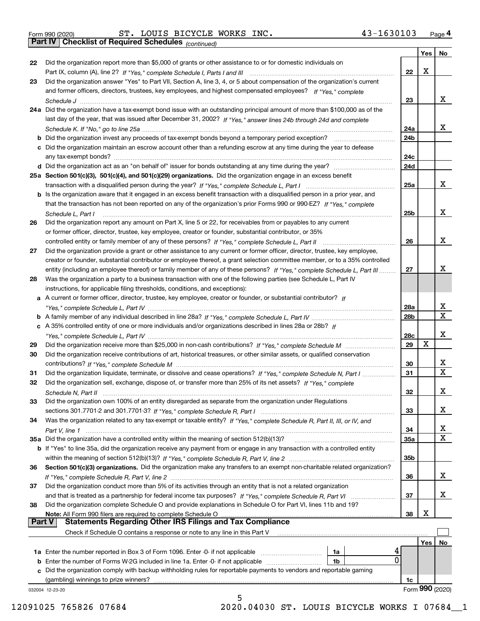|  | Form 990 (2020) |
|--|-----------------|
|  |                 |

Form 990 (2020) ST. LOUIS BICYCLE WORKS INC. 43-1630103 <sub>Page</sub> 4<br>**Part IV | Checklist of Required Schedules** <sub>(continued)</sub>

*(continued)*

|               | and former officers, directors, trustees, key employees, and highest compensated employees? If "Yes," complete                                                                                                             |                 |     |                 |
|---------------|----------------------------------------------------------------------------------------------------------------------------------------------------------------------------------------------------------------------------|-----------------|-----|-----------------|
|               |                                                                                                                                                                                                                            | 23              |     | х               |
|               | 24a Did the organization have a tax-exempt bond issue with an outstanding principal amount of more than \$100,000 as of the                                                                                                |                 |     |                 |
|               | last day of the year, that was issued after December 31, 2002? If "Yes," answer lines 24b through 24d and complete                                                                                                         |                 |     |                 |
|               |                                                                                                                                                                                                                            | 24a             |     | х               |
|               | <b>b</b> Did the organization invest any proceeds of tax-exempt bonds beyond a temporary period exception?                                                                                                                 | 24 <sub>b</sub> |     |                 |
|               | c Did the organization maintain an escrow account other than a refunding escrow at any time during the year to defease                                                                                                     |                 |     |                 |
|               |                                                                                                                                                                                                                            | 24c             |     |                 |
|               |                                                                                                                                                                                                                            | 24d             |     |                 |
|               | 25a Section 501(c)(3), 501(c)(4), and 501(c)(29) organizations. Did the organization engage in an excess benefit                                                                                                           |                 |     |                 |
|               |                                                                                                                                                                                                                            | 25a             |     | x               |
|               | b Is the organization aware that it engaged in an excess benefit transaction with a disqualified person in a prior year, and                                                                                               |                 |     |                 |
|               | that the transaction has not been reported on any of the organization's prior Forms 990 or 990-EZ? If "Yes," complete                                                                                                      |                 |     |                 |
|               | Schedule L. Part I                                                                                                                                                                                                         | 25 <sub>b</sub> |     | х               |
| 26            | Did the organization report any amount on Part X, line 5 or 22, for receivables from or payables to any current<br>or former officer, director, trustee, key employee, creator or founder, substantial contributor, or 35% |                 |     |                 |
|               |                                                                                                                                                                                                                            | 26              |     | х               |
| 27            | Did the organization provide a grant or other assistance to any current or former officer, director, trustee, key employee,                                                                                                |                 |     |                 |
|               | creator or founder, substantial contributor or employee thereof, a grant selection committee member, or to a 35% controlled                                                                                                |                 |     |                 |
|               | entity (including an employee thereof) or family member of any of these persons? If "Yes," complete Schedule L, Part III                                                                                                   | 27              |     | x               |
| 28            | Was the organization a party to a business transaction with one of the following parties (see Schedule L, Part IV                                                                                                          |                 |     |                 |
|               | instructions, for applicable filing thresholds, conditions, and exceptions):                                                                                                                                               |                 |     |                 |
|               | a A current or former officer, director, trustee, key employee, creator or founder, or substantial contributor? If                                                                                                         |                 |     |                 |
|               |                                                                                                                                                                                                                            | 28a             |     | х               |
|               |                                                                                                                                                                                                                            | 28b             |     | $\mathbf x$     |
|               | c A 35% controlled entity of one or more individuals and/or organizations described in lines 28a or 28b? If                                                                                                                |                 |     |                 |
|               |                                                                                                                                                                                                                            | 28c             | х   | х               |
| 29            |                                                                                                                                                                                                                            | 29              |     |                 |
| 30            | Did the organization receive contributions of art, historical treasures, or other similar assets, or qualified conservation                                                                                                | 30              |     | х               |
| 31            | Did the organization liquidate, terminate, or dissolve and cease operations? If "Yes," complete Schedule N, Part I                                                                                                         | 31              |     | $\mathbf x$     |
| 32            | Did the organization sell, exchange, dispose of, or transfer more than 25% of its net assets? If "Yes," complete                                                                                                           |                 |     |                 |
|               | Schedule N, Part II                                                                                                                                                                                                        | 32              |     | х               |
| 33            | Did the organization own 100% of an entity disregarded as separate from the organization under Regulations                                                                                                                 |                 |     |                 |
|               |                                                                                                                                                                                                                            | 33              |     | х               |
| 34            | Was the organization related to any tax-exempt or taxable entity? If "Yes," complete Schedule R, Part II, III, or IV, and                                                                                                  |                 |     |                 |
|               |                                                                                                                                                                                                                            | 34              |     | x               |
|               | 35a Did the organization have a controlled entity within the meaning of section 512(b)(13)?                                                                                                                                | 35а             |     | X               |
|               | <b>b</b> If "Yes" to line 35a, did the organization receive any payment from or engage in any transaction with a controlled entity                                                                                         |                 |     |                 |
|               |                                                                                                                                                                                                                            | 35b             |     |                 |
| 36            | Section 501(c)(3) organizations. Did the organization make any transfers to an exempt non-charitable related organization?                                                                                                 |                 |     |                 |
|               |                                                                                                                                                                                                                            | 36              |     | x               |
| 37            | Did the organization conduct more than 5% of its activities through an entity that is not a related organization                                                                                                           |                 |     |                 |
|               | and that is treated as a partnership for federal income tax purposes? If "Yes," complete Schedule R, Part VI                                                                                                               | 37              |     | х               |
| 38            | Did the organization complete Schedule O and provide explanations in Schedule O for Part VI, lines 11b and 19?<br>Note: All Form 990 filers are required to complete Schedule O                                            | 38              | х   |                 |
| <b>Part V</b> | <b>Statements Regarding Other IRS Filings and Tax Compliance</b>                                                                                                                                                           |                 |     |                 |
|               | Check if Schedule O contains a response or note to any line in this Part V                                                                                                                                                 |                 |     |                 |
|               |                                                                                                                                                                                                                            |                 | Yes | No              |
|               | 1a Enter the number reported in Box 3 of Form 1096. Enter -0- if not applicable<br>1a                                                                                                                                      |                 |     |                 |
|               | 0<br>1b                                                                                                                                                                                                                    |                 |     |                 |
|               | c Did the organization comply with backup withholding rules for reportable payments to vendors and reportable gaming                                                                                                       |                 |     |                 |
|               | (gambling) winnings to prize winners?                                                                                                                                                                                      | 1c              |     |                 |
|               | 032004 12-23-20                                                                                                                                                                                                            |                 |     | Form 990 (2020) |
|               | 5                                                                                                                                                                                                                          |                 |     |                 |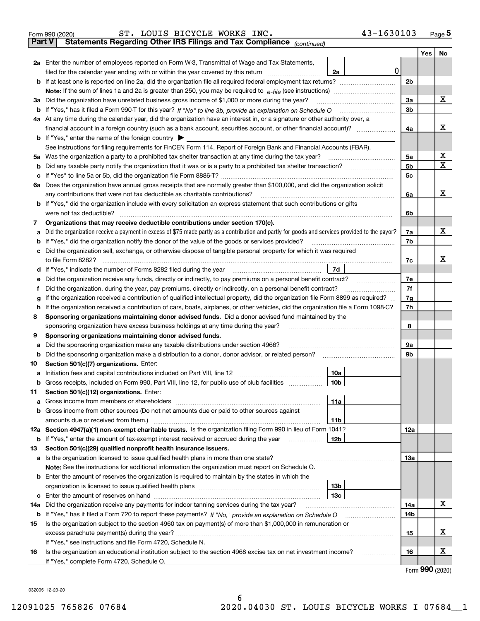| Form 990 (2020) |                                                                                                |  | ST. LOUIS BICYCLE WORKS INC. |  | 43-1630103 | Page $5$ |
|-----------------|------------------------------------------------------------------------------------------------|--|------------------------------|--|------------|----------|
|                 | <b>Part V</b> Statements Regarding Other IRS Filings and Tax Compliance <sub>(continued)</sub> |  |                              |  |            |          |

*(continued)*

|                                                                                                                    |                                                                                                                                                 |                        |   |                | Yes   No |   |  |  |  |
|--------------------------------------------------------------------------------------------------------------------|-------------------------------------------------------------------------------------------------------------------------------------------------|------------------------|---|----------------|----------|---|--|--|--|
|                                                                                                                    | 2a Enter the number of employees reported on Form W-3, Transmittal of Wage and Tax Statements,                                                  |                        |   |                |          |   |  |  |  |
|                                                                                                                    | filed for the calendar year ending with or within the year covered by this return                                                               | 2a                     | 0 |                |          |   |  |  |  |
|                                                                                                                    | <b>b</b> If at least one is reported on line 2a, did the organization file all required federal employment tax returns?                         |                        |   | 2 <sub>b</sub> |          |   |  |  |  |
|                                                                                                                    |                                                                                                                                                 |                        |   |                |          |   |  |  |  |
|                                                                                                                    | 3a Did the organization have unrelated business gross income of \$1,000 or more during the year?                                                |                        |   | За             |          | x |  |  |  |
| b                                                                                                                  |                                                                                                                                                 |                        |   | 3b             |          |   |  |  |  |
|                                                                                                                    | 4a At any time during the calendar year, did the organization have an interest in, or a signature or other authority over, a                    |                        |   |                |          |   |  |  |  |
|                                                                                                                    |                                                                                                                                                 |                        |   | 4a             |          | х |  |  |  |
|                                                                                                                    | <b>b</b> If "Yes," enter the name of the foreign country $\blacktriangleright$                                                                  |                        |   |                |          |   |  |  |  |
|                                                                                                                    | See instructions for filing requirements for FinCEN Form 114, Report of Foreign Bank and Financial Accounts (FBAR).                             |                        |   |                |          | х |  |  |  |
| 5a                                                                                                                 | Was the organization a party to a prohibited tax shelter transaction at any time during the tax year?                                           |                        |   | 5а<br>5b       |          | X |  |  |  |
| b                                                                                                                  | Did any taxable party notify the organization that it was or is a party to a prohibited tax shelter transaction?                                |                        |   | 5 <sub>c</sub> |          |   |  |  |  |
| с                                                                                                                  | 6a Does the organization have annual gross receipts that are normally greater than \$100,000, and did the organization solicit                  |                        |   |                |          |   |  |  |  |
|                                                                                                                    | any contributions that were not tax deductible as charitable contributions?                                                                     |                        |   | 6a             |          | х |  |  |  |
|                                                                                                                    | b If "Yes," did the organization include with every solicitation an express statement that such contributions or gifts                          |                        |   |                |          |   |  |  |  |
|                                                                                                                    | were not tax deductible?                                                                                                                        |                        |   | 6b             |          |   |  |  |  |
| 7                                                                                                                  | Organizations that may receive deductible contributions under section 170(c).                                                                   |                        |   |                |          |   |  |  |  |
| а                                                                                                                  | Did the organization receive a payment in excess of \$75 made partly as a contribution and partly for goods and services provided to the payor? |                        |   | 7a             |          | х |  |  |  |
| b                                                                                                                  | If "Yes," did the organization notify the donor of the value of the goods or services provided?                                                 |                        |   | 7b             |          |   |  |  |  |
|                                                                                                                    | Did the organization sell, exchange, or otherwise dispose of tangible personal property for which it was required                               |                        |   |                |          |   |  |  |  |
|                                                                                                                    |                                                                                                                                                 |                        |   | 7c             |          | x |  |  |  |
| d                                                                                                                  |                                                                                                                                                 | 7d                     |   |                |          |   |  |  |  |
|                                                                                                                    | Did the organization receive any funds, directly or indirectly, to pay premiums on a personal benefit contract?                                 |                        |   | 7е             |          |   |  |  |  |
| f                                                                                                                  | Did the organization, during the year, pay premiums, directly or indirectly, on a personal benefit contract?                                    |                        |   |                |          |   |  |  |  |
| g                                                                                                                  | If the organization received a contribution of qualified intellectual property, did the organization file Form 8899 as required?                |                        |   |                |          |   |  |  |  |
| h                                                                                                                  | If the organization received a contribution of cars, boats, airplanes, or other vehicles, did the organization file a Form 1098-C?              |                        |   |                |          |   |  |  |  |
|                                                                                                                    | Sponsoring organizations maintaining donor advised funds. Did a donor advised fund maintained by the<br>8                                       |                        |   |                |          |   |  |  |  |
|                                                                                                                    | sponsoring organization have excess business holdings at any time during the year?                                                              |                        |   |                |          |   |  |  |  |
| 9                                                                                                                  | Sponsoring organizations maintaining donor advised funds.<br>Did the sponsoring organization make any taxable distributions under section 4966? |                        |   | 9а             |          |   |  |  |  |
| а<br>b                                                                                                             | Did the sponsoring organization make a distribution to a donor, donor advisor, or related person?                                               |                        |   | 9b             |          |   |  |  |  |
| 10                                                                                                                 | Section 501(c)(7) organizations. Enter:                                                                                                         |                        |   |                |          |   |  |  |  |
| а                                                                                                                  |                                                                                                                                                 | 10a                    |   |                |          |   |  |  |  |
|                                                                                                                    | <b>b</b> Gross receipts, included on Form 990, Part VIII, line 12, for public use of club facilities <i>manument</i>                            | 10 <sub>b</sub>        |   |                |          |   |  |  |  |
| 11                                                                                                                 | Section 501(c)(12) organizations. Enter:                                                                                                        |                        |   |                |          |   |  |  |  |
|                                                                                                                    |                                                                                                                                                 | 11a                    |   |                |          |   |  |  |  |
|                                                                                                                    | <b>b</b> Gross income from other sources (Do not net amounts due or paid to other sources against                                               |                        |   |                |          |   |  |  |  |
|                                                                                                                    | amounts due or received from them.)                                                                                                             | 11b                    |   |                |          |   |  |  |  |
|                                                                                                                    | 12a Section 4947(a)(1) non-exempt charitable trusts. Is the organization filing Form 990 in lieu of Form 1041?                                  |                        |   | 12a            |          |   |  |  |  |
|                                                                                                                    | <b>b</b> If "Yes," enter the amount of tax-exempt interest received or accrued during the year <i>manument</i>                                  | 12 <sub>b</sub>        |   |                |          |   |  |  |  |
| 13                                                                                                                 | Section 501(c)(29) qualified nonprofit health insurance issuers.                                                                                |                        |   |                |          |   |  |  |  |
|                                                                                                                    | a Is the organization licensed to issue qualified health plans in more than one state?                                                          |                        |   | 13а            |          |   |  |  |  |
|                                                                                                                    | Note: See the instructions for additional information the organization must report on Schedule O.                                               |                        |   |                |          |   |  |  |  |
|                                                                                                                    | <b>b</b> Enter the amount of reserves the organization is required to maintain by the states in which the                                       |                        |   |                |          |   |  |  |  |
|                                                                                                                    | organization is licensed to issue qualified health plans [111] matter contains an interest in the set of an in                                  | 13b<br>13 <sub>c</sub> |   |                |          |   |  |  |  |
|                                                                                                                    | 14a Did the organization receive any payments for indoor tanning services during the tax year?                                                  |                        |   | 14a            |          | х |  |  |  |
| <b>b</b> If "Yes," has it filed a Form 720 to report these payments? If "No," provide an explanation on Schedule O |                                                                                                                                                 |                        |   |                |          |   |  |  |  |
| 15                                                                                                                 | Is the organization subject to the section 4960 tax on payment(s) of more than \$1,000,000 in remuneration or                                   |                        |   | 14b            |          |   |  |  |  |
|                                                                                                                    |                                                                                                                                                 |                        |   |                |          |   |  |  |  |
|                                                                                                                    | If "Yes," see instructions and file Form 4720, Schedule N.                                                                                      |                        |   | 15             |          | х |  |  |  |
| 16                                                                                                                 | Is the organization an educational institution subject to the section 4968 excise tax on net investment income?                                 |                        |   | 16             |          | х |  |  |  |
|                                                                                                                    | If "Yes," complete Form 4720, Schedule O.                                                                                                       |                        |   |                |          |   |  |  |  |

Form (2020) **990**

032005 12-23-20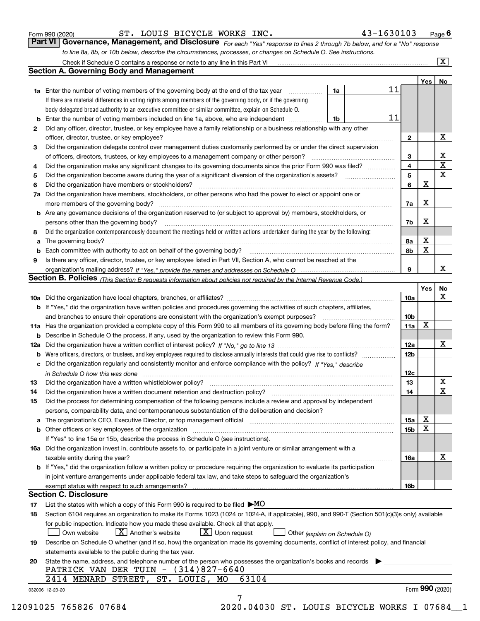|  | Form 990 (2020) |
|--|-----------------|
|  |                 |

ST. LOUIS BICYCLE WORKS INC. 43-1630103

*For each "Yes" response to lines 2 through 7b below, and for a "No" response to line 8a, 8b, or 10b below, describe the circumstances, processes, or changes on Schedule O. See instructions.* Form 990 (2020) **COULS BICYCLE WORKS INC.** 43-1630103 Page 6<br>**Part VI Governance, Management, and Disclosure** *For each "Yes" response to lines 2 through 7b below, and for a "No" response* 

|              |                                                                                                                                                                                                                                |                               |                         | Yes   No |                         |
|--------------|--------------------------------------------------------------------------------------------------------------------------------------------------------------------------------------------------------------------------------|-------------------------------|-------------------------|----------|-------------------------|
|              | <b>1a</b> Enter the number of voting members of the governing body at the end of the tax year <i>manumum</i>                                                                                                                   | 1a                            | 11                      |          |                         |
|              | If there are material differences in voting rights among members of the governing body, or if the governing                                                                                                                    |                               |                         |          |                         |
|              | body delegated broad authority to an executive committee or similar committee, explain on Schedule O.                                                                                                                          |                               |                         |          |                         |
|              | <b>b</b> Enter the number of voting members included on line 1a, above, who are independent                                                                                                                                    | 1b                            | 11                      |          |                         |
| $\mathbf{2}$ | Did any officer, director, trustee, or key employee have a family relationship or a business relationship with any other                                                                                                       |                               |                         |          |                         |
|              | officer, director, trustee, or key employee?                                                                                                                                                                                   |                               | $\mathbf{2}$            |          | х                       |
| З            | Did the organization delegate control over management duties customarily performed by or under the direct supervision                                                                                                          |                               |                         |          |                         |
|              |                                                                                                                                                                                                                                |                               | 3                       |          | $\overline{\mathbf{X}}$ |
| 4            | Did the organization make any significant changes to its governing documents since the prior Form 990 was filed?                                                                                                               |                               | $\overline{\mathbf{4}}$ |          | $\overline{\mathbf{x}}$ |
| 5            |                                                                                                                                                                                                                                |                               | $5\phantom{a}$          |          | $\overline{\mathbf{x}}$ |
| 6            | Did the organization have members or stockholders?                                                                                                                                                                             |                               | 6                       | X        |                         |
|              | 7a Did the organization have members, stockholders, or other persons who had the power to elect or appoint one or                                                                                                              |                               |                         |          |                         |
|              | more members of the governing body?                                                                                                                                                                                            |                               | 7а                      | X        |                         |
|              | <b>b</b> Are any governance decisions of the organization reserved to (or subject to approval by) members, stockholders, or                                                                                                    |                               |                         |          |                         |
|              | persons other than the governing body?                                                                                                                                                                                         |                               | 7b                      | X        |                         |
| 8            | Did the organization contemporaneously document the meetings held or written actions undertaken during the year by the following:                                                                                              |                               |                         |          |                         |
| a            |                                                                                                                                                                                                                                |                               | 8а                      | X        |                         |
|              |                                                                                                                                                                                                                                |                               | 8b                      | X        |                         |
|              |                                                                                                                                                                                                                                |                               |                         |          |                         |
| 9            | Is there any officer, director, trustee, or key employee listed in Part VII, Section A, who cannot be reached at the                                                                                                           |                               | 9                       |          | x                       |
|              |                                                                                                                                                                                                                                |                               |                         |          |                         |
|              | Section B. Policies (This Section B requests information about policies not required by the Internal Revenue Code.)                                                                                                            |                               |                         |          |                         |
|              |                                                                                                                                                                                                                                |                               |                         | Yes      | No<br>$\mathbf{x}$      |
|              |                                                                                                                                                                                                                                |                               | 10a                     |          |                         |
|              | <b>b</b> If "Yes," did the organization have written policies and procedures governing the activities of such chapters, affiliates,                                                                                            |                               |                         |          |                         |
|              |                                                                                                                                                                                                                                |                               | 10 <sub>b</sub>         |          |                         |
|              | 11a Has the organization provided a complete copy of this Form 990 to all members of its governing body before filing the form?                                                                                                |                               | 11a                     | X        |                         |
|              | <b>b</b> Describe in Schedule O the process, if any, used by the organization to review this Form 990.                                                                                                                         |                               |                         |          |                         |
|              |                                                                                                                                                                                                                                |                               | <b>12a</b>              |          | х                       |
|              | <b>b</b> Were officers, directors, or trustees, and key employees required to disclose annually interests that could give rise to conflicts?                                                                                   |                               | 12 <sub>b</sub>         |          |                         |
|              | c Did the organization regularly and consistently monitor and enforce compliance with the policy? If "Yes," describe                                                                                                           |                               |                         |          |                         |
|              | in Schedule O how this was done encourance and the control of the control of the control of the control of the                                                                                                                 |                               | 12c                     |          |                         |
| 13           |                                                                                                                                                                                                                                |                               | 13                      |          | X                       |
| 14           | Did the organization have a written document retention and destruction policy? manufactured and the organization have a written document retention and destruction policy?                                                     |                               | 14                      |          | $\mathbf X$             |
| 15           | Did the process for determining compensation of the following persons include a review and approval by independent                                                                                                             |                               |                         |          |                         |
|              | persons, comparability data, and contemporaneous substantiation of the deliberation and decision?                                                                                                                              |                               |                         |          |                         |
|              | a The organization's CEO, Executive Director, or top management official [11] [12] The organization's CEO, Executive Director, or top management official [12] [12] [12] [12] The organization's CEO, Executive Director, or t |                               | 15a                     | х        |                         |
|              | b Other officers or key employees of the organization manufactured content to the organization manufactured by Other officers or key employees of the organization manufactured content of the organization manufactured by Ot |                               | 15b                     | X        |                         |
|              | If "Yes" to line 15a or 15b, describe the process in Schedule O (see instructions).                                                                                                                                            |                               |                         |          |                         |
|              | 16a Did the organization invest in, contribute assets to, or participate in a joint venture or similar arrangement with a                                                                                                      |                               |                         |          |                         |
|              | taxable entity during the year?                                                                                                                                                                                                |                               | 16a                     |          | х                       |
|              | <b>b</b> If "Yes," did the organization follow a written policy or procedure requiring the organization to evaluate its participation                                                                                          |                               |                         |          |                         |
|              | in joint venture arrangements under applicable federal tax law, and take steps to safeguard the organization's                                                                                                                 |                               |                         |          |                         |
|              |                                                                                                                                                                                                                                |                               | 16b                     |          |                         |
|              | <b>Section C. Disclosure</b>                                                                                                                                                                                                   |                               |                         |          |                         |
| 17           | List the states with which a copy of this Form 990 is required to be filed $\blacktriangleright$ MO                                                                                                                            |                               |                         |          |                         |
| 18           | Section 6104 requires an organization to make its Forms 1023 (1024 or 1024-A, if applicable), 990, and 990-T (Section 501(c)(3)s only) available                                                                               |                               |                         |          |                         |
|              | for public inspection. Indicate how you made these available. Check all that apply.                                                                                                                                            |                               |                         |          |                         |
|              | $X$ Upon request<br>$X$ Another's website<br>Own website                                                                                                                                                                       | Other (explain on Schedule O) |                         |          |                         |
| 19           | Describe on Schedule O whether (and if so, how) the organization made its governing documents, conflict of interest policy, and financial                                                                                      |                               |                         |          |                         |
|              | statements available to the public during the tax year.                                                                                                                                                                        |                               |                         |          |                         |
| 20           | State the name, address, and telephone number of the person who possesses the organization's books and records                                                                                                                 |                               |                         |          |                         |
|              | PATRICK VAN DER TUIN $-$ (314)827-6640                                                                                                                                                                                         |                               |                         |          |                         |
|              | 2414 MENARD STREET, ST. LOUIS, MO<br>63104                                                                                                                                                                                     |                               |                         |          |                         |
|              |                                                                                                                                                                                                                                |                               |                         |          | Form 990 (2020)         |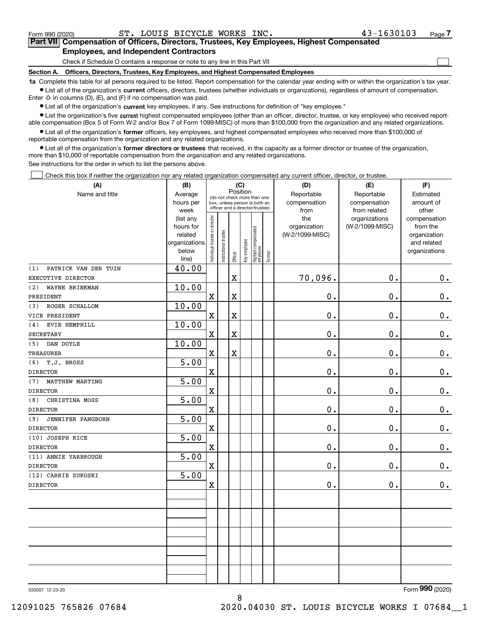Form 990 (2020) ST. LOUIS BICYCLE WORKS INC. 43-1630103 Page

 $\mathcal{L}^{\text{max}}$ 

# **7Part VII Compensation of Officers, Directors, Trustees, Key Employees, Highest Compensated Employees, and Independent Contractors**

Check if Schedule O contains a response or note to any line in this Part VII

**Section A. Officers, Directors, Trustees, Key Employees, and Highest Compensated Employees**

**1a**  Complete this table for all persons required to be listed. Report compensation for the calendar year ending with or within the organization's tax year. **•** List all of the organization's current officers, directors, trustees (whether individuals or organizations), regardless of amount of compensation.

Enter -0- in columns (D), (E), and (F) if no compensation was paid.

 $\bullet$  List all of the organization's  $\,$ current key employees, if any. See instructions for definition of "key employee."

**•** List the organization's five current highest compensated employees (other than an officer, director, trustee, or key employee) who received reportable compensation (Box 5 of Form W-2 and/or Box 7 of Form 1099-MISC) of more than \$100,000 from the organization and any related organizations.

**•** List all of the organization's former officers, key employees, and highest compensated employees who received more than \$100,000 of reportable compensation from the organization and any related organizations.

**former directors or trustees**  ¥ List all of the organization's that received, in the capacity as a former director or trustee of the organization, more than \$10,000 of reportable compensation from the organization and any related organizations.

See instructions for the order in which to list the persons above.

Check this box if neither the organization nor any related organization compensated any current officer, director, or trustee.  $\mathcal{L}^{\text{max}}$ 

| (A)                         | (B)                  |                                |                                                                  | (C)                     |              |                                  |        | (D)                             | (E)             | (F)                      |
|-----------------------------|----------------------|--------------------------------|------------------------------------------------------------------|-------------------------|--------------|----------------------------------|--------|---------------------------------|-----------------|--------------------------|
| Name and title              | Average              |                                | (do not check more than one                                      | Position                |              |                                  |        | Reportable                      | Reportable      | Estimated                |
|                             | hours per            |                                | box, unless person is both an<br>officer and a director/trustee) |                         |              |                                  |        | compensation                    | compensation    | amount of                |
|                             | week                 |                                |                                                                  |                         |              |                                  |        | from                            | from related    | other                    |
|                             | (list any            |                                |                                                                  |                         |              |                                  |        | the                             | organizations   | compensation             |
|                             | hours for<br>related |                                |                                                                  |                         |              |                                  |        | organization<br>(W-2/1099-MISC) | (W-2/1099-MISC) | from the<br>organization |
|                             | organizations        |                                |                                                                  |                         |              |                                  |        |                                 |                 | and related              |
|                             | below                |                                |                                                                  |                         |              |                                  |        |                                 |                 | organizations            |
|                             | line)                | Individual trustee or director | Institutional trustee                                            | Officer                 | Key employee | Highest compensated<br> employee | Former |                                 |                 |                          |
| PATRICK VAN DER TUIN<br>(1) | 40.00                |                                |                                                                  |                         |              |                                  |        |                                 |                 |                          |
| EXECUTIVE DIRECTOR          |                      |                                |                                                                  | X                       |              |                                  |        | 70,096.                         | 0.              | 0.                       |
| (2)<br>WAYNE BRINKMAN       | 10.00                |                                |                                                                  |                         |              |                                  |        |                                 |                 |                          |
| PRESIDENT                   |                      | $\mathbf x$                    |                                                                  | X                       |              |                                  |        | 0.                              | 0.              | $0$ .                    |
| ROGER SCHALLOM<br>(3)       | 10.00                |                                |                                                                  |                         |              |                                  |        |                                 |                 |                          |
| VICE PRESIDENT              |                      | $\mathbf x$                    |                                                                  | $\overline{\textbf{X}}$ |              |                                  |        | 0.                              | 0.              | $\mathbf 0$ .            |
| EVIE HEMPHILL<br>(4)        | 10.00                |                                |                                                                  |                         |              |                                  |        |                                 |                 |                          |
| <b>SECRETARY</b>            |                      | $\mathbf x$                    |                                                                  | $\overline{\textbf{X}}$ |              |                                  |        | 0.                              | 0.              | $\mathbf 0$ .            |
| DAN DOYLE<br>(5)            | 10.00                |                                |                                                                  |                         |              |                                  |        |                                 |                 |                          |
| TREASURER                   |                      | $\mathbf x$                    |                                                                  | $\overline{\textbf{X}}$ |              |                                  |        | 0.                              | 0.              | $\mathbf 0$ .            |
| T.J. BROSS<br>(6)           | 5.00                 |                                |                                                                  |                         |              |                                  |        |                                 |                 |                          |
| <b>DIRECTOR</b>             |                      | $\mathbf x$                    |                                                                  |                         |              |                                  |        | 0.                              | 0.              | $0_{.}$                  |
| MATTHEW MARTING<br>(7)      | 5.00                 |                                |                                                                  |                         |              |                                  |        |                                 |                 |                          |
| <b>DIRECTOR</b>             |                      | $\mathbf X$                    |                                                                  |                         |              |                                  |        | $0$ .                           | 0.              | $\mathbf 0$ .            |
| CHRISTINA MOSS<br>(8)       | 5.00                 |                                |                                                                  |                         |              |                                  |        |                                 |                 |                          |
| <b>DIRECTOR</b>             |                      | $\mathbf x$                    |                                                                  |                         |              |                                  |        | 0.                              | 0.              | $0_{.}$                  |
| (9)<br>JENNIFER PANGBORN    | 5.00                 |                                |                                                                  |                         |              |                                  |        |                                 |                 |                          |
| <b>DIRECTOR</b>             |                      | $\mathbf X$                    |                                                                  |                         |              |                                  |        | 0.                              | 0.              | $0_{.}$                  |
| (10) JOSEPH RICE            | 5.00                 |                                |                                                                  |                         |              |                                  |        |                                 |                 |                          |
| <b>DIRECTOR</b>             |                      | $\mathbf x$                    |                                                                  |                         |              |                                  |        | $\mathbf 0$ .                   | 0.              | $\mathbf 0$ .            |
| (11) ANNIE YARBROUGH        | 5.00                 |                                |                                                                  |                         |              |                                  |        |                                 |                 |                          |
| <b>DIRECTOR</b>             |                      | $\mathbf X$                    |                                                                  |                         |              |                                  |        | 0.                              | 0.              | $\mathbf 0$ .            |
| (12) CARRIE ZUKOSKI         | 5.00                 |                                |                                                                  |                         |              |                                  |        |                                 |                 |                          |
| <b>DIRECTOR</b>             |                      | $\mathbf X$                    |                                                                  |                         |              |                                  |        | 0.                              | 0.              | $\mathbf 0$ .            |
|                             |                      |                                |                                                                  |                         |              |                                  |        |                                 |                 |                          |
|                             |                      |                                |                                                                  |                         |              |                                  |        |                                 |                 |                          |
|                             |                      |                                |                                                                  |                         |              |                                  |        |                                 |                 |                          |
|                             |                      |                                |                                                                  |                         |              |                                  |        |                                 |                 |                          |
|                             |                      |                                |                                                                  |                         |              |                                  |        |                                 |                 |                          |
|                             |                      |                                |                                                                  |                         |              |                                  |        |                                 |                 |                          |
|                             |                      |                                |                                                                  |                         |              |                                  |        |                                 |                 |                          |
|                             |                      |                                |                                                                  |                         |              |                                  |        |                                 |                 |                          |
|                             |                      |                                |                                                                  |                         |              |                                  |        |                                 |                 |                          |
|                             |                      |                                |                                                                  |                         |              |                                  |        |                                 |                 | $\overline{2}$           |

8

032007 12-23-20

Form (2020) **990**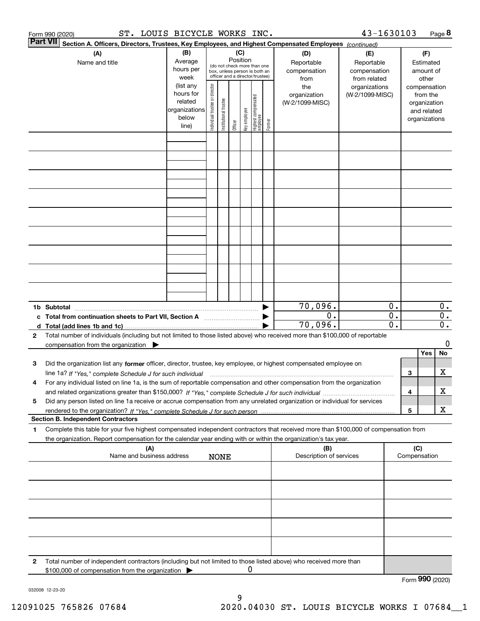|   | ST. LOUIS BICYCLE WORKS INC.<br>Form 990 (2020)                                                                                                                     |                                                                      |                                |                       |                 |              |                                                                                                 |        |                                           | 43-1630103                                        |                             |     |                                                                          | Page 8                    |
|---|---------------------------------------------------------------------------------------------------------------------------------------------------------------------|----------------------------------------------------------------------|--------------------------------|-----------------------|-----------------|--------------|-------------------------------------------------------------------------------------------------|--------|-------------------------------------------|---------------------------------------------------|-----------------------------|-----|--------------------------------------------------------------------------|---------------------------|
|   | Part VII <br>Section A. Officers, Directors, Trustees, Key Employees, and Highest Compensated Employees (continued)                                                 |                                                                      |                                |                       |                 |              |                                                                                                 |        |                                           |                                                   |                             |     |                                                                          |                           |
|   | (A)<br>Name and title                                                                                                                                               | (B)<br>Average<br>hours per<br>week                                  |                                |                       | (C)<br>Position |              | (do not check more than one<br>box, unless person is both an<br>officer and a director/trustee) |        | (D)<br>Reportable<br>compensation<br>from | (E)<br>Reportable<br>compensation<br>from related |                             |     | (F)<br>Estimated<br>amount of<br>other                                   |                           |
|   |                                                                                                                                                                     | (list any<br>hours for<br>related<br>organizations<br>below<br>line) | Individual trustee or director | Institutional trustee | Officer         | key employee | Highest compensated<br>  employee                                                               | Former | the<br>organization<br>(W-2/1099-MISC)    | organizations<br>(W-2/1099-MISC)                  |                             |     | compensation<br>from the<br>organization<br>and related<br>organizations |                           |
|   |                                                                                                                                                                     |                                                                      |                                |                       |                 |              |                                                                                                 |        |                                           |                                                   |                             |     |                                                                          |                           |
|   |                                                                                                                                                                     |                                                                      |                                |                       |                 |              |                                                                                                 |        |                                           |                                                   |                             |     |                                                                          |                           |
|   |                                                                                                                                                                     |                                                                      |                                |                       |                 |              |                                                                                                 |        |                                           |                                                   |                             |     |                                                                          |                           |
|   |                                                                                                                                                                     |                                                                      |                                |                       |                 |              |                                                                                                 |        |                                           |                                                   |                             |     |                                                                          |                           |
|   |                                                                                                                                                                     |                                                                      |                                |                       |                 |              |                                                                                                 |        |                                           |                                                   |                             |     |                                                                          |                           |
|   |                                                                                                                                                                     |                                                                      |                                |                       |                 |              |                                                                                                 |        |                                           |                                                   |                             |     |                                                                          |                           |
|   |                                                                                                                                                                     |                                                                      |                                |                       |                 |              |                                                                                                 |        |                                           |                                                   |                             |     |                                                                          |                           |
|   |                                                                                                                                                                     |                                                                      |                                |                       |                 |              |                                                                                                 |        |                                           |                                                   |                             |     |                                                                          |                           |
|   |                                                                                                                                                                     |                                                                      |                                |                       |                 |              |                                                                                                 |        |                                           |                                                   |                             |     |                                                                          |                           |
|   | 1b Subtotal<br>c Total from continuation sheets to Part VII, Section A                                                                                              |                                                                      |                                |                       |                 |              |                                                                                                 |        | 70,096.<br>$\overline{0}$ .               |                                                   | 0.<br>$\overline{0}$ .      |     |                                                                          | $0$ .<br>$\overline{0}$ . |
|   |                                                                                                                                                                     |                                                                      |                                |                       |                 |              |                                                                                                 |        | 70,096.                                   |                                                   | $\overline{\mathfrak{0}}$ . |     |                                                                          | $\overline{\mathbf{0}}$ . |
| 2 | Total number of individuals (including but not limited to those listed above) who received more than \$100,000 of reportable                                        |                                                                      |                                |                       |                 |              |                                                                                                 |        |                                           |                                                   |                             |     |                                                                          | 0                         |
|   | compensation from the organization $\blacktriangleright$                                                                                                            |                                                                      |                                |                       |                 |              |                                                                                                 |        |                                           |                                                   |                             |     | Yes                                                                      | No                        |
| з | Did the organization list any former officer, director, trustee, key employee, or highest compensated employee on                                                   |                                                                      |                                |                       |                 |              |                                                                                                 |        |                                           |                                                   |                             |     |                                                                          |                           |
|   | line 1a? If "Yes," complete Schedule J for such individual manufactured contained and the 1a? If "Yes," complete Schedule J for such individual                     |                                                                      |                                |                       |                 |              |                                                                                                 |        |                                           |                                                   |                             | 3   |                                                                          | х                         |
| 4 | For any individual listed on line 1a, is the sum of reportable compensation and other compensation from the organization                                            |                                                                      |                                |                       |                 |              |                                                                                                 |        |                                           |                                                   |                             | 4   |                                                                          | х                         |
| 5 | Did any person listed on line 1a receive or accrue compensation from any unrelated organization or individual for services                                          |                                                                      |                                |                       |                 |              |                                                                                                 |        |                                           |                                                   |                             |     |                                                                          |                           |
|   | <b>Section B. Independent Contractors</b>                                                                                                                           |                                                                      |                                |                       |                 |              |                                                                                                 |        |                                           |                                                   |                             | 5   |                                                                          | X                         |
| 1 | Complete this table for your five highest compensated independent contractors that received more than \$100,000 of compensation from                                |                                                                      |                                |                       |                 |              |                                                                                                 |        |                                           |                                                   |                             |     |                                                                          |                           |
|   | the organization. Report compensation for the calendar year ending with or within the organization's tax year.<br>(A)                                               |                                                                      |                                |                       |                 |              |                                                                                                 |        | (B)                                       |                                                   |                             | (C) |                                                                          |                           |
|   | Name and business address                                                                                                                                           |                                                                      |                                | <b>NONE</b>           |                 |              |                                                                                                 |        | Description of services                   |                                                   |                             |     | Compensation                                                             |                           |
|   |                                                                                                                                                                     |                                                                      |                                |                       |                 |              |                                                                                                 |        |                                           |                                                   |                             |     |                                                                          |                           |
|   |                                                                                                                                                                     |                                                                      |                                |                       |                 |              |                                                                                                 |        |                                           |                                                   |                             |     |                                                                          |                           |
|   |                                                                                                                                                                     |                                                                      |                                |                       |                 |              |                                                                                                 |        |                                           |                                                   |                             |     |                                                                          |                           |
|   |                                                                                                                                                                     |                                                                      |                                |                       |                 |              |                                                                                                 |        |                                           |                                                   |                             |     |                                                                          |                           |
|   |                                                                                                                                                                     |                                                                      |                                |                       |                 |              |                                                                                                 |        |                                           |                                                   |                             |     |                                                                          |                           |
| 2 | Total number of independent contractors (including but not limited to those listed above) who received more than<br>\$100,000 of compensation from the organization |                                                                      |                                |                       |                 | 0            |                                                                                                 |        |                                           |                                                   |                             |     |                                                                          |                           |
|   |                                                                                                                                                                     |                                                                      |                                |                       |                 |              |                                                                                                 |        |                                           |                                                   |                             |     | Form 990 (2020)                                                          |                           |

032008 12-23-20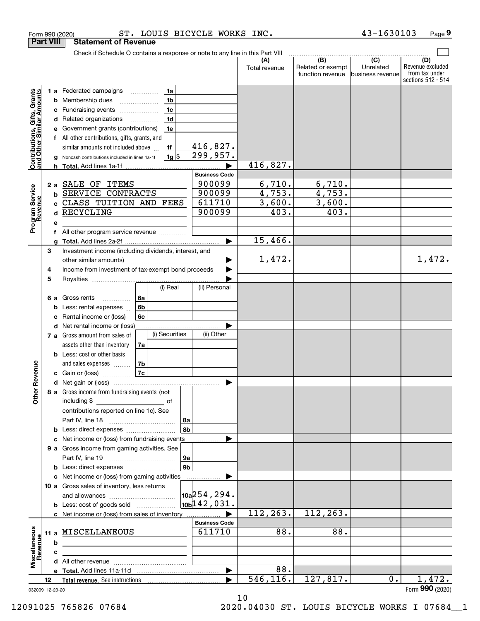|                                                           |                 |              | Check if Schedule O contains a response or note to any line in this Part VIII                             |          |                                        |                |                               |               |                                              |                                                 |                                                                 |
|-----------------------------------------------------------|-----------------|--------------|-----------------------------------------------------------------------------------------------------------|----------|----------------------------------------|----------------|-------------------------------|---------------|----------------------------------------------|-------------------------------------------------|-----------------------------------------------------------------|
|                                                           |                 |              |                                                                                                           |          |                                        |                |                               | Total revenue | (B)<br>Related or exempt<br>function revenue | $\overline{C}$<br>Unrelated<br>business revenue | (D)<br>Revenue excluded<br>from tax under<br>sections 512 - 514 |
|                                                           | b<br>с          |              | 1 a Federated campaigns<br>Membership dues<br>Fundraising events                                          |          | 1a<br>1 <sub>b</sub><br>1 <sub>c</sub> |                |                               |               |                                              |                                                 |                                                                 |
|                                                           | d               |              | Related organizations<br>Government grants (contributions)<br>All other contributions, gifts, grants, and | .        | 1 <sub>d</sub><br>1e                   |                |                               |               |                                              |                                                 |                                                                 |
| Contributions, Gifts, Grants<br>and Other Similar Amounts | a<br>h.         |              | similar amounts not included above<br>Noncash contributions included in lines 1a-1f                       |          | 1f<br>$1g$ \$                          |                | <u>416,827.</u><br>299,957.   | 416,827.      |                                              |                                                 |                                                                 |
|                                                           |                 |              |                                                                                                           |          |                                        |                | <b>Business Code</b>          |               |                                              |                                                 |                                                                 |
|                                                           | 2a              |              | SALE OF ITEMS                                                                                             |          |                                        |                | 900099                        | 6,710.        | 6,710.                                       |                                                 |                                                                 |
|                                                           | b               |              | SERVICE CONTRACTS                                                                                         |          |                                        |                | 900099                        | 4,753.        | 4,753.                                       |                                                 |                                                                 |
|                                                           |                 |              | CLASS TUITION AND FEES                                                                                    |          |                                        |                | 611710                        | 3,600.        | 3,600.                                       |                                                 |                                                                 |
|                                                           |                 |              | RECYCLING                                                                                                 |          |                                        |                | 900099                        | 403.          | 403.                                         |                                                 |                                                                 |
| Program Service<br>Revenue                                | е               |              |                                                                                                           |          |                                        |                |                               |               |                                              |                                                 |                                                                 |
|                                                           | f               |              | All other program service revenue                                                                         |          |                                        |                |                               |               |                                              |                                                 |                                                                 |
|                                                           |                 |              |                                                                                                           |          |                                        |                |                               | 15,466.       |                                              |                                                 |                                                                 |
|                                                           | 3               |              | Investment income (including dividends, interest, and                                                     |          |                                        |                |                               |               |                                              |                                                 |                                                                 |
|                                                           |                 |              |                                                                                                           |          |                                        |                |                               | 1,472.        |                                              |                                                 | 1,472.                                                          |
|                                                           | 4               |              | Income from investment of tax-exempt bond proceeds                                                        |          |                                        |                |                               |               |                                              |                                                 |                                                                 |
|                                                           | 5               |              |                                                                                                           |          | (i) Real                               |                | (ii) Personal                 |               |                                              |                                                 |                                                                 |
|                                                           |                 |              |                                                                                                           |          |                                        |                |                               |               |                                              |                                                 |                                                                 |
|                                                           | 6а              | Gross rents  | .<br>Less: rental expenses                                                                                | 6a<br>6b |                                        |                |                               |               |                                              |                                                 |                                                                 |
|                                                           | b<br>с          |              | Rental income or (loss)                                                                                   | 6c       |                                        |                |                               |               |                                              |                                                 |                                                                 |
|                                                           |                 | d            | Net rental income or (loss)                                                                               |          |                                        |                |                               |               |                                              |                                                 |                                                                 |
|                                                           |                 |              | 7 a Gross amount from sales of                                                                            |          | (i) Securities                         |                | (ii) Other                    |               |                                              |                                                 |                                                                 |
|                                                           |                 |              | assets other than inventory                                                                               | 7a       |                                        |                |                               |               |                                              |                                                 |                                                                 |
|                                                           |                 |              | Less: cost or other basis                                                                                 |          |                                        |                |                               |               |                                              |                                                 |                                                                 |
|                                                           |                 |              | and sales expenses                                                                                        | 7b       |                                        |                |                               |               |                                              |                                                 |                                                                 |
| ther Revenue                                              |                 |              | c Gain or (loss) $\ldots$                                                                                 | 7c       |                                        |                |                               |               |                                              |                                                 |                                                                 |
|                                                           |                 |              |                                                                                                           |          |                                        |                |                               |               |                                              |                                                 |                                                                 |
|                                                           | 8а              |              | Gross income from fundraising events (not                                                                 |          |                                        |                |                               |               |                                              |                                                 |                                                                 |
| 0                                                         |                 | including \$ |                                                                                                           |          | оt                                     |                |                               |               |                                              |                                                 |                                                                 |
|                                                           |                 |              | contributions reported on line 1c). See                                                                   |          |                                        |                |                               |               |                                              |                                                 |                                                                 |
|                                                           |                 |              |                                                                                                           |          |                                        | l 8a           |                               |               |                                              |                                                 |                                                                 |
|                                                           | b               |              | Less: direct expenses                                                                                     |          |                                        | 8 <sub>b</sub> |                               |               |                                              |                                                 |                                                                 |
|                                                           | c               |              | Net income or (loss) from fundraising events                                                              |          |                                        |                |                               |               |                                              |                                                 |                                                                 |
|                                                           |                 |              | 9 a Gross income from gaming activities. See                                                              |          |                                        |                |                               |               |                                              |                                                 |                                                                 |
|                                                           |                 |              |                                                                                                           |          |                                        | ∣9a            |                               |               |                                              |                                                 |                                                                 |
|                                                           | b               |              |                                                                                                           |          |                                        | 9 <sub>b</sub> |                               |               |                                              |                                                 |                                                                 |
|                                                           |                 |              | c Net income or (loss) from gaming activities                                                             |          |                                        |                |                               |               |                                              |                                                 |                                                                 |
|                                                           |                 |              | 10 a Gross sales of inventory, less returns                                                               |          |                                        |                | $\vert$ 10a $\vert$ 254, 294. |               |                                              |                                                 |                                                                 |
|                                                           |                 |              | <b>b</b> Less: cost of goods sold                                                                         |          |                                        |                | 10 <sub>b</sub> 142, 031.     |               |                                              |                                                 |                                                                 |
|                                                           |                 |              | c Net income or (loss) from sales of inventory                                                            |          |                                        |                |                               | 112, 263.     | 112,263.                                     |                                                 |                                                                 |
|                                                           |                 |              |                                                                                                           |          |                                        |                | <b>Business Code</b>          |               |                                              |                                                 |                                                                 |
|                                                           | 11 a            |              | MISCELLANEOUS                                                                                             |          |                                        |                | 611710                        | 88.           | 88.                                          |                                                 |                                                                 |
| Revenue                                                   | b               |              |                                                                                                           |          |                                        |                |                               |               |                                              |                                                 |                                                                 |
|                                                           | c               |              |                                                                                                           |          |                                        |                |                               |               |                                              |                                                 |                                                                 |
| Miscellaneous                                             |                 |              |                                                                                                           |          |                                        |                |                               |               |                                              |                                                 |                                                                 |
|                                                           |                 |              |                                                                                                           |          |                                        |                | ▶                             | 88.           |                                              |                                                 |                                                                 |
|                                                           | 12              |              |                                                                                                           |          |                                        |                |                               | 546, 116.     | 127,817.                                     | 0.                                              | 1,472.                                                          |
|                                                           | 032009 12-23-20 |              |                                                                                                           |          |                                        |                |                               |               |                                              |                                                 | Form 990 (2020)                                                 |

Form 990 (2020) ST. LOUIS BICYCLE WORKS INC. 43-1630103 Page

**9**

**Part VIII Statement of Revenue**

10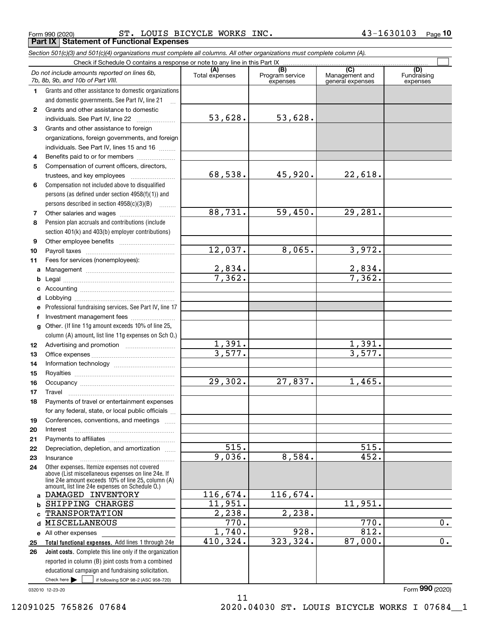Form 990 (2020) ST. LOUIS BICYCLE WORKS INC. 43-1630103 Page **Part IX Statement of Functional Expenses**

|                  | Section 501(c)(3) and 501(c)(4) organizations must complete all columns. All other organizations must complete column (A).                                                                                 |                       |                                    |                                                      |                                |
|------------------|------------------------------------------------------------------------------------------------------------------------------------------------------------------------------------------------------------|-----------------------|------------------------------------|------------------------------------------------------|--------------------------------|
|                  | Check if Schedule O contains a response or note to any line in this Part IX                                                                                                                                |                       |                                    |                                                      |                                |
|                  | Do not include amounts reported on lines 6b,<br>7b, 8b, 9b, and 10b of Part VIII.                                                                                                                          | (A)<br>Total expenses | (B)<br>Program service<br>expenses | $\overline{C}$<br>Management and<br>general expenses | (D)<br>Fundraising<br>expenses |
| 1.               | Grants and other assistance to domestic organizations                                                                                                                                                      |                       |                                    |                                                      |                                |
|                  | and domestic governments. See Part IV, line 21                                                                                                                                                             |                       |                                    |                                                      |                                |
| $\mathbf{2}$     | Grants and other assistance to domestic                                                                                                                                                                    |                       |                                    |                                                      |                                |
|                  | individuals. See Part IV, line 22                                                                                                                                                                          | 53,628.               | 53,628.                            |                                                      |                                |
| 3                | Grants and other assistance to foreign                                                                                                                                                                     |                       |                                    |                                                      |                                |
|                  | organizations, foreign governments, and foreign                                                                                                                                                            |                       |                                    |                                                      |                                |
|                  | individuals. See Part IV, lines 15 and 16                                                                                                                                                                  |                       |                                    |                                                      |                                |
| 4                | Benefits paid to or for members                                                                                                                                                                            |                       |                                    |                                                      |                                |
| 5                | Compensation of current officers, directors,                                                                                                                                                               |                       |                                    |                                                      |                                |
|                  |                                                                                                                                                                                                            | 68,538.               | 45,920.                            | 22,618.                                              |                                |
| 6                | Compensation not included above to disqualified                                                                                                                                                            |                       |                                    |                                                      |                                |
|                  | persons (as defined under section 4958(f)(1)) and                                                                                                                                                          |                       |                                    |                                                      |                                |
|                  | persons described in section 4958(c)(3)(B)                                                                                                                                                                 |                       |                                    |                                                      |                                |
| 7                |                                                                                                                                                                                                            | 88,731.               | 59,450.                            | 29,281.                                              |                                |
| 8                | Pension plan accruals and contributions (include                                                                                                                                                           |                       |                                    |                                                      |                                |
|                  | section 401(k) and 403(b) employer contributions)                                                                                                                                                          |                       |                                    |                                                      |                                |
| 9                |                                                                                                                                                                                                            |                       |                                    |                                                      |                                |
| 10               |                                                                                                                                                                                                            | 12,037.               | 8,065.                             | 3,972.                                               |                                |
| 11               | Fees for services (nonemployees):                                                                                                                                                                          |                       |                                    |                                                      |                                |
| a                |                                                                                                                                                                                                            | 2,834.                |                                    | $\frac{2,834.7}{7,362.}$                             |                                |
| b                |                                                                                                                                                                                                            | 7,362.                |                                    |                                                      |                                |
| c                |                                                                                                                                                                                                            |                       |                                    |                                                      |                                |
| d                |                                                                                                                                                                                                            |                       |                                    |                                                      |                                |
| е                | Professional fundraising services. See Part IV, line 17                                                                                                                                                    |                       |                                    |                                                      |                                |
| f                | Investment management fees                                                                                                                                                                                 |                       |                                    |                                                      |                                |
| g                | Other. (If line 11g amount exceeds 10% of line 25,                                                                                                                                                         |                       |                                    |                                                      |                                |
|                  | column (A) amount, list line 11g expenses on Sch O.)                                                                                                                                                       |                       |                                    |                                                      |                                |
| 12 <sup>12</sup> |                                                                                                                                                                                                            | 1,391.                |                                    | 1,391.                                               |                                |
| 13               |                                                                                                                                                                                                            | 3,577.                |                                    | 3,577.                                               |                                |
| 14               |                                                                                                                                                                                                            |                       |                                    |                                                      |                                |
| 15               |                                                                                                                                                                                                            |                       |                                    |                                                      |                                |
| 16               |                                                                                                                                                                                                            | 29,302.               | 27,837.                            | 1,465.                                               |                                |
| 17               |                                                                                                                                                                                                            |                       |                                    |                                                      |                                |
| 18               | Payments of travel or entertainment expenses                                                                                                                                                               |                       |                                    |                                                      |                                |
|                  | for any federal, state, or local public officials                                                                                                                                                          |                       |                                    |                                                      |                                |
| 19               | Conferences, conventions, and meetings                                                                                                                                                                     |                       |                                    |                                                      |                                |
| 20               | Interest                                                                                                                                                                                                   |                       |                                    |                                                      |                                |
| 21               |                                                                                                                                                                                                            |                       |                                    |                                                      |                                |
| 22               | Depreciation, depletion, and amortization                                                                                                                                                                  | 515.                  |                                    | 515.                                                 |                                |
| 23               | Insurance                                                                                                                                                                                                  | 9,036.                | 8,584.                             | 452.                                                 |                                |
| 24               | Other expenses. Itemize expenses not covered<br>above (List miscellaneous expenses on line 24e. If<br>line 24e amount exceeds 10% of line 25, column (A)<br>amount, list line 24e expenses on Schedule O.) |                       |                                    |                                                      |                                |
|                  | a DAMAGED INVENTORY                                                                                                                                                                                        | 116,674.              | 116,674.                           |                                                      |                                |
| b                | SHIPPING CHARGES                                                                                                                                                                                           | 11,951.               |                                    | 11,951.                                              |                                |
|                  | <b>TRANSPORTATION</b>                                                                                                                                                                                      | 2,238.                | 2,238.                             |                                                      |                                |
| d                | MISCELLANEOUS                                                                                                                                                                                              | 770.                  |                                    | 770.                                                 | 0.                             |
|                  | e All other expenses                                                                                                                                                                                       | 1,740.                | 928.                               | 812.                                                 |                                |
| 25               | Total functional expenses. Add lines 1 through 24e                                                                                                                                                         | 410,324.              | 323, 324.                          | 87,000.                                              | 0.                             |
| 26               | Joint costs. Complete this line only if the organization                                                                                                                                                   |                       |                                    |                                                      |                                |
|                  | reported in column (B) joint costs from a combined                                                                                                                                                         |                       |                                    |                                                      |                                |
|                  | educational campaign and fundraising solicitation.                                                                                                                                                         |                       |                                    |                                                      |                                |
|                  | Check here $\blacktriangleright$<br>if following SOP 98-2 (ASC 958-720)                                                                                                                                    |                       |                                    |                                                      |                                |

11

032010 12-23-20

Form (2020) **990**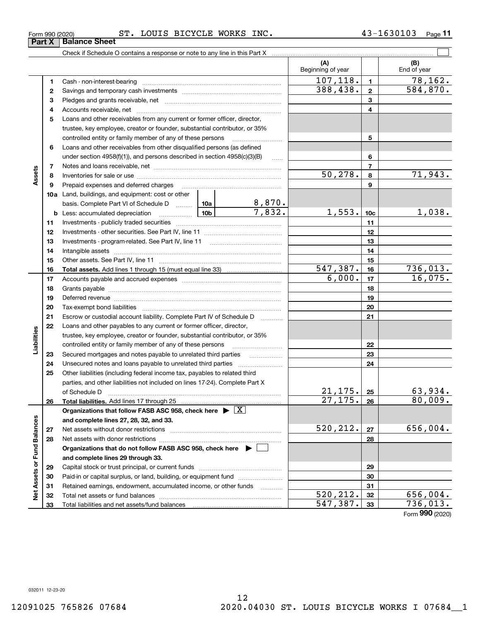**Part X Balance Sheet**

## Form 990 (2020) ST. LOUIS BICYCLE WORKS INC. 43-1630103 Page

|                             |    |                                                                                    |  |                     | (A)<br>Beginning of year |                 | (B)<br>End of year         |
|-----------------------------|----|------------------------------------------------------------------------------------|--|---------------------|--------------------------|-----------------|----------------------------|
|                             | 1  |                                                                                    |  |                     | 107, 118.                | $\blacksquare$  | 78,162.                    |
|                             | 2  |                                                                                    |  |                     | 388,438.                 | $\overline{2}$  | 584, 870.                  |
|                             | з  |                                                                                    |  |                     |                          | 3               |                            |
|                             | 4  |                                                                                    |  |                     |                          | 4               |                            |
|                             | 5  | Loans and other receivables from any current or former officer, director,          |  |                     |                          |                 |                            |
|                             |    | trustee, key employee, creator or founder, substantial contributor, or 35%         |  |                     |                          |                 |                            |
|                             |    | controlled entity or family member of any of these persons                         |  |                     |                          | 5               |                            |
|                             | 6  | Loans and other receivables from other disqualified persons (as defined            |  |                     |                          |                 |                            |
|                             |    | under section $4958(f)(1)$ , and persons described in section $4958(c)(3)(B)$      |  | $\ldots$            |                          | 6               |                            |
|                             | 7  |                                                                                    |  |                     |                          | $\overline{7}$  |                            |
| Assets                      | 8  |                                                                                    |  |                     | 50, 278.                 | 8               | 71,943.                    |
|                             | 9  | Prepaid expenses and deferred charges                                              |  |                     |                          | 9               |                            |
|                             |    | <b>10a</b> Land, buildings, and equipment: cost or other                           |  |                     |                          |                 |                            |
|                             |    |                                                                                    |  |                     |                          |                 |                            |
|                             | b  | <u>  10b</u><br>Less: accumulated depreciation                                     |  |                     | 1,553.                   | 10 <sub>c</sub> | 1,038.                     |
|                             | 11 |                                                                                    |  |                     |                          | 11              |                            |
|                             | 12 |                                                                                    |  |                     |                          | 12              |                            |
|                             | 13 |                                                                                    |  |                     |                          | 13              |                            |
|                             | 14 |                                                                                    |  |                     |                          | 14              |                            |
|                             | 15 |                                                                                    |  |                     |                          | 15              |                            |
|                             | 16 |                                                                                    |  |                     | 547,387.                 | 16              | $\frac{736,013.}{16,075.}$ |
|                             | 17 |                                                                                    |  |                     | 6,000.                   | 17              |                            |
|                             | 18 |                                                                                    |  |                     |                          | 18              |                            |
|                             | 19 |                                                                                    |  |                     |                          | 19              |                            |
|                             | 20 |                                                                                    |  |                     |                          | 20              |                            |
|                             | 21 | Escrow or custodial account liability. Complete Part IV of Schedule D              |  | 1.1.1.1.1.1.1.1.1.1 |                          | 21              |                            |
|                             | 22 | Loans and other payables to any current or former officer, director,               |  |                     |                          |                 |                            |
| abilities                   |    | trustee, key employee, creator or founder, substantial contributor, or 35%         |  |                     |                          |                 |                            |
|                             |    | controlled entity or family member of any of these persons                         |  |                     |                          | 22              |                            |
|                             | 23 | Secured mortgages and notes payable to unrelated third parties                     |  |                     |                          | 23              |                            |
|                             | 24 |                                                                                    |  |                     |                          | 24              |                            |
|                             | 25 | Other liabilities (including federal income tax, payables to related third         |  |                     |                          |                 |                            |
|                             |    | parties, and other liabilities not included on lines 17-24). Complete Part X       |  |                     |                          |                 |                            |
|                             |    | of Schedule D                                                                      |  |                     | 21, 175.                 | 25              | 63,934.                    |
|                             | 26 |                                                                                    |  |                     | 27, 175.                 | 26              | 80,009.                    |
|                             |    | Organizations that follow FASB ASC 958, check here $\blacktriangleright \boxed{X}$ |  |                     |                          |                 |                            |
|                             |    | and complete lines 27, 28, 32, and 33.                                             |  |                     |                          |                 |                            |
|                             | 27 |                                                                                    |  |                     | 520,212.                 | 27              | 656,004.                   |
|                             | 28 |                                                                                    |  |                     |                          | 28              |                            |
|                             |    | Organizations that do not follow FASB ASC 958, check here $\blacktriangleright$    |  |                     |                          |                 |                            |
|                             |    | and complete lines 29 through 33.                                                  |  |                     |                          |                 |                            |
| Net Assets or Fund Balances | 29 |                                                                                    |  |                     |                          | 29              |                            |
|                             | 30 | Paid-in or capital surplus, or land, building, or equipment fund                   |  |                     |                          | 30              |                            |
|                             | 31 | Retained earnings, endowment, accumulated income, or other funds                   |  | .                   |                          | 31              |                            |
|                             | 32 |                                                                                    |  |                     | 520, 212.                | 32              | 656,004.                   |
|                             | 33 |                                                                                    |  | 547,387.            | 33                       | 736,013.        |                            |

**11**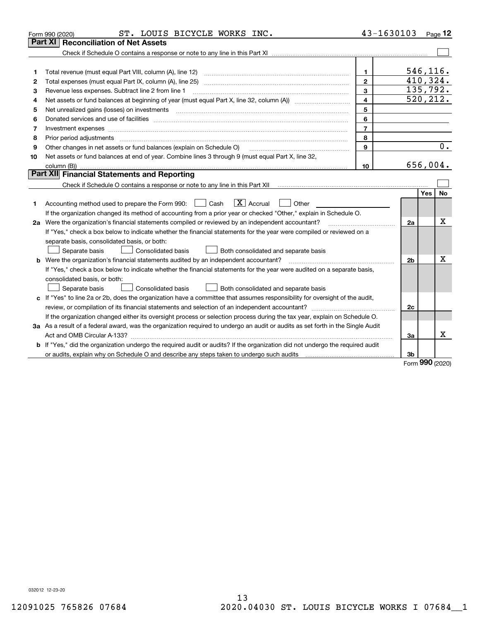|    | ST. LOUIS BICYCLE WORKS INC.<br>Form 990 (2020)                                                                                 | 43-1630103     |                |      | $P_{aqe}$ 12 |
|----|---------------------------------------------------------------------------------------------------------------------------------|----------------|----------------|------|--------------|
|    | <b>Reconciliation of Net Assets</b><br><b>Part XI</b>                                                                           |                |                |      |              |
|    |                                                                                                                                 |                |                |      |              |
|    |                                                                                                                                 |                |                |      |              |
| 1  | Total revenue (must equal Part VIII, column (A), line 12)                                                                       | $\mathbf 1$    | 546,116.       |      |              |
| 2  | Total expenses (must equal Part IX, column (A), line 25)                                                                        | $\overline{2}$ | 410, 324.      |      |              |
| 3  | Revenue less expenses. Subtract line 2 from line 1                                                                              | $\mathbf{3}$   | 135,792.       |      |              |
| 4  |                                                                                                                                 | 4              | 520, 212.      |      |              |
| 5  | Net unrealized gains (losses) on investments with an annumerous contract and a set of the set of the set of the                 | 5              |                |      |              |
| 6  |                                                                                                                                 | 6              |                |      |              |
| 7  | Investment expenses www.communication.com/www.communication.com/www.communication.com/www.communication.com/ww                  | $\overline{7}$ |                |      |              |
| 8  | Prior period adjustments                                                                                                        | 8              |                |      |              |
| 9  | Other changes in net assets or fund balances (explain on Schedule O)                                                            | 9              |                |      | 0.           |
| 10 | Net assets or fund balances at end of year. Combine lines 3 through 9 (must equal Part X, line 32,                              |                |                |      |              |
|    |                                                                                                                                 | 10             | 656,004.       |      |              |
|    | Part XII Financial Statements and Reporting                                                                                     |                |                |      |              |
|    |                                                                                                                                 |                |                |      |              |
|    |                                                                                                                                 |                |                | Yes  | <b>No</b>    |
| 1  | $\boxed{\text{X}}$ Accrual<br>Accounting method used to prepare the Form 990: [16] Cash<br>Other                                |                |                |      |              |
|    | If the organization changed its method of accounting from a prior year or checked "Other," explain in Schedule O.               |                |                |      |              |
|    | 2a Were the organization's financial statements compiled or reviewed by an independent accountant?                              |                | 2a             |      | x            |
|    | If "Yes," check a box below to indicate whether the financial statements for the year were compiled or reviewed on a            |                |                |      |              |
|    | separate basis, consolidated basis, or both:                                                                                    |                |                |      |              |
|    | Separate basis<br><b>Consolidated basis</b><br>Both consolidated and separate basis                                             |                |                |      |              |
|    | <b>b</b> Were the organization's financial statements audited by an independent accountant?                                     |                | 2 <sub>b</sub> |      | х            |
|    | If "Yes," check a box below to indicate whether the financial statements for the year were audited on a separate basis,         |                |                |      |              |
|    | consolidated basis, or both:                                                                                                    |                |                |      |              |
|    | Separate basis<br>Consolidated basis<br>Both consolidated and separate basis                                                    |                |                |      |              |
|    | c If "Yes" to line 2a or 2b, does the organization have a committee that assumes responsibility for oversight of the audit,     |                |                |      |              |
|    |                                                                                                                                 |                | 2c             |      |              |
|    | If the organization changed either its oversight process or selection process during the tax year, explain on Schedule O.       |                |                |      |              |
|    | 3a As a result of a federal award, was the organization required to undergo an audit or audits as set forth in the Single Audit |                |                |      |              |
|    |                                                                                                                                 |                | 3a             |      | x            |
|    | b If "Yes," did the organization undergo the required audit or audits? If the organization did not undergo the required audit   |                |                |      |              |
|    | or audits, explain why on Schedule O and describe any steps taken to undergo such audits                                        |                | 3b             | nnn. |              |

Form (2020) **990**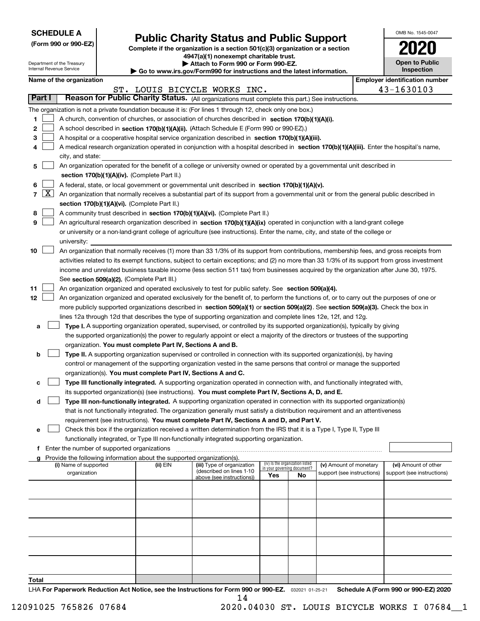| <b>SCHEDULE A</b> |
|-------------------|
|-------------------|

Department of the Treasury Internal Revenue Service

| (Form 990 or 990-EZ) |  |  |  |  |
|----------------------|--|--|--|--|
|----------------------|--|--|--|--|

# **Public Charity Status and Public Support**

**Complete if the organization is a section 501(c)(3) organization or a section 4947(a)(1) nonexempt charitable trust.**

| Attach to Form 990 or Form 990-EZ. |  |  |
|------------------------------------|--|--|
|------------------------------------|--|--|

**| Go to www.irs.gov/Form990 for instructions and the latest information.**

| OMB No. 1545-0047            |
|------------------------------|
| 2020                         |
| Open to Public<br>Inspection |

|                          | Name of the organization                                                                                                                                                                                                                        |          |                                                        |                                                                |     |                            |  | <b>Employer identification number</b> |  |  |
|--------------------------|-------------------------------------------------------------------------------------------------------------------------------------------------------------------------------------------------------------------------------------------------|----------|--------------------------------------------------------|----------------------------------------------------------------|-----|----------------------------|--|---------------------------------------|--|--|
|                          |                                                                                                                                                                                                                                                 |          | ST. LOUIS BICYCLE WORKS INC.                           |                                                                |     |                            |  | 43-1630103                            |  |  |
| <b>Part I</b>            | Reason for Public Charity Status. (All organizations must complete this part.) See instructions.                                                                                                                                                |          |                                                        |                                                                |     |                            |  |                                       |  |  |
|                          | The organization is not a private foundation because it is: (For lines 1 through 12, check only one box.)                                                                                                                                       |          |                                                        |                                                                |     |                            |  |                                       |  |  |
| 1                        | A church, convention of churches, or association of churches described in section 170(b)(1)(A)(i).                                                                                                                                              |          |                                                        |                                                                |     |                            |  |                                       |  |  |
| 2                        | A school described in section 170(b)(1)(A)(ii). (Attach Schedule E (Form 990 or 990-EZ).)                                                                                                                                                       |          |                                                        |                                                                |     |                            |  |                                       |  |  |
| З                        | A hospital or a cooperative hospital service organization described in section 170(b)(1)(A)(iii).                                                                                                                                               |          |                                                        |                                                                |     |                            |  |                                       |  |  |
|                          | A medical research organization operated in conjunction with a hospital described in section 170(b)(1)(A)(iii). Enter the hospital's name,                                                                                                      |          |                                                        |                                                                |     |                            |  |                                       |  |  |
|                          | city, and state:                                                                                                                                                                                                                                |          |                                                        |                                                                |     |                            |  |                                       |  |  |
| 5                        | An organization operated for the benefit of a college or university owned or operated by a governmental unit described in                                                                                                                       |          |                                                        |                                                                |     |                            |  |                                       |  |  |
|                          | section 170(b)(1)(A)(iv). (Complete Part II.)                                                                                                                                                                                                   |          |                                                        |                                                                |     |                            |  |                                       |  |  |
| 6                        | A federal, state, or local government or governmental unit described in section 170(b)(1)(A)(v).                                                                                                                                                |          |                                                        |                                                                |     |                            |  |                                       |  |  |
| $\lfloor x \rfloor$<br>7 | An organization that normally receives a substantial part of its support from a governmental unit or from the general public described in                                                                                                       |          |                                                        |                                                                |     |                            |  |                                       |  |  |
|                          | section 170(b)(1)(A)(vi). (Complete Part II.)                                                                                                                                                                                                   |          |                                                        |                                                                |     |                            |  |                                       |  |  |
| 8                        | A community trust described in section 170(b)(1)(A)(vi). (Complete Part II.)                                                                                                                                                                    |          |                                                        |                                                                |     |                            |  |                                       |  |  |
| 9                        | An agricultural research organization described in section 170(b)(1)(A)(ix) operated in conjunction with a land-grant college                                                                                                                   |          |                                                        |                                                                |     |                            |  |                                       |  |  |
|                          | or university or a non-land-grant college of agriculture (see instructions). Enter the name, city, and state of the college or                                                                                                                  |          |                                                        |                                                                |     |                            |  |                                       |  |  |
|                          | university:                                                                                                                                                                                                                                     |          |                                                        |                                                                |     |                            |  |                                       |  |  |
| 10                       | An organization that normally receives (1) more than 33 1/3% of its support from contributions, membership fees, and gross receipts from                                                                                                        |          |                                                        |                                                                |     |                            |  |                                       |  |  |
|                          | activities related to its exempt functions, subject to certain exceptions; and (2) no more than 33 1/3% of its support from gross investment                                                                                                    |          |                                                        |                                                                |     |                            |  |                                       |  |  |
|                          | income and unrelated business taxable income (less section 511 tax) from businesses acquired by the organization after June 30, 1975.                                                                                                           |          |                                                        |                                                                |     |                            |  |                                       |  |  |
|                          | See section 509(a)(2). (Complete Part III.)                                                                                                                                                                                                     |          |                                                        |                                                                |     |                            |  |                                       |  |  |
| 11                       | An organization organized and operated exclusively to test for public safety. See section 509(a)(4).                                                                                                                                            |          |                                                        |                                                                |     |                            |  |                                       |  |  |
| 12                       | An organization organized and operated exclusively for the benefit of, to perform the functions of, or to carry out the purposes of one or                                                                                                      |          |                                                        |                                                                |     |                            |  |                                       |  |  |
|                          | more publicly supported organizations described in section 509(a)(1) or section 509(a)(2). See section 509(a)(3). Check the box in                                                                                                              |          |                                                        |                                                                |     |                            |  |                                       |  |  |
|                          | lines 12a through 12d that describes the type of supporting organization and complete lines 12e, 12f, and 12g.                                                                                                                                  |          |                                                        |                                                                |     |                            |  |                                       |  |  |
| а                        | Type I. A supporting organization operated, supervised, or controlled by its supported organization(s), typically by giving                                                                                                                     |          |                                                        |                                                                |     |                            |  |                                       |  |  |
|                          | the supported organization(s) the power to regularly appoint or elect a majority of the directors or trustees of the supporting                                                                                                                 |          |                                                        |                                                                |     |                            |  |                                       |  |  |
|                          | organization. You must complete Part IV, Sections A and B.                                                                                                                                                                                      |          |                                                        |                                                                |     |                            |  |                                       |  |  |
| b                        | Type II. A supporting organization supervised or controlled in connection with its supported organization(s), by having<br>control or management of the supporting organization vested in the same persons that control or manage the supported |          |                                                        |                                                                |     |                            |  |                                       |  |  |
|                          | organization(s). You must complete Part IV, Sections A and C.                                                                                                                                                                                   |          |                                                        |                                                                |     |                            |  |                                       |  |  |
| c                        | Type III functionally integrated. A supporting organization operated in connection with, and functionally integrated with,                                                                                                                      |          |                                                        |                                                                |     |                            |  |                                       |  |  |
|                          | its supported organization(s) (see instructions). You must complete Part IV, Sections A, D, and E.                                                                                                                                              |          |                                                        |                                                                |     |                            |  |                                       |  |  |
| d                        | Type III non-functionally integrated. A supporting organization operated in connection with its supported organization(s)                                                                                                                       |          |                                                        |                                                                |     |                            |  |                                       |  |  |
|                          | that is not functionally integrated. The organization generally must satisfy a distribution requirement and an attentiveness                                                                                                                    |          |                                                        |                                                                |     |                            |  |                                       |  |  |
|                          | requirement (see instructions). You must complete Part IV, Sections A and D, and Part V.                                                                                                                                                        |          |                                                        |                                                                |     |                            |  |                                       |  |  |
| е                        | Check this box if the organization received a written determination from the IRS that it is a Type I, Type II, Type III                                                                                                                         |          |                                                        |                                                                |     |                            |  |                                       |  |  |
|                          | functionally integrated, or Type III non-functionally integrated supporting organization.                                                                                                                                                       |          |                                                        |                                                                |     |                            |  |                                       |  |  |
|                          | f Enter the number of supported organizations                                                                                                                                                                                                   |          |                                                        |                                                                |     |                            |  |                                       |  |  |
|                          | g Provide the following information about the supported organization(s).                                                                                                                                                                        |          |                                                        |                                                                |     |                            |  |                                       |  |  |
|                          | (i) Name of supported                                                                                                                                                                                                                           | (ii) EIN | (iii) Type of organization<br>(described on lines 1-10 | (iv) Is the organization listed<br>in your governing document? |     | (v) Amount of monetary     |  | (vi) Amount of other                  |  |  |
|                          | organization                                                                                                                                                                                                                                    |          | above (see instructions))                              | Yes                                                            | No. | support (see instructions) |  | support (see instructions)            |  |  |
|                          |                                                                                                                                                                                                                                                 |          |                                                        |                                                                |     |                            |  |                                       |  |  |
|                          |                                                                                                                                                                                                                                                 |          |                                                        |                                                                |     |                            |  |                                       |  |  |
|                          |                                                                                                                                                                                                                                                 |          |                                                        |                                                                |     |                            |  |                                       |  |  |
|                          |                                                                                                                                                                                                                                                 |          |                                                        |                                                                |     |                            |  |                                       |  |  |
|                          |                                                                                                                                                                                                                                                 |          |                                                        |                                                                |     |                            |  |                                       |  |  |
|                          |                                                                                                                                                                                                                                                 |          |                                                        |                                                                |     |                            |  |                                       |  |  |
|                          |                                                                                                                                                                                                                                                 |          |                                                        |                                                                |     |                            |  |                                       |  |  |
|                          |                                                                                                                                                                                                                                                 |          |                                                        |                                                                |     |                            |  |                                       |  |  |
|                          |                                                                                                                                                                                                                                                 |          |                                                        |                                                                |     |                            |  |                                       |  |  |
|                          |                                                                                                                                                                                                                                                 |          |                                                        |                                                                |     |                            |  |                                       |  |  |
| Total                    |                                                                                                                                                                                                                                                 |          |                                                        |                                                                |     |                            |  |                                       |  |  |

LHA For Paperwork Reduction Act Notice, see the Instructions for Form 990 or 990-EZ. <sub>032021</sub> o1-25-21 Schedule A (Form 990 or 990-EZ) 2020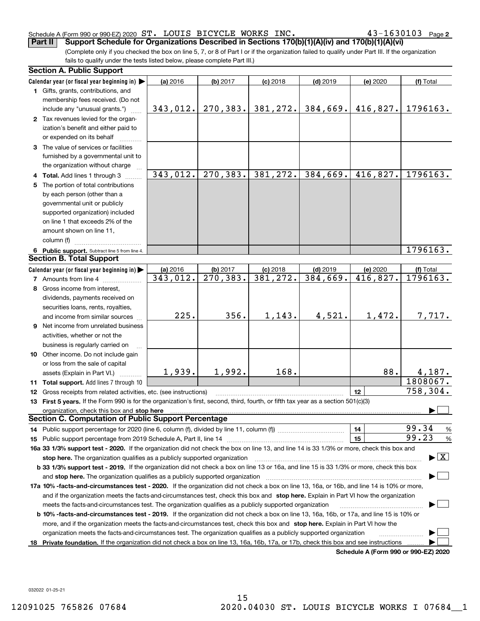#### Schedule A (Form 990 or 990-EZ) 2020 S'I' LOUIS BICYCLE WORKS INC . 4 J – I b J U I U J Page ST. LOUIS BICYCLE WORKS INC. 43-1630103

**2**

(Complete only if you checked the box on line 5, 7, or 8 of Part I or if the organization failed to qualify under Part III. If the organization fails to qualify under the tests listed below, please complete Part III.) **Part II Support Schedule for Organizations Described in Sections 170(b)(1)(A)(iv) and 170(b)(1)(A)(vi)**

|    | <b>Section A. Public Support</b>                                                                                                               |          |                        |            |            |                                      |                                          |
|----|------------------------------------------------------------------------------------------------------------------------------------------------|----------|------------------------|------------|------------|--------------------------------------|------------------------------------------|
|    | Calendar year (or fiscal year beginning in)                                                                                                    | (a) 2016 | (b) 2017               | $(c)$ 2018 | $(d)$ 2019 | (e) 2020                             | (f) Total                                |
|    | 1 Gifts, grants, contributions, and                                                                                                            |          |                        |            |            |                                      |                                          |
|    | membership fees received. (Do not                                                                                                              |          |                        |            |            |                                      |                                          |
|    | include any "unusual grants.")                                                                                                                 | 343,012. | 270, 383.              | 381,272.   | 384,669.   | 416,827.                             | 1796163.                                 |
|    | 2 Tax revenues levied for the organ-                                                                                                           |          |                        |            |            |                                      |                                          |
|    | ization's benefit and either paid to                                                                                                           |          |                        |            |            |                                      |                                          |
|    | or expended on its behalf                                                                                                                      |          |                        |            |            |                                      |                                          |
|    | 3 The value of services or facilities                                                                                                          |          |                        |            |            |                                      |                                          |
|    | furnished by a governmental unit to                                                                                                            |          |                        |            |            |                                      |                                          |
|    | the organization without charge                                                                                                                |          |                        |            |            |                                      |                                          |
|    | 4 Total. Add lines 1 through 3                                                                                                                 | 343,012. | 270,383.               | 381,272.   | 384,669.   | 416,827.                             | 1796163.                                 |
|    | 5 The portion of total contributions                                                                                                           |          |                        |            |            |                                      |                                          |
|    | by each person (other than a                                                                                                                   |          |                        |            |            |                                      |                                          |
|    | governmental unit or publicly                                                                                                                  |          |                        |            |            |                                      |                                          |
|    | supported organization) included                                                                                                               |          |                        |            |            |                                      |                                          |
|    | on line 1 that exceeds 2% of the                                                                                                               |          |                        |            |            |                                      |                                          |
|    |                                                                                                                                                |          |                        |            |            |                                      |                                          |
|    | amount shown on line 11,<br>column (f)                                                                                                         |          |                        |            |            |                                      |                                          |
|    |                                                                                                                                                |          |                        |            |            |                                      | 1796163.                                 |
|    | 6 Public support. Subtract line 5 from line 4.<br><b>Section B. Total Support</b>                                                              |          |                        |            |            |                                      |                                          |
|    |                                                                                                                                                |          |                        |            |            |                                      |                                          |
|    | Calendar year (or fiscal year beginning in)                                                                                                    | (a) 2016 | (b) 2017               | $(c)$ 2018 | $(d)$ 2019 | (e) 2020                             | (f) Total                                |
|    | <b>7</b> Amounts from line 4                                                                                                                   | 343,012. | $\overline{270,383}$ . | 381, 272.  | 384,669.   | 416,827.                             | 1796163.                                 |
|    | 8 Gross income from interest,                                                                                                                  |          |                        |            |            |                                      |                                          |
|    | dividends, payments received on                                                                                                                |          |                        |            |            |                                      |                                          |
|    | securities loans, rents, royalties,                                                                                                            |          |                        |            |            |                                      |                                          |
|    | and income from similar sources                                                                                                                | 225.     | 356.                   | 1,143.     | 4,521.     | 1,472.                               | 7,717.                                   |
|    | 9 Net income from unrelated business                                                                                                           |          |                        |            |            |                                      |                                          |
|    | activities, whether or not the                                                                                                                 |          |                        |            |            |                                      |                                          |
|    | business is regularly carried on                                                                                                               |          |                        |            |            |                                      |                                          |
|    | 10 Other income. Do not include gain                                                                                                           |          |                        |            |            |                                      |                                          |
|    | or loss from the sale of capital                                                                                                               |          |                        |            |            |                                      |                                          |
|    | assets (Explain in Part VI.)                                                                                                                   | 1,939.   | 1,992.                 | 168.       |            | 88.                                  | 4,187.                                   |
|    | 11 Total support. Add lines 7 through 10                                                                                                       |          |                        |            |            |                                      | 1808067.                                 |
|    | <b>12</b> Gross receipts from related activities, etc. (see instructions)                                                                      |          |                        |            |            | 12                                   | 758,304.                                 |
|    | 13 First 5 years. If the Form 990 is for the organization's first, second, third, fourth, or fifth tax year as a section 501(c)(3)             |          |                        |            |            |                                      |                                          |
|    | organization, check this box and stop here                                                                                                     |          |                        |            |            |                                      |                                          |
|    | <b>Section C. Computation of Public Support Percentage</b>                                                                                     |          |                        |            |            |                                      |                                          |
|    |                                                                                                                                                |          |                        |            |            | 14                                   | 99.34<br>%                               |
|    |                                                                                                                                                |          |                        |            |            | 15                                   | 99.23<br>$\%$                            |
|    | 16a 33 1/3% support test - 2020. If the organization did not check the box on line 13, and line 14 is 33 1/3% or more, check this box and      |          |                        |            |            |                                      |                                          |
|    | stop here. The organization qualifies as a publicly supported organization                                                                     |          |                        |            |            |                                      | $\blacktriangleright$ $\boxed{\text{X}}$ |
|    | b 33 1/3% support test - 2019. If the organization did not check a box on line 13 or 16a, and line 15 is 33 1/3% or more, check this box       |          |                        |            |            |                                      |                                          |
|    | and stop here. The organization qualifies as a publicly supported organization                                                                 |          |                        |            |            |                                      |                                          |
|    | 17a 10% -facts-and-circumstances test - 2020. If the organization did not check a box on line 13, 16a, or 16b, and line 14 is 10% or more,     |          |                        |            |            |                                      |                                          |
|    | and if the organization meets the facts-and-circumstances test, check this box and stop here. Explain in Part VI how the organization          |          |                        |            |            |                                      |                                          |
|    | meets the facts-and-circumstances test. The organization qualifies as a publicly supported organization                                        |          |                        |            |            |                                      |                                          |
|    |                                                                                                                                                |          |                        |            |            |                                      |                                          |
|    | <b>b 10% -facts-and-circumstances test - 2019.</b> If the organization did not check a box on line 13, 16a, 16b, or 17a, and line 15 is 10% or |          |                        |            |            |                                      |                                          |
|    | more, and if the organization meets the facts-and-circumstances test, check this box and stop here. Explain in Part VI how the                 |          |                        |            |            |                                      |                                          |
|    | organization meets the facts-and-circumstances test. The organization qualifies as a publicly supported organization                           |          |                        |            |            |                                      |                                          |
| 18 | Private foundation. If the organization did not check a box on line 13, 16a, 16b, 17a, or 17b, check this box and see instructions             |          |                        |            |            | Schedule A (Form 990 or 990-F7) 2020 |                                          |

**Schedule A (Form 990 or 990-EZ) 2020**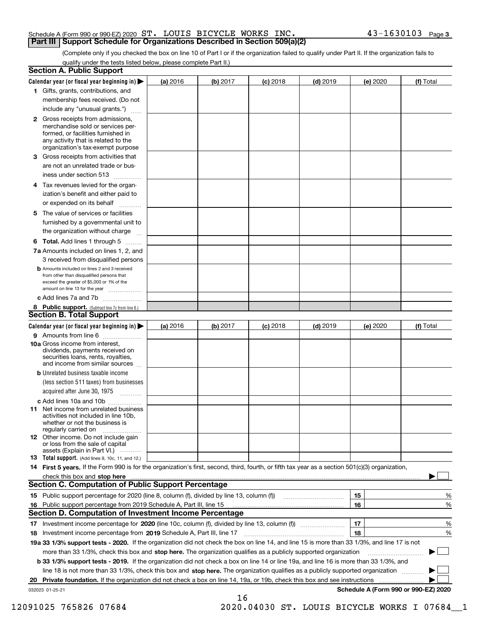#### Schedule A (Form 990 or 990-EZ) 2020 Page ST. LOUIS BICYCLE WORKS INC. 43-1630103 **Part III Support Schedule for Organizations Described in Section 509(a)(2)**

(Complete only if you checked the box on line 10 of Part I or if the organization failed to qualify under Part II. If the organization fails to qualify under the tests listed below, please complete Part II.)

|    | <b>Section A. Public Support</b>                                                                                                                                                         |          |          |            |            |          |                                      |
|----|------------------------------------------------------------------------------------------------------------------------------------------------------------------------------------------|----------|----------|------------|------------|----------|--------------------------------------|
|    | Calendar year (or fiscal year beginning in) $\blacktriangleright$                                                                                                                        | (a) 2016 | (b) 2017 | $(c)$ 2018 | $(d)$ 2019 | (e) 2020 | (f) Total                            |
|    | 1 Gifts, grants, contributions, and                                                                                                                                                      |          |          |            |            |          |                                      |
|    | membership fees received. (Do not                                                                                                                                                        |          |          |            |            |          |                                      |
|    | include any "unusual grants.")                                                                                                                                                           |          |          |            |            |          |                                      |
|    | 2 Gross receipts from admissions,<br>merchandise sold or services per-<br>formed, or facilities furnished in<br>any activity that is related to the<br>organization's tax-exempt purpose |          |          |            |            |          |                                      |
|    | 3 Gross receipts from activities that<br>are not an unrelated trade or bus-                                                                                                              |          |          |            |            |          |                                      |
|    | iness under section 513                                                                                                                                                                  |          |          |            |            |          |                                      |
|    | 4 Tax revenues levied for the organ-                                                                                                                                                     |          |          |            |            |          |                                      |
|    | ization's benefit and either paid to<br>or expended on its behalf<br>.                                                                                                                   |          |          |            |            |          |                                      |
|    | 5 The value of services or facilities                                                                                                                                                    |          |          |            |            |          |                                      |
|    | furnished by a governmental unit to                                                                                                                                                      |          |          |            |            |          |                                      |
|    | the organization without charge                                                                                                                                                          |          |          |            |            |          |                                      |
|    | <b>6 Total.</b> Add lines 1 through 5                                                                                                                                                    |          |          |            |            |          |                                      |
|    | 7a Amounts included on lines 1, 2, and<br>3 received from disqualified persons                                                                                                           |          |          |            |            |          |                                      |
|    | <b>b</b> Amounts included on lines 2 and 3 received<br>from other than disqualified persons that<br>exceed the greater of \$5,000 or 1% of the<br>amount on line 13 for the year         |          |          |            |            |          |                                      |
|    | c Add lines 7a and 7b                                                                                                                                                                    |          |          |            |            |          |                                      |
|    | 8 Public support. (Subtract line 7c from line 6.)<br><b>Section B. Total Support</b>                                                                                                     |          |          |            |            |          |                                      |
|    | Calendar year (or fiscal year beginning in) $\blacktriangleright$                                                                                                                        | (a) 2016 | (b) 2017 | $(c)$ 2018 | $(d)$ 2019 | (e) 2020 | (f) Total                            |
|    | 9 Amounts from line 6                                                                                                                                                                    |          |          |            |            |          |                                      |
|    | 10a Gross income from interest,<br>dividends, payments received on<br>securities loans, rents, royalties,<br>and income from similar sources                                             |          |          |            |            |          |                                      |
|    | <b>b</b> Unrelated business taxable income                                                                                                                                               |          |          |            |            |          |                                      |
|    | (less section 511 taxes) from businesses                                                                                                                                                 |          |          |            |            |          |                                      |
|    | acquired after June 30, 1975                                                                                                                                                             |          |          |            |            |          |                                      |
|    | c Add lines 10a and 10b                                                                                                                                                                  |          |          |            |            |          |                                      |
|    | 11 Net income from unrelated business<br>activities not included in line 10b,<br>whether or not the business is<br>regularly carried on                                                  |          |          |            |            |          |                                      |
|    | 12 Other income. Do not include gain<br>or loss from the sale of capital<br>assets (Explain in Part VI.)                                                                                 |          |          |            |            |          |                                      |
|    | <b>13</b> Total support. (Add lines 9, 10c, 11, and 12.)                                                                                                                                 |          |          |            |            |          |                                      |
|    | 14 First 5 years. If the Form 990 is for the organization's first, second, third, fourth, or fifth tax year as a section 501(c)(3) organization,                                         |          |          |            |            |          |                                      |
|    |                                                                                                                                                                                          |          |          |            |            |          |                                      |
|    | Section C. Computation of Public Support Percentage                                                                                                                                      |          |          |            |            |          |                                      |
|    | 15 Public support percentage for 2020 (line 8, column (f), divided by line 13, column (f))                                                                                               |          |          |            |            | 15       | %                                    |
|    | 16 Public support percentage from 2019 Schedule A, Part III, line 15<br><b>Section D. Computation of Investment Income Percentage</b>                                                    |          |          |            |            | 16       | %                                    |
|    | 17 Investment income percentage for 2020 (line 10c, column (f), divided by line 13, column (f))                                                                                          |          |          |            |            | 17       | %                                    |
|    | <b>18</b> Investment income percentage from <b>2019</b> Schedule A, Part III, line 17                                                                                                    |          |          |            |            | 18       | %                                    |
|    | 19a 33 1/3% support tests - 2020. If the organization did not check the box on line 14, and line 15 is more than 33 1/3%, and line 17 is not                                             |          |          |            |            |          |                                      |
|    | more than 33 1/3%, check this box and stop here. The organization qualifies as a publicly supported organization                                                                         |          |          |            |            |          | ▶                                    |
|    | b 33 1/3% support tests - 2019. If the organization did not check a box on line 14 or line 19a, and line 16 is more than 33 1/3%, and                                                    |          |          |            |            |          |                                      |
|    | line 18 is not more than 33 1/3%, check this box and stop here. The organization qualifies as a publicly supported organization                                                          |          |          |            |            |          |                                      |
| 20 | <b>Private foundation.</b> If the organization did not check a box on line 14, 19a, or 19b, check this box and see instructions                                                          |          |          |            |            |          |                                      |
|    | 032023 01-25-21                                                                                                                                                                          |          | 16       |            |            |          | Schedule A (Form 990 or 990-EZ) 2020 |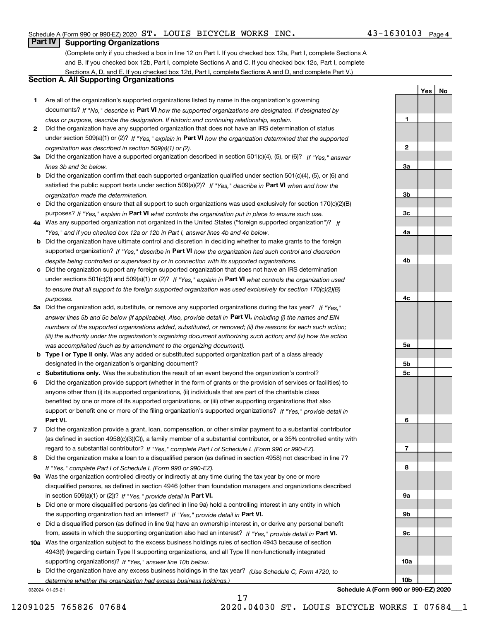# Schedule A (Form 990 or 990-EZ) 2020 Page ST. LOUIS BICYCLE WORKS INC. 43-1630103

# **Part IV Supporting Organizations**

(Complete only if you checked a box in line 12 on Part I. If you checked box 12a, Part I, complete Sections A and B. If you checked box 12b, Part I, complete Sections A and C. If you checked box 12c, Part I, complete Sections A, D, and E. If you checked box 12d, Part I, complete Sections A and D, and complete Part V.)

# **Section A. All Supporting Organizations**

- **1** Are all of the organization's supported organizations listed by name in the organization's governing documents? If "No," describe in **Part VI** how the supported organizations are designated. If designated by *class or purpose, describe the designation. If historic and continuing relationship, explain.*
- **2** Did the organization have any supported organization that does not have an IRS determination of status under section 509(a)(1) or (2)? If "Yes," explain in Part VI how the organization determined that the supported *organization was described in section 509(a)(1) or (2).*
- **3a** Did the organization have a supported organization described in section 501(c)(4), (5), or (6)? If "Yes," answer *lines 3b and 3c below.*
- **b** Did the organization confirm that each supported organization qualified under section 501(c)(4), (5), or (6) and satisfied the public support tests under section 509(a)(2)? If "Yes," describe in **Part VI** when and how the *organization made the determination.*
- **c**Did the organization ensure that all support to such organizations was used exclusively for section 170(c)(2)(B) purposes? If "Yes," explain in **Part VI** what controls the organization put in place to ensure such use.
- **4a***If* Was any supported organization not organized in the United States ("foreign supported organization")? *"Yes," and if you checked box 12a or 12b in Part I, answer lines 4b and 4c below.*
- **b** Did the organization have ultimate control and discretion in deciding whether to make grants to the foreign supported organization? If "Yes," describe in **Part VI** how the organization had such control and discretion *despite being controlled or supervised by or in connection with its supported organizations.*
- **c** Did the organization support any foreign supported organization that does not have an IRS determination under sections 501(c)(3) and 509(a)(1) or (2)? If "Yes," explain in **Part VI** what controls the organization used *to ensure that all support to the foreign supported organization was used exclusively for section 170(c)(2)(B) purposes.*
- **5a** Did the organization add, substitute, or remove any supported organizations during the tax year? If "Yes," answer lines 5b and 5c below (if applicable). Also, provide detail in **Part VI,** including (i) the names and EIN *numbers of the supported organizations added, substituted, or removed; (ii) the reasons for each such action; (iii) the authority under the organization's organizing document authorizing such action; and (iv) how the action was accomplished (such as by amendment to the organizing document).*
- **b** Type I or Type II only. Was any added or substituted supported organization part of a class already designated in the organization's organizing document?
- **cSubstitutions only.**  Was the substitution the result of an event beyond the organization's control?
- **6** Did the organization provide support (whether in the form of grants or the provision of services or facilities) to **Part VI.** *If "Yes," provide detail in* support or benefit one or more of the filing organization's supported organizations? anyone other than (i) its supported organizations, (ii) individuals that are part of the charitable class benefited by one or more of its supported organizations, or (iii) other supporting organizations that also
- **7**Did the organization provide a grant, loan, compensation, or other similar payment to a substantial contributor *If "Yes," complete Part I of Schedule L (Form 990 or 990-EZ).* regard to a substantial contributor? (as defined in section 4958(c)(3)(C)), a family member of a substantial contributor, or a 35% controlled entity with
- **8** Did the organization make a loan to a disqualified person (as defined in section 4958) not described in line 7? *If "Yes," complete Part I of Schedule L (Form 990 or 990-EZ).*
- **9a** Was the organization controlled directly or indirectly at any time during the tax year by one or more in section 509(a)(1) or (2))? If "Yes," *provide detail in* <code>Part VI.</code> disqualified persons, as defined in section 4946 (other than foundation managers and organizations described
- **b** Did one or more disqualified persons (as defined in line 9a) hold a controlling interest in any entity in which the supporting organization had an interest? If "Yes," provide detail in P**art VI**.
- **c**Did a disqualified person (as defined in line 9a) have an ownership interest in, or derive any personal benefit from, assets in which the supporting organization also had an interest? If "Yes," provide detail in P**art VI.**
- **10a** Was the organization subject to the excess business holdings rules of section 4943 because of section supporting organizations)? If "Yes," answer line 10b below. 4943(f) (regarding certain Type II supporting organizations, and all Type III non-functionally integrated
- **b** Did the organization have any excess business holdings in the tax year? (Use Schedule C, Form 4720, to *determine whether the organization had excess business holdings.)*

032024 01-25-21

**23a3b3c4a4b4c5a 5b5c6789a 9b9c10a**

**Schedule A (Form 990 or 990-EZ) 2020**

**10b**

**YesNo**

**1**

12091025 765826 07684 2020.04030 ST. LOUIS BICYCLE WORKS I 07684\_\_1

17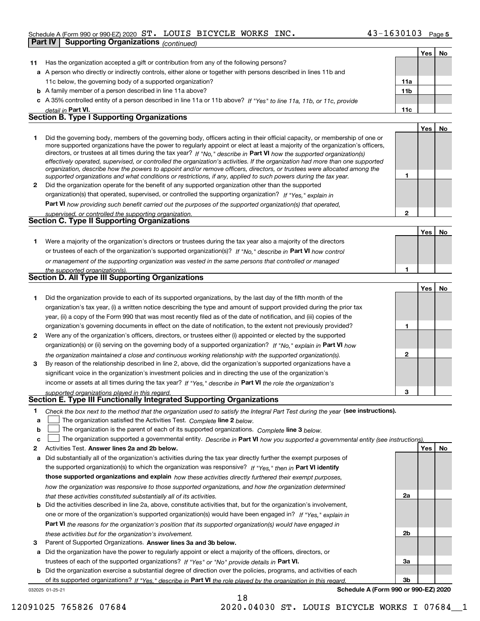### Schedule A (Form 990 or 990-EZ) 2020 Page ST. LOUIS BICYCLE WORKS INC. 43-1630103

|    | Part IV | <b>Supporting Organizations (continued)</b>                                                                                                                                                                                                                                                                                                                                                                                                                                                                                                                                                                                                          |                 |            |           |
|----|---------|------------------------------------------------------------------------------------------------------------------------------------------------------------------------------------------------------------------------------------------------------------------------------------------------------------------------------------------------------------------------------------------------------------------------------------------------------------------------------------------------------------------------------------------------------------------------------------------------------------------------------------------------------|-----------------|------------|-----------|
|    |         |                                                                                                                                                                                                                                                                                                                                                                                                                                                                                                                                                                                                                                                      |                 | Yes        | No        |
| 11 |         | Has the organization accepted a gift or contribution from any of the following persons?                                                                                                                                                                                                                                                                                                                                                                                                                                                                                                                                                              |                 |            |           |
|    |         | a A person who directly or indirectly controls, either alone or together with persons described in lines 11b and                                                                                                                                                                                                                                                                                                                                                                                                                                                                                                                                     |                 |            |           |
|    |         | 11c below, the governing body of a supported organization?                                                                                                                                                                                                                                                                                                                                                                                                                                                                                                                                                                                           | 11a             |            |           |
|    |         | <b>b</b> A family member of a person described in line 11a above?                                                                                                                                                                                                                                                                                                                                                                                                                                                                                                                                                                                    | 11 <sub>b</sub> |            |           |
|    |         | c A 35% controlled entity of a person described in line 11a or 11b above? If "Yes" to line 11a, 11b, or 11c, provide                                                                                                                                                                                                                                                                                                                                                                                                                                                                                                                                 |                 |            |           |
|    |         | detail in Part VI.                                                                                                                                                                                                                                                                                                                                                                                                                                                                                                                                                                                                                                   | 11c             |            |           |
|    |         | <b>Section B. Type I Supporting Organizations</b>                                                                                                                                                                                                                                                                                                                                                                                                                                                                                                                                                                                                    |                 |            |           |
|    |         |                                                                                                                                                                                                                                                                                                                                                                                                                                                                                                                                                                                                                                                      |                 | Yes        | No        |
| 1  |         | Did the governing body, members of the governing body, officers acting in their official capacity, or membership of one or<br>more supported organizations have the power to regularly appoint or elect at least a majority of the organization's officers,<br>directors, or trustees at all times during the tax year? If "No," describe in Part VI how the supported organization(s)<br>effectively operated, supervised, or controlled the organization's activities. If the organization had more than one supported<br>organization, describe how the powers to appoint and/or remove officers, directors, or trustees were allocated among the |                 |            |           |
|    |         | supported organizations and what conditions or restrictions, if any, applied to such powers during the tax year.                                                                                                                                                                                                                                                                                                                                                                                                                                                                                                                                     | 1               |            |           |
| 2  |         | Did the organization operate for the benefit of any supported organization other than the supported                                                                                                                                                                                                                                                                                                                                                                                                                                                                                                                                                  |                 |            |           |
|    |         | organization(s) that operated, supervised, or controlled the supporting organization? If "Yes," explain in                                                                                                                                                                                                                                                                                                                                                                                                                                                                                                                                           |                 |            |           |
|    |         | Part VI how providing such benefit carried out the purposes of the supported organization(s) that operated,                                                                                                                                                                                                                                                                                                                                                                                                                                                                                                                                          |                 |            |           |
|    |         | supervised, or controlled the supporting organization.                                                                                                                                                                                                                                                                                                                                                                                                                                                                                                                                                                                               | $\overline{2}$  |            |           |
|    |         | Section C. Type II Supporting Organizations                                                                                                                                                                                                                                                                                                                                                                                                                                                                                                                                                                                                          |                 |            |           |
|    |         |                                                                                                                                                                                                                                                                                                                                                                                                                                                                                                                                                                                                                                                      |                 | Yes        | No        |
| 1. |         | Were a majority of the organization's directors or trustees during the tax year also a majority of the directors                                                                                                                                                                                                                                                                                                                                                                                                                                                                                                                                     |                 |            |           |
|    |         | or trustees of each of the organization's supported organization(s)? If "No," describe in Part VI how control                                                                                                                                                                                                                                                                                                                                                                                                                                                                                                                                        |                 |            |           |
|    |         | or management of the supporting organization was vested in the same persons that controlled or managed                                                                                                                                                                                                                                                                                                                                                                                                                                                                                                                                               |                 |            |           |
|    |         | the supported organization(s).                                                                                                                                                                                                                                                                                                                                                                                                                                                                                                                                                                                                                       | 1               |            |           |
|    |         | <b>Section D. All Type III Supporting Organizations</b>                                                                                                                                                                                                                                                                                                                                                                                                                                                                                                                                                                                              |                 |            |           |
|    |         |                                                                                                                                                                                                                                                                                                                                                                                                                                                                                                                                                                                                                                                      |                 | Yes        | No        |
| 1  |         | Did the organization provide to each of its supported organizations, by the last day of the fifth month of the                                                                                                                                                                                                                                                                                                                                                                                                                                                                                                                                       |                 |            |           |
|    |         | organization's tax year, (i) a written notice describing the type and amount of support provided during the prior tax                                                                                                                                                                                                                                                                                                                                                                                                                                                                                                                                |                 |            |           |
|    |         | year, (ii) a copy of the Form 990 that was most recently filed as of the date of notification, and (iii) copies of the                                                                                                                                                                                                                                                                                                                                                                                                                                                                                                                               |                 |            |           |
|    |         | organization's governing documents in effect on the date of notification, to the extent not previously provided?                                                                                                                                                                                                                                                                                                                                                                                                                                                                                                                                     | 1               |            |           |
| 2  |         | Were any of the organization's officers, directors, or trustees either (i) appointed or elected by the supported                                                                                                                                                                                                                                                                                                                                                                                                                                                                                                                                     |                 |            |           |
|    |         | organization(s) or (ii) serving on the governing body of a supported organization? If "No," explain in Part VI how                                                                                                                                                                                                                                                                                                                                                                                                                                                                                                                                   |                 |            |           |
|    |         | the organization maintained a close and continuous working relationship with the supported organization(s).                                                                                                                                                                                                                                                                                                                                                                                                                                                                                                                                          | $\mathbf 2$     |            |           |
| 3  |         | By reason of the relationship described in line 2, above, did the organization's supported organizations have a                                                                                                                                                                                                                                                                                                                                                                                                                                                                                                                                      |                 |            |           |
|    |         | significant voice in the organization's investment policies and in directing the use of the organization's                                                                                                                                                                                                                                                                                                                                                                                                                                                                                                                                           |                 |            |           |
|    |         | income or assets at all times during the tax year? If "Yes," describe in Part VI the role the organization's                                                                                                                                                                                                                                                                                                                                                                                                                                                                                                                                         |                 |            |           |
|    |         |                                                                                                                                                                                                                                                                                                                                                                                                                                                                                                                                                                                                                                                      |                 |            |           |
|    |         | supported organizations played in this regard.<br>Section E. Type III Functionally Integrated Supporting Organizations                                                                                                                                                                                                                                                                                                                                                                                                                                                                                                                               |                 |            |           |
| 1. |         | Check the box next to the method that the organization used to satisfy the Integral Part Test during the year (see instructions).                                                                                                                                                                                                                                                                                                                                                                                                                                                                                                                    |                 |            |           |
| а  |         | The organization satisfied the Activities Test. Complete line 2 below.                                                                                                                                                                                                                                                                                                                                                                                                                                                                                                                                                                               |                 |            |           |
| b  |         | The organization is the parent of each of its supported organizations. Complete line 3 below.                                                                                                                                                                                                                                                                                                                                                                                                                                                                                                                                                        |                 |            |           |
| c  |         | The organization supported a governmental entity. Describe in Part VI how you supported a governmental entity (see instructions)                                                                                                                                                                                                                                                                                                                                                                                                                                                                                                                     |                 |            |           |
| 2  |         | Activities Test. Answer lines 2a and 2b below.                                                                                                                                                                                                                                                                                                                                                                                                                                                                                                                                                                                                       |                 | <b>Yes</b> | <u>No</u> |
|    |         |                                                                                                                                                                                                                                                                                                                                                                                                                                                                                                                                                                                                                                                      |                 |            |           |
| а  |         | Did substantially all of the organization's activities during the tax year directly further the exempt purposes of                                                                                                                                                                                                                                                                                                                                                                                                                                                                                                                                   |                 |            |           |
|    |         | the supported organization(s) to which the organization was responsive? If "Yes," then in Part VI identify                                                                                                                                                                                                                                                                                                                                                                                                                                                                                                                                           |                 |            |           |
|    |         | those supported organizations and explain how these activities directly furthered their exempt purposes,                                                                                                                                                                                                                                                                                                                                                                                                                                                                                                                                             |                 |            |           |
|    |         | how the organization was responsive to those supported organizations, and how the organization determined                                                                                                                                                                                                                                                                                                                                                                                                                                                                                                                                            |                 |            |           |
|    |         | that these activities constituted substantially all of its activities.                                                                                                                                                                                                                                                                                                                                                                                                                                                                                                                                                                               | 2a              |            |           |
| b  |         | Did the activities described in line 2a, above, constitute activities that, but for the organization's involvement,<br>one or more of the organization's supported organization(s) would have been engaged in? If "Yes." explain in                                                                                                                                                                                                                                                                                                                                                                                                                  |                 |            |           |

**3** Parent of Supported Organizations. Answer lines 3a and 3b below. *these activities but for the organization's involvement.*

**a** Did the organization have the power to regularly appoint or elect a majority of the officers, directors, or trustees of each of the supported organizations? If "Yes" or "No" provide details in **Part VI.** 

**Part VI**  *the reasons for the organization's position that its supported organization(s) would have engaged in*

032025 01-25-21 **b** Did the organization exercise a substantial degree of direction over the policies, programs, and activities of each of its supported organizations? If "Yes," describe in Part VI the role played by the organization in this regard.

18

**Schedule A (Form 990 or 990-EZ) 2020**

**2b**

**3a**

**3b**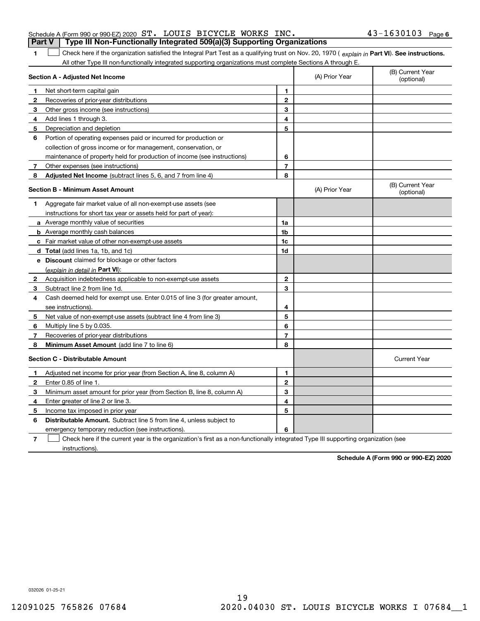| Schedule A (Form 990 or 990-EZ) 2020 $\, {\rm ST}$ . <code>LOUIS BICYCLE WORKS INC</code> . |  |  | $43 - 1630103$ Page 6 |  |
|---------------------------------------------------------------------------------------------|--|--|-----------------------|--|
| Part V   Type III Non-Functionally Integrated 509(a)(3) Supporting Organizations            |  |  |                       |  |

**1**1 Check here if the organization satisfied the Integral Part Test as a qualifying trust on Nov. 20, 1970 (explain in Part VI). See instructions. All other Type III non-functionally integrated supporting organizations must complete Sections A through E.

|              | Section A - Adjusted Net Income                                                                                                   |                | (B) Current Year<br>(A) Prior Year<br>(optional) |                                |  |  |
|--------------|-----------------------------------------------------------------------------------------------------------------------------------|----------------|--------------------------------------------------|--------------------------------|--|--|
| 1            | Net short-term capital gain                                                                                                       | 1              |                                                  |                                |  |  |
| 2            | Recoveries of prior-year distributions                                                                                            | $\mathbf{2}$   |                                                  |                                |  |  |
| 3            | Other gross income (see instructions)                                                                                             | 3              |                                                  |                                |  |  |
| 4            | Add lines 1 through 3.                                                                                                            | 4              |                                                  |                                |  |  |
| 5            | Depreciation and depletion                                                                                                        | 5              |                                                  |                                |  |  |
| 6            | Portion of operating expenses paid or incurred for production or                                                                  |                |                                                  |                                |  |  |
|              | collection of gross income or for management, conservation, or                                                                    |                |                                                  |                                |  |  |
|              | maintenance of property held for production of income (see instructions)                                                          | 6              |                                                  |                                |  |  |
| 7            | Other expenses (see instructions)                                                                                                 | $\overline{7}$ |                                                  |                                |  |  |
| 8            | Adjusted Net Income (subtract lines 5, 6, and 7 from line 4)                                                                      | 8              |                                                  |                                |  |  |
|              | <b>Section B - Minimum Asset Amount</b>                                                                                           |                | (A) Prior Year                                   | (B) Current Year<br>(optional) |  |  |
| 1            | Aggregate fair market value of all non-exempt-use assets (see                                                                     |                |                                                  |                                |  |  |
|              | instructions for short tax year or assets held for part of year):                                                                 |                |                                                  |                                |  |  |
|              | <b>a</b> Average monthly value of securities                                                                                      | 1a             |                                                  |                                |  |  |
|              | <b>b</b> Average monthly cash balances                                                                                            | 1 <sub>b</sub> |                                                  |                                |  |  |
|              | c Fair market value of other non-exempt-use assets                                                                                | 1c             |                                                  |                                |  |  |
|              | d Total (add lines 1a, 1b, and 1c)                                                                                                | 1d             |                                                  |                                |  |  |
|              | e Discount claimed for blockage or other factors                                                                                  |                |                                                  |                                |  |  |
|              | (explain in detail in Part VI):                                                                                                   |                |                                                  |                                |  |  |
| $\mathbf{2}$ | Acquisition indebtedness applicable to non-exempt-use assets                                                                      | $\mathbf{2}$   |                                                  |                                |  |  |
| 3            | Subtract line 2 from line 1d.                                                                                                     | 3              |                                                  |                                |  |  |
| 4            | Cash deemed held for exempt use. Enter 0.015 of line 3 (for greater amount,                                                       |                |                                                  |                                |  |  |
|              | see instructions).                                                                                                                | 4              |                                                  |                                |  |  |
| 5            | Net value of non-exempt-use assets (subtract line 4 from line 3)                                                                  | 5              |                                                  |                                |  |  |
| 6            | Multiply line 5 by 0.035.                                                                                                         | 6              |                                                  |                                |  |  |
| 7            | Recoveries of prior-year distributions                                                                                            | $\overline{7}$ |                                                  |                                |  |  |
| 8            | Minimum Asset Amount (add line 7 to line 6)                                                                                       | 8              |                                                  |                                |  |  |
|              | <b>Section C - Distributable Amount</b>                                                                                           |                |                                                  | <b>Current Year</b>            |  |  |
| 1            | Adjusted net income for prior year (from Section A, line 8, column A)                                                             | 1              |                                                  |                                |  |  |
| 2            | Enter 0.85 of line 1.                                                                                                             | $\mathbf{2}$   |                                                  |                                |  |  |
| 3            | Minimum asset amount for prior year (from Section B, line 8, column A)                                                            | 3              |                                                  |                                |  |  |
| 4            | Enter greater of line 2 or line 3.                                                                                                | 4              |                                                  |                                |  |  |
| 5            | Income tax imposed in prior year                                                                                                  | 5              |                                                  |                                |  |  |
| 6            | <b>Distributable Amount.</b> Subtract line 5 from line 4, unless subject to                                                       |                |                                                  |                                |  |  |
|              | emergency temporary reduction (see instructions).                                                                                 | 6              |                                                  |                                |  |  |
| 7            | Check here if the current year is the organization's first as a non-functionally integrated Type III supporting organization (see |                |                                                  |                                |  |  |

instructions).

**Schedule A (Form 990 or 990-EZ) 2020**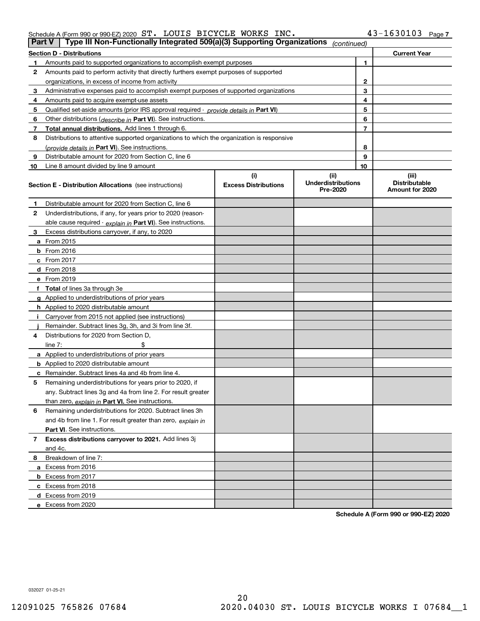#### Schedule A (Form 990 or 990-EZ) 2020 Page ST. LOUIS BICYCLE WORKS INC. 43-1630103

| Part V                                                                                                                                        | Type III Non-Functionally Integrated 509(a)(3) Supporting Organizations                    |      | (continued) |       |                                         |
|-----------------------------------------------------------------------------------------------------------------------------------------------|--------------------------------------------------------------------------------------------|------|-------------|-------|-----------------------------------------|
|                                                                                                                                               | <b>Section D - Distributions</b>                                                           |      |             |       | <b>Current Year</b>                     |
|                                                                                                                                               | Amounts paid to supported organizations to accomplish exempt purposes                      |      |             | 1     |                                         |
| 2                                                                                                                                             | Amounts paid to perform activity that directly furthers exempt purposes of supported       |      |             |       |                                         |
|                                                                                                                                               | organizations, in excess of income from activity                                           |      |             | 2     |                                         |
| 3                                                                                                                                             | Administrative expenses paid to accomplish exempt purposes of supported organizations      |      |             | 3     |                                         |
| 4                                                                                                                                             | Amounts paid to acquire exempt-use assets                                                  |      |             | 4     |                                         |
| 5                                                                                                                                             | Qualified set aside amounts (prior IRS approval required - provide details in Part VI)     |      |             | 5     |                                         |
| 6                                                                                                                                             | Other distributions ( <i>describe in</i> Part VI). See instructions.                       |      |             | 6     |                                         |
| 7                                                                                                                                             | Total annual distributions. Add lines 1 through 6.                                         |      | 7           |       |                                         |
| 8                                                                                                                                             | Distributions to attentive supported organizations to which the organization is responsive |      |             |       |                                         |
|                                                                                                                                               | (provide details in Part VI). See instructions.                                            |      |             | 8     |                                         |
| 9                                                                                                                                             | Distributable amount for 2020 from Section C, line 6                                       |      | 9           |       |                                         |
| 10                                                                                                                                            | Line 8 amount divided by line 9 amount                                                     |      |             | 10    |                                         |
|                                                                                                                                               |                                                                                            | (ii) |             | (iii) |                                         |
| (i)<br><b>Underdistributions</b><br><b>Excess Distributions</b><br><b>Section E - Distribution Allocations</b> (see instructions)<br>Pre-2020 |                                                                                            |      |             |       | <b>Distributable</b><br>Amount for 2020 |
| 1                                                                                                                                             | Distributable amount for 2020 from Section C, line 6                                       |      |             |       |                                         |
| 2                                                                                                                                             | Underdistributions, if any, for years prior to 2020 (reason-                               |      |             |       |                                         |
|                                                                                                                                               | able cause required - explain in Part VI). See instructions.                               |      |             |       |                                         |
| 3                                                                                                                                             | Excess distributions carryover, if any, to 2020                                            |      |             |       |                                         |
|                                                                                                                                               | a From 2015                                                                                |      |             |       |                                         |
|                                                                                                                                               | $b$ From 2016                                                                              |      |             |       |                                         |
|                                                                                                                                               | $c$ From 2017                                                                              |      |             |       |                                         |
|                                                                                                                                               | <b>d</b> From 2018                                                                         |      |             |       |                                         |
|                                                                                                                                               | e From 2019                                                                                |      |             |       |                                         |
|                                                                                                                                               | f Total of lines 3a through 3e                                                             |      |             |       |                                         |
|                                                                                                                                               | g Applied to underdistributions of prior years                                             |      |             |       |                                         |
|                                                                                                                                               | <b>h</b> Applied to 2020 distributable amount                                              |      |             |       |                                         |
|                                                                                                                                               | Carryover from 2015 not applied (see instructions)                                         |      |             |       |                                         |
|                                                                                                                                               | Remainder. Subtract lines 3g, 3h, and 3i from line 3f.                                     |      |             |       |                                         |
| 4                                                                                                                                             | Distributions for 2020 from Section D.                                                     |      |             |       |                                         |
|                                                                                                                                               | line $7:$                                                                                  |      |             |       |                                         |
|                                                                                                                                               | a Applied to underdistributions of prior years                                             |      |             |       |                                         |
|                                                                                                                                               | <b>b</b> Applied to 2020 distributable amount                                              |      |             |       |                                         |
|                                                                                                                                               | <b>c</b> Remainder. Subtract lines 4a and 4b from line 4.                                  |      |             |       |                                         |
| 5                                                                                                                                             | Remaining underdistributions for years prior to 2020, if                                   |      |             |       |                                         |
|                                                                                                                                               | any. Subtract lines 3g and 4a from line 2. For result greater                              |      |             |       |                                         |
|                                                                                                                                               | than zero, explain in Part VI. See instructions.                                           |      |             |       |                                         |
| 6                                                                                                                                             | Remaining underdistributions for 2020. Subtract lines 3h                                   |      |             |       |                                         |
|                                                                                                                                               | and 4b from line 1. For result greater than zero, explain in                               |      |             |       |                                         |
|                                                                                                                                               | <b>Part VI.</b> See instructions.                                                          |      |             |       |                                         |
| 7                                                                                                                                             | Excess distributions carryover to 2021. Add lines 3j                                       |      |             |       |                                         |
|                                                                                                                                               | and 4c.                                                                                    |      |             |       |                                         |
| 8                                                                                                                                             | Breakdown of line 7:                                                                       |      |             |       |                                         |
|                                                                                                                                               | a Excess from 2016                                                                         |      |             |       |                                         |
|                                                                                                                                               |                                                                                            |      |             |       |                                         |
|                                                                                                                                               | <b>b</b> Excess from 2017                                                                  |      |             |       |                                         |
|                                                                                                                                               | c Excess from 2018                                                                         |      |             |       |                                         |
|                                                                                                                                               | d Excess from 2019                                                                         |      |             |       |                                         |
|                                                                                                                                               | e Excess from 2020                                                                         |      |             |       |                                         |

**Schedule A (Form 990 or 990-EZ) 2020**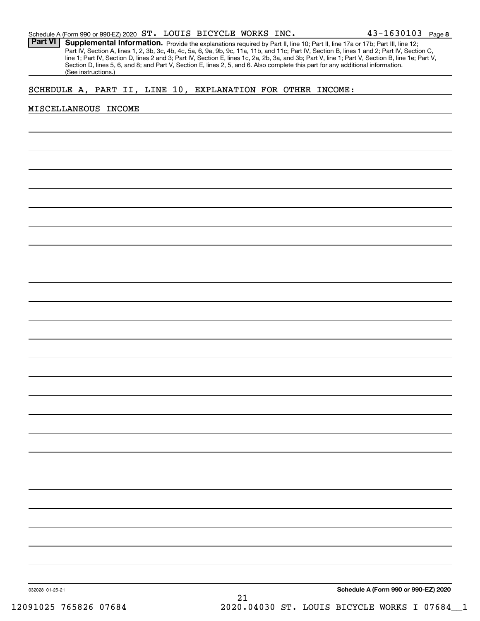Part VI | Supplemental Information. Provide the explanations required by Part II, line 10; Part II, line 17a or 17b; Part III, line 12; Part IV, Section A, lines 1, 2, 3b, 3c, 4b, 4c, 5a, 6, 9a, 9b, 9c, 11a, 11b, and 11c; Part IV, Section B, lines 1 and 2; Part IV, Section C, line 1; Part IV, Section D, lines 2 and 3; Part IV, Section E, lines 1c, 2a, 2b, 3a, and 3b; Part V, line 1; Part V, Section B, line 1e; Part V, Section D, lines 5, 6, and 8; and Part V, Section E, lines 2, 5, and 6. Also complete this part for any additional information. (See instructions.)

# SCHEDULE A, PART II, LINE 10, EXPLANATION FOR OTHER INCOME:

#### MISCELLANEOUS INCOME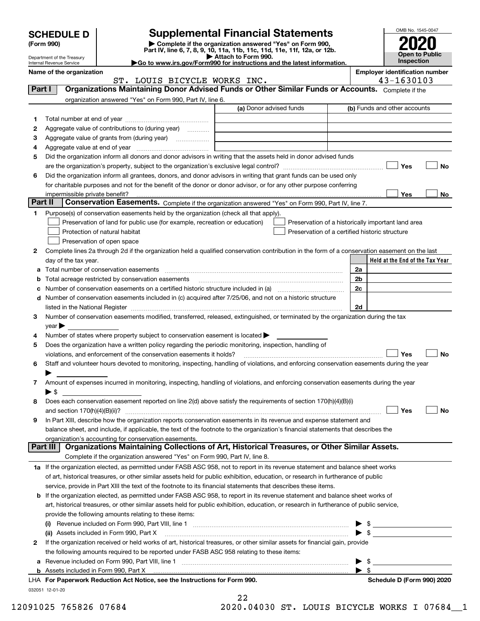|        | <b>SCHEDULE D</b><br>(Form 990)                        |                                                                                                                                                                                       | <b>Supplemental Financial Statements</b><br>Complete if the organization answered "Yes" on Form 990,                                                                                                                          |                                  | OMB No. 1545-0047                     |    |  |
|--------|--------------------------------------------------------|---------------------------------------------------------------------------------------------------------------------------------------------------------------------------------------|-------------------------------------------------------------------------------------------------------------------------------------------------------------------------------------------------------------------------------|----------------------------------|---------------------------------------|----|--|
|        |                                                        |                                                                                                                                                                                       | Part IV, line 6, 7, 8, 9, 10, 11a, 11b, 11c, 11d, 11e, 11f, 12a, or 12b.<br>Attach to Form 990.                                                                                                                               |                                  | <b>Open to Public</b>                 |    |  |
|        | Department of the Treasury<br>Internal Revenue Service |                                                                                                                                                                                       | Go to www.irs.gov/Form990 for instructions and the latest information.                                                                                                                                                        |                                  | Inspection                            |    |  |
|        | Name of the organization                               |                                                                                                                                                                                       |                                                                                                                                                                                                                               |                                  | <b>Employer identification number</b> |    |  |
| Part I |                                                        | ST. LOUIS BICYCLE WORKS INC.                                                                                                                                                          | Organizations Maintaining Donor Advised Funds or Other Similar Funds or Accounts. Complete if the                                                                                                                             |                                  | 43-1630103                            |    |  |
|        |                                                        | organization answered "Yes" on Form 990, Part IV, line 6.                                                                                                                             |                                                                                                                                                                                                                               |                                  |                                       |    |  |
|        |                                                        |                                                                                                                                                                                       | (a) Donor advised funds                                                                                                                                                                                                       |                                  | (b) Funds and other accounts          |    |  |
| 1.     |                                                        |                                                                                                                                                                                       |                                                                                                                                                                                                                               |                                  |                                       |    |  |
| 2      |                                                        | Aggregate value of contributions to (during year)                                                                                                                                     |                                                                                                                                                                                                                               |                                  |                                       |    |  |
| 3      |                                                        | Aggregate value of grants from (during year)                                                                                                                                          |                                                                                                                                                                                                                               |                                  |                                       |    |  |
| 4      |                                                        |                                                                                                                                                                                       |                                                                                                                                                                                                                               |                                  |                                       |    |  |
| 5      |                                                        |                                                                                                                                                                                       | Did the organization inform all donors and donor advisors in writing that the assets held in donor advised funds                                                                                                              |                                  |                                       |    |  |
|        |                                                        |                                                                                                                                                                                       |                                                                                                                                                                                                                               |                                  | Yes                                   | No |  |
| 6      |                                                        |                                                                                                                                                                                       | Did the organization inform all grantees, donors, and donor advisors in writing that grant funds can be used only                                                                                                             |                                  |                                       |    |  |
|        |                                                        |                                                                                                                                                                                       | for charitable purposes and not for the benefit of the donor or donor advisor, or for any other purpose conferring                                                                                                            |                                  |                                       |    |  |
|        | impermissible private benefit?<br>Part II              |                                                                                                                                                                                       |                                                                                                                                                                                                                               |                                  | Yes                                   | No |  |
|        |                                                        |                                                                                                                                                                                       | Conservation Easements. Complete if the organization answered "Yes" on Form 990, Part IV, line 7.                                                                                                                             |                                  |                                       |    |  |
| 1      |                                                        | Purpose(s) of conservation easements held by the organization (check all that apply).<br>Preservation of land for public use (for example, recreation or education)                   | Preservation of a historically important land area                                                                                                                                                                            |                                  |                                       |    |  |
|        |                                                        | Protection of natural habitat                                                                                                                                                         | Preservation of a certified historic structure                                                                                                                                                                                |                                  |                                       |    |  |
|        |                                                        | Preservation of open space                                                                                                                                                            |                                                                                                                                                                                                                               |                                  |                                       |    |  |
| 2      |                                                        |                                                                                                                                                                                       | Complete lines 2a through 2d if the organization held a qualified conservation contribution in the form of a conservation easement on the last                                                                                |                                  |                                       |    |  |
|        | day of the tax year.                                   |                                                                                                                                                                                       |                                                                                                                                                                                                                               |                                  | Held at the End of the Tax Year       |    |  |
| a      |                                                        |                                                                                                                                                                                       |                                                                                                                                                                                                                               | 2a                               |                                       |    |  |
| b      |                                                        | Total acreage restricted by conservation easements                                                                                                                                    |                                                                                                                                                                                                                               | 2 <sub>b</sub>                   |                                       |    |  |
| с      |                                                        |                                                                                                                                                                                       |                                                                                                                                                                                                                               | 2c                               |                                       |    |  |
| d      |                                                        |                                                                                                                                                                                       | Number of conservation easements included in (c) acquired after 7/25/06, and not on a historic structure                                                                                                                      |                                  |                                       |    |  |
|        |                                                        |                                                                                                                                                                                       | listed in the National Register [111] Marshall Register [11] Marshall Register [11] Marshall Register [11] Marshall Register [11] Marshall Register [11] Marshall Register [11] Marshall Register [11] Marshall Register [11] | 2d                               |                                       |    |  |
| 3      |                                                        |                                                                                                                                                                                       | Number of conservation easements modified, transferred, released, extinguished, or terminated by the organization during the tax                                                                                              |                                  |                                       |    |  |
|        | year                                                   |                                                                                                                                                                                       |                                                                                                                                                                                                                               |                                  |                                       |    |  |
| 4<br>5 |                                                        | Number of states where property subject to conservation easement is located<br>Does the organization have a written policy regarding the periodic monitoring, inspection, handling of |                                                                                                                                                                                                                               |                                  |                                       |    |  |
|        |                                                        | violations, and enforcement of the conservation easements it holds?                                                                                                                   |                                                                                                                                                                                                                               |                                  | Yes                                   | No |  |
| 6      |                                                        |                                                                                                                                                                                       | Staff and volunteer hours devoted to monitoring, inspecting, handling of violations, and enforcing conservation easements during the year                                                                                     |                                  |                                       |    |  |
|        |                                                        |                                                                                                                                                                                       |                                                                                                                                                                                                                               |                                  |                                       |    |  |
| 7      |                                                        |                                                                                                                                                                                       | Amount of expenses incurred in monitoring, inspecting, handling of violations, and enforcing conservation easements during the year                                                                                           |                                  |                                       |    |  |
|        | $\blacktriangleright$ \$                               |                                                                                                                                                                                       |                                                                                                                                                                                                                               |                                  |                                       |    |  |
| 8      |                                                        |                                                                                                                                                                                       | Does each conservation easement reported on line 2(d) above satisfy the requirements of section 170(h)(4)(B)(i)                                                                                                               |                                  |                                       |    |  |
|        |                                                        |                                                                                                                                                                                       |                                                                                                                                                                                                                               |                                  | Yes                                   | No |  |
| 9      |                                                        |                                                                                                                                                                                       | In Part XIII, describe how the organization reports conservation easements in its revenue and expense statement and                                                                                                           |                                  |                                       |    |  |
|        |                                                        |                                                                                                                                                                                       | balance sheet, and include, if applicable, the text of the footnote to the organization's financial statements that describes the                                                                                             |                                  |                                       |    |  |
|        | Part III                                               | organization's accounting for conservation easements.                                                                                                                                 | Organizations Maintaining Collections of Art, Historical Treasures, or Other Similar Assets.                                                                                                                                  |                                  |                                       |    |  |
|        |                                                        | Complete if the organization answered "Yes" on Form 990, Part IV, line 8.                                                                                                             |                                                                                                                                                                                                                               |                                  |                                       |    |  |
|        |                                                        |                                                                                                                                                                                       | 1a If the organization elected, as permitted under FASB ASC 958, not to report in its revenue statement and balance sheet works                                                                                               |                                  |                                       |    |  |
|        |                                                        |                                                                                                                                                                                       | of art, historical treasures, or other similar assets held for public exhibition, education, or research in furtherance of public                                                                                             |                                  |                                       |    |  |
|        |                                                        |                                                                                                                                                                                       | service, provide in Part XIII the text of the footnote to its financial statements that describes these items.                                                                                                                |                                  |                                       |    |  |
| b      |                                                        |                                                                                                                                                                                       | If the organization elected, as permitted under FASB ASC 958, to report in its revenue statement and balance sheet works of                                                                                                   |                                  |                                       |    |  |
|        |                                                        |                                                                                                                                                                                       | art, historical treasures, or other similar assets held for public exhibition, education, or research in furtherance of public service,                                                                                       |                                  |                                       |    |  |
|        |                                                        | provide the following amounts relating to these items:                                                                                                                                |                                                                                                                                                                                                                               |                                  |                                       |    |  |
|        | (i)                                                    |                                                                                                                                                                                       |                                                                                                                                                                                                                               | \$                               |                                       |    |  |
|        |                                                        | (ii) Assets included in Form 990, Part X                                                                                                                                              |                                                                                                                                                                                                                               | $\blacktriangleright$ s          |                                       |    |  |
| 2      |                                                        |                                                                                                                                                                                       | If the organization received or held works of art, historical treasures, or other similar assets for financial gain, provide                                                                                                  |                                  |                                       |    |  |
|        |                                                        | the following amounts required to be reported under FASB ASC 958 relating to these items:                                                                                             |                                                                                                                                                                                                                               |                                  |                                       |    |  |
| а      |                                                        |                                                                                                                                                                                       |                                                                                                                                                                                                                               | - \$<br>$\blacktriangleright$ \$ |                                       |    |  |
| b      |                                                        |                                                                                                                                                                                       |                                                                                                                                                                                                                               |                                  |                                       |    |  |

| LHA For Paperwork Reduction Act Notice, see the Instructions for Form 99 |
|--------------------------------------------------------------------------|
| 032051 12-01-20                                                          |

<sup>22</sup>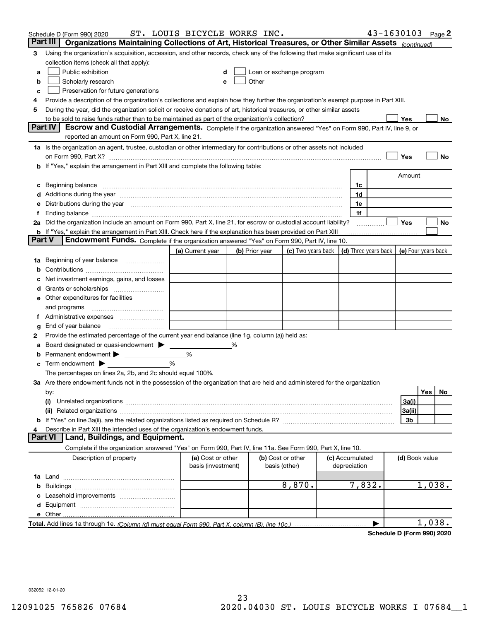|        | Schedule D (Form 990) 2020                                                                                                                                                                                                     | ST. LOUIS BICYCLE WORKS INC.            |   |                |                                                                                                                                                                                                                               |                                 | 43-1630103 |                     |        | Page $2$ |
|--------|--------------------------------------------------------------------------------------------------------------------------------------------------------------------------------------------------------------------------------|-----------------------------------------|---|----------------|-------------------------------------------------------------------------------------------------------------------------------------------------------------------------------------------------------------------------------|---------------------------------|------------|---------------------|--------|----------|
|        | Organizations Maintaining Collections of Art, Historical Treasures, or Other Similar Assets (continued)<br>Part III                                                                                                            |                                         |   |                |                                                                                                                                                                                                                               |                                 |            |                     |        |          |
| 3      | Using the organization's acquisition, accession, and other records, check any of the following that make significant use of its                                                                                                |                                         |   |                |                                                                                                                                                                                                                               |                                 |            |                     |        |          |
|        | collection items (check all that apply):                                                                                                                                                                                       |                                         |   |                |                                                                                                                                                                                                                               |                                 |            |                     |        |          |
| a      | Public exhibition                                                                                                                                                                                                              |                                         |   |                | Loan or exchange program                                                                                                                                                                                                      |                                 |            |                     |        |          |
| b      | Scholarly research                                                                                                                                                                                                             | е                                       |   |                | Other and the contract of the contract of the contract of the contract of the contract of the contract of the contract of the contract of the contract of the contract of the contract of the contract of the contract of the |                                 |            |                     |        |          |
| c      | Preservation for future generations                                                                                                                                                                                            |                                         |   |                |                                                                                                                                                                                                                               |                                 |            |                     |        |          |
| 4      | Provide a description of the organization's collections and explain how they further the organization's exempt purpose in Part XIII.                                                                                           |                                         |   |                |                                                                                                                                                                                                                               |                                 |            |                     |        |          |
| 5      | During the year, did the organization solicit or receive donations of art, historical treasures, or other similar assets                                                                                                       |                                         |   |                |                                                                                                                                                                                                                               |                                 |            |                     |        |          |
|        | to be sold to raise funds rather than to be maintained as part of the organization's collection?                                                                                                                               |                                         |   |                |                                                                                                                                                                                                                               |                                 |            | Yes                 |        | No       |
|        | <b>Part IV</b><br>Escrow and Custodial Arrangements. Complete if the organization answered "Yes" on Form 990, Part IV, line 9, or                                                                                              |                                         |   |                |                                                                                                                                                                                                                               |                                 |            |                     |        |          |
|        | reported an amount on Form 990, Part X, line 21.                                                                                                                                                                               |                                         |   |                |                                                                                                                                                                                                                               |                                 |            |                     |        |          |
|        | 1a Is the organization an agent, trustee, custodian or other intermediary for contributions or other assets not included                                                                                                       |                                         |   |                |                                                                                                                                                                                                                               |                                 |            |                     |        |          |
|        |                                                                                                                                                                                                                                |                                         |   |                |                                                                                                                                                                                                                               |                                 |            | Yes                 |        | No       |
|        | b If "Yes," explain the arrangement in Part XIII and complete the following table:                                                                                                                                             |                                         |   |                |                                                                                                                                                                                                                               |                                 |            |                     |        |          |
|        |                                                                                                                                                                                                                                |                                         |   |                |                                                                                                                                                                                                                               |                                 |            | Amount              |        |          |
|        | Beginning balance                                                                                                                                                                                                              |                                         |   |                |                                                                                                                                                                                                                               | 1c                              |            |                     |        |          |
|        | Additions during the year manufactured and an annual contract of the year manufactured and a set of the year manufactured and a set of the year manufactured and a set of the year manufactured and a set of the year manufact |                                         |   |                |                                                                                                                                                                                                                               | 1d                              |            |                     |        |          |
|        | Distributions during the year manufactured and continuum and contained and the year manufactured and contained                                                                                                                 |                                         |   |                |                                                                                                                                                                                                                               | 1e                              |            |                     |        |          |
|        |                                                                                                                                                                                                                                |                                         |   |                |                                                                                                                                                                                                                               | 1f                              |            | Yes                 |        |          |
|        | 2a Did the organization include an amount on Form 990, Part X, line 21, for escrow or custodial account liability?                                                                                                             |                                         |   |                |                                                                                                                                                                                                                               |                                 |            |                     |        | No       |
| Part V | <b>b</b> If "Yes," explain the arrangement in Part XIII. Check here if the explanation has been provided on Part XIII<br>Endowment Funds. Complete if the organization answered "Yes" on Form 990, Part IV, line 10.           |                                         |   |                |                                                                                                                                                                                                                               |                                 |            |                     |        |          |
|        |                                                                                                                                                                                                                                | (a) Current year                        |   | (b) Prior year | (c) Two years back                                                                                                                                                                                                            | (d) Three years back            |            | (e) Four years back |        |          |
| 1a     | Beginning of year balance                                                                                                                                                                                                      |                                         |   |                |                                                                                                                                                                                                                               |                                 |            |                     |        |          |
|        |                                                                                                                                                                                                                                |                                         |   |                |                                                                                                                                                                                                                               |                                 |            |                     |        |          |
|        | Net investment earnings, gains, and losses                                                                                                                                                                                     |                                         |   |                |                                                                                                                                                                                                                               |                                 |            |                     |        |          |
|        |                                                                                                                                                                                                                                |                                         |   |                |                                                                                                                                                                                                                               |                                 |            |                     |        |          |
| е      | Other expenditures for facilities                                                                                                                                                                                              |                                         |   |                |                                                                                                                                                                                                                               |                                 |            |                     |        |          |
|        | and programs                                                                                                                                                                                                                   |                                         |   |                |                                                                                                                                                                                                                               |                                 |            |                     |        |          |
|        |                                                                                                                                                                                                                                |                                         |   |                |                                                                                                                                                                                                                               |                                 |            |                     |        |          |
| g      | End of year balance                                                                                                                                                                                                            |                                         |   |                |                                                                                                                                                                                                                               |                                 |            |                     |        |          |
| 2      | Provide the estimated percentage of the current year end balance (line 1g, column (a)) held as:                                                                                                                                |                                         |   |                |                                                                                                                                                                                                                               |                                 |            |                     |        |          |
|        | Board designated or quasi-endowment                                                                                                                                                                                            |                                         | % |                |                                                                                                                                                                                                                               |                                 |            |                     |        |          |
|        | Permanent endowment                                                                                                                                                                                                            | %                                       |   |                |                                                                                                                                                                                                                               |                                 |            |                     |        |          |
| с      | Term endowment $\blacktriangleright$                                                                                                                                                                                           | %                                       |   |                |                                                                                                                                                                                                                               |                                 |            |                     |        |          |
|        | The percentages on lines 2a, 2b, and 2c should equal 100%.                                                                                                                                                                     |                                         |   |                |                                                                                                                                                                                                                               |                                 |            |                     |        |          |
|        | 3a Are there endowment funds not in the possession of the organization that are held and administered for the organization                                                                                                     |                                         |   |                |                                                                                                                                                                                                                               |                                 |            |                     |        |          |
|        | by:                                                                                                                                                                                                                            |                                         |   |                |                                                                                                                                                                                                                               |                                 |            |                     | Yes    | No       |
|        | (i)                                                                                                                                                                                                                            |                                         |   |                |                                                                                                                                                                                                                               |                                 |            | 3a(i)               |        |          |
|        |                                                                                                                                                                                                                                |                                         |   |                |                                                                                                                                                                                                                               |                                 |            | 3a(ii)              |        |          |
|        |                                                                                                                                                                                                                                |                                         |   |                |                                                                                                                                                                                                                               |                                 |            | 3b                  |        |          |
|        | Describe in Part XIII the intended uses of the organization's endowment funds.                                                                                                                                                 |                                         |   |                |                                                                                                                                                                                                                               |                                 |            |                     |        |          |
|        | Land, Buildings, and Equipment.<br>Part VI                                                                                                                                                                                     |                                         |   |                |                                                                                                                                                                                                                               |                                 |            |                     |        |          |
|        | Complete if the organization answered "Yes" on Form 990, Part IV, line 11a. See Form 990, Part X, line 10.                                                                                                                     |                                         |   |                |                                                                                                                                                                                                                               |                                 |            |                     |        |          |
|        | Description of property                                                                                                                                                                                                        | (a) Cost or other<br>basis (investment) |   |                | (b) Cost or other<br>basis (other)                                                                                                                                                                                            | (c) Accumulated<br>depreciation |            | (d) Book value      |        |          |
|        |                                                                                                                                                                                                                                |                                         |   |                |                                                                                                                                                                                                                               |                                 |            |                     |        |          |
| b      |                                                                                                                                                                                                                                |                                         |   |                | 8,870.                                                                                                                                                                                                                        | 7,832.                          |            |                     | 1,038. |          |
|        |                                                                                                                                                                                                                                |                                         |   |                |                                                                                                                                                                                                                               |                                 |            |                     |        |          |
| d      |                                                                                                                                                                                                                                |                                         |   |                |                                                                                                                                                                                                                               |                                 |            |                     |        |          |
|        | e Other                                                                                                                                                                                                                        |                                         |   |                |                                                                                                                                                                                                                               |                                 |            |                     |        |          |
|        |                                                                                                                                                                                                                                |                                         |   |                |                                                                                                                                                                                                                               |                                 |            |                     | 1,038. |          |

**Schedule D (Form 990) 2020**

032052 12-01-20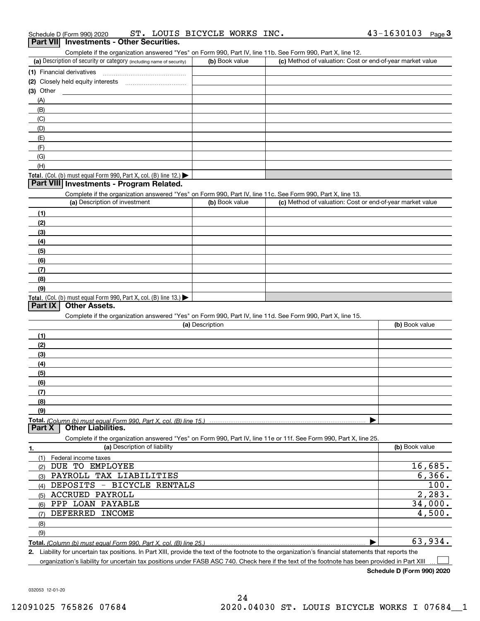| Schedule D (Form 990) 2020                      |  | ST. LOUIS BICYCLE WORKS INC. |  | $43 - 1630103$ Page |  |
|-------------------------------------------------|--|------------------------------|--|---------------------|--|
| <b>Part VII</b> Investments - Other Securities. |  |                              |  |                     |  |

| Complete if the organization answered "Yes" on Form 990, Part IV, line 11b. See Form 990, Part X, line 12. |                |                                                           |
|------------------------------------------------------------------------------------------------------------|----------------|-----------------------------------------------------------|
| (a) Description of security or category (including name of security)                                       | (b) Book value | (c) Method of valuation: Cost or end-of-year market value |
| (1) Financial derivatives                                                                                  |                |                                                           |
| (2) Closely held equity interests                                                                          |                |                                                           |
| (3) Other                                                                                                  |                |                                                           |
|                                                                                                            |                |                                                           |

| (H)                                                                                                    |  |
|--------------------------------------------------------------------------------------------------------|--|
| <b>Total.</b> (Col. (b) must equal Form 990, Part X, col. (B) line 12.) $\blacktriangleright$ $\vdash$ |  |

# **Part VIII Investments - Program Related.**

Complete if the organization answered "Yes" on Form 990, Part IV, line 11c. See Form 990, Part X, line 13.

| (a) Description of investment                                    | (b) Book value | (c) Method of valuation: Cost or end-of-year market value |
|------------------------------------------------------------------|----------------|-----------------------------------------------------------|
| (1)                                                              |                |                                                           |
| (2)                                                              |                |                                                           |
| $\frac{1}{2}$                                                    |                |                                                           |
| (4)                                                              |                |                                                           |
| $\left(5\right)$                                                 |                |                                                           |
| (6)                                                              |                |                                                           |
| (7)                                                              |                |                                                           |
| (8)                                                              |                |                                                           |
| (9)                                                              |                |                                                           |
| Total. (Col. (b) must equal Form 990, Part X, col. (B) line 13.) |                |                                                           |

### **Part IX Other Assets.**

(A)(B)(C) (D)(E)(F)(G)

Complete if the organization answered "Yes" on Form 990, Part IV, line 11d. See Form 990, Part X, line 15.

| (a) Description                                                                                                   | (b) Book value |
|-------------------------------------------------------------------------------------------------------------------|----------------|
| (1)                                                                                                               |                |
| (2)                                                                                                               |                |
| (3)                                                                                                               |                |
| (4)                                                                                                               |                |
| (5)                                                                                                               |                |
| (6)                                                                                                               |                |
| (7)                                                                                                               |                |
| (8)                                                                                                               |                |
| (9)                                                                                                               |                |
|                                                                                                                   |                |
| <b>Part X   Other Liabilities.</b>                                                                                |                |
| Complete if the organization answered "Yes" on Form 990, Part IV, line 11e or 11f. See Form 990, Part X, line 25. |                |

| 1.  | (a) Description of liability | (b) Book value |
|-----|------------------------------|----------------|
|     | Federal income taxes         |                |
| (2) | EMPLOYEE<br>DUE TO           | 16,685.        |
| (3) | PAYROLL TAX LIABILITIES      | 6, 366.        |
| (4) | DEPOSITS - BICYCLE RENTALS   | 100.           |
| (5) | ACCRUED PAYROLL              | 2, 283.        |
| (6) | PPP LOAN PAYABLE             | 34,000.        |
| (7) | DEFERRED INCOME              | 4,500.         |
| (8) |                              |                |
| (9) |                              |                |
|     |                              | 63,934.        |

**2.** Liability for uncertain tax positions. In Part XIII, provide the text of the footnote to the organization's financial statements that reports the

organization's liability for uncertain tax positions under FASB ASC 740. Check here if the text of the footnote has been provided in Part XIII

**Schedule D (Form 990) 2020**

 $\mathcal{L}^{\text{max}}$ 

032053 12-01-20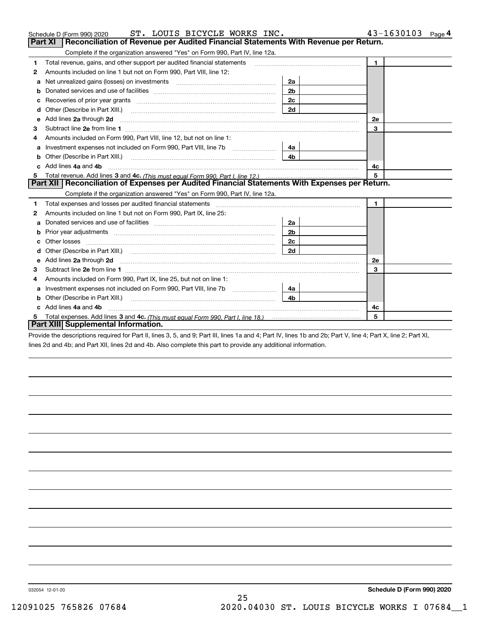|    | ST. LOUIS BICYCLE WORKS INC.<br>Schedule D (Form 990) 2020                                                                                                                                                                     |                | 43-1630103<br>Page 4 |
|----|--------------------------------------------------------------------------------------------------------------------------------------------------------------------------------------------------------------------------------|----------------|----------------------|
|    | Reconciliation of Revenue per Audited Financial Statements With Revenue per Return.<br>Part XI                                                                                                                                 |                |                      |
|    | Complete if the organization answered "Yes" on Form 990, Part IV, line 12a.                                                                                                                                                    |                |                      |
| 1  | Total revenue, gains, and other support per audited financial statements                                                                                                                                                       |                | $\mathbf{1}$         |
| 2  | Amounts included on line 1 but not on Form 990, Part VIII, line 12:                                                                                                                                                            |                |                      |
| а  | Net unrealized gains (losses) on investments [11] matter contracts and the unrealized gains (losses) on investments                                                                                                            | 2a             |                      |
|    |                                                                                                                                                                                                                                | 2 <sub>b</sub> |                      |
|    |                                                                                                                                                                                                                                | 2 <sub>c</sub> |                      |
| d  | Other (Describe in Part XIII.) <b>Construction Contract Construction</b> (Describe in Part XIII.)                                                                                                                              | 2d             |                      |
| е  | Add lines 2a through 2d                                                                                                                                                                                                        |                | 2е                   |
| З  |                                                                                                                                                                                                                                |                | 3                    |
| 4  | Amounts included on Form 990, Part VIII, line 12, but not on line 1:                                                                                                                                                           |                |                      |
| а  |                                                                                                                                                                                                                                | 4а             |                      |
|    |                                                                                                                                                                                                                                | 4b             |                      |
| C. | Add lines 4a and 4b                                                                                                                                                                                                            |                | 4с                   |
|    |                                                                                                                                                                                                                                |                | 5                    |
|    |                                                                                                                                                                                                                                |                |                      |
|    | Part XII   Reconciliation of Expenses per Audited Financial Statements With Expenses per Return.                                                                                                                               |                |                      |
|    | Complete if the organization answered "Yes" on Form 990, Part IV, line 12a.                                                                                                                                                    |                |                      |
| 1  | Total expenses and losses per audited financial statements [111] [12] contraction controller and contract the statements [13] [13] and contract the statements [13] and contract the statement of the statement of the stateme |                | $\mathbf{1}$         |
| 2  | Amounts included on line 1 but not on Form 990, Part IX, line 25:                                                                                                                                                              |                |                      |
| a  |                                                                                                                                                                                                                                | 2a             |                      |
| b  |                                                                                                                                                                                                                                | 2b             |                      |
|    |                                                                                                                                                                                                                                | 2с             |                      |
| d  |                                                                                                                                                                                                                                | 2d             |                      |
| е  | Add lines 2a through 2d <b>must be a constructed as the constant of the constant of the constant of the construction</b>                                                                                                       |                | 2e                   |
| 3  |                                                                                                                                                                                                                                |                | 3                    |
| 4  | Amounts included on Form 990, Part IX, line 25, but not on line 1:                                                                                                                                                             |                |                      |
| а  |                                                                                                                                                                                                                                | 4a             |                      |
| b  |                                                                                                                                                                                                                                | 4b             |                      |
|    | Add lines 4a and 4b                                                                                                                                                                                                            |                | 4с                   |
|    | Part XIII Supplemental Information.                                                                                                                                                                                            |                | 5                    |

Provide the descriptions required for Part II, lines 3, 5, and 9; Part III, lines 1a and 4; Part IV, lines 1b and 2b; Part V, line 4; Part X, line 2; Part XI, lines 2d and 4b; and Part XII, lines 2d and 4b. Also complete this part to provide any additional information.

032054 12-01-20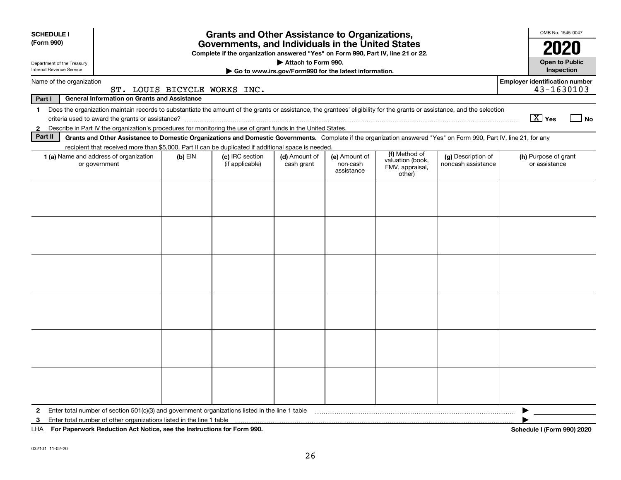| <b>SCHEDULE I</b>                                      |                                                                                                                                                                                                                                                                           |           | <b>Grants and Other Assistance to Organizations,</b> |                             |                                         |                                                                |                                          | OMB No. 1545-0047                     |  |
|--------------------------------------------------------|---------------------------------------------------------------------------------------------------------------------------------------------------------------------------------------------------------------------------------------------------------------------------|-----------|------------------------------------------------------|-----------------------------|-----------------------------------------|----------------------------------------------------------------|------------------------------------------|---------------------------------------|--|
| (Form 990)                                             | Governments, and Individuals in the United States<br>Complete if the organization answered "Yes" on Form 990, Part IV, line 21 or 22.                                                                                                                                     |           |                                                      |                             |                                         |                                                                |                                          |                                       |  |
| Department of the Treasury<br>Internal Revenue Service | Attach to Form 990.<br>Go to www.irs.gov/Form990 for the latest information.                                                                                                                                                                                              |           |                                                      |                             |                                         |                                                                |                                          | <b>Open to Public</b><br>Inspection   |  |
| Name of the organization                               | <b>Employer identification number</b><br>43-1630103<br>ST. LOUIS BICYCLE WORKS INC.                                                                                                                                                                                       |           |                                                      |                             |                                         |                                                                |                                          |                                       |  |
| Part I                                                 | <b>General Information on Grants and Assistance</b>                                                                                                                                                                                                                       |           |                                                      |                             |                                         |                                                                |                                          |                                       |  |
| 1.                                                     | Does the organization maintain records to substantiate the amount of the grants or assistance, the grantees' eligibility for the grants or assistance, and the selection                                                                                                  |           |                                                      |                             |                                         |                                                                |                                          | $\boxed{\text{X}}$ Yes<br>  No        |  |
| $\mathbf{2}$<br>Part II                                | Describe in Part IV the organization's procedures for monitoring the use of grant funds in the United States.                                                                                                                                                             |           |                                                      |                             |                                         |                                                                |                                          |                                       |  |
|                                                        | Grants and Other Assistance to Domestic Organizations and Domestic Governments. Complete if the organization answered "Yes" on Form 990, Part IV, line 21, for any<br>recipient that received more than \$5,000. Part II can be duplicated if additional space is needed. |           |                                                      |                             |                                         |                                                                |                                          |                                       |  |
|                                                        | 1 (a) Name and address of organization<br>or government                                                                                                                                                                                                                   | $(b)$ EIN | (c) IRC section<br>(if applicable)                   | (d) Amount of<br>cash grant | (e) Amount of<br>non-cash<br>assistance | (f) Method of<br>valuation (book,<br>FMV, appraisal,<br>other) | (g) Description of<br>noncash assistance | (h) Purpose of grant<br>or assistance |  |
|                                                        |                                                                                                                                                                                                                                                                           |           |                                                      |                             |                                         |                                                                |                                          |                                       |  |
|                                                        |                                                                                                                                                                                                                                                                           |           |                                                      |                             |                                         |                                                                |                                          |                                       |  |
|                                                        |                                                                                                                                                                                                                                                                           |           |                                                      |                             |                                         |                                                                |                                          |                                       |  |
|                                                        |                                                                                                                                                                                                                                                                           |           |                                                      |                             |                                         |                                                                |                                          |                                       |  |
|                                                        |                                                                                                                                                                                                                                                                           |           |                                                      |                             |                                         |                                                                |                                          |                                       |  |
|                                                        |                                                                                                                                                                                                                                                                           |           |                                                      |                             |                                         |                                                                |                                          |                                       |  |
| 2                                                      | Enter total number of section 501(c)(3) and government organizations listed in the line 1 table                                                                                                                                                                           |           |                                                      |                             |                                         |                                                                |                                          |                                       |  |
| 3                                                      | Enter total number of other organizations listed in the line 1 table                                                                                                                                                                                                      |           |                                                      |                             |                                         |                                                                |                                          |                                       |  |
| LHA.                                                   | For Paperwork Reduction Act Notice, see the Instructions for Form 990.                                                                                                                                                                                                    |           |                                                      |                             |                                         |                                                                |                                          | Schedule I (Form 990) 2020            |  |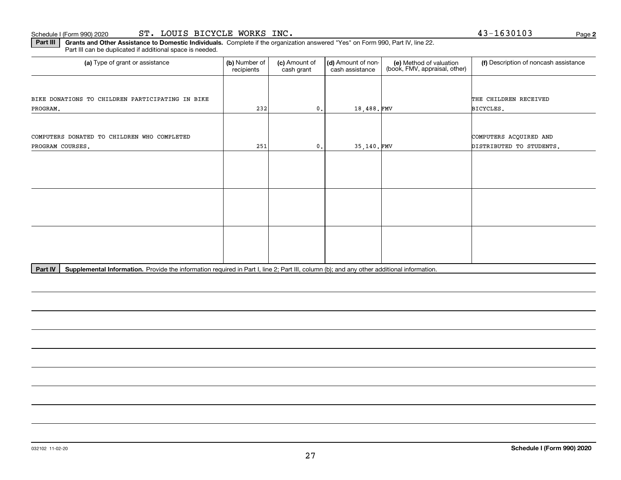# Schedule I (Form 990) 2020 **ST. LOUIS BICYCLE WORKS INC.** Page

**Part III** | Grants and Other Assistance to Domestic Individuals. Complete if the organization answered "Yes" on Form 990, Part IV, line 22. Part III can be duplicated if additional space is needed.

| (a) Type of grant or assistance                  | (b) Number of<br>recipients | (c) Amount of<br>cash grant | (d) Amount of non-<br>cash assistance | (e) Method of valuation<br>(book, FMV, appraisal, other) | (f) Description of noncash assistance |
|--------------------------------------------------|-----------------------------|-----------------------------|---------------------------------------|----------------------------------------------------------|---------------------------------------|
|                                                  |                             |                             |                                       |                                                          |                                       |
| BIKE DONATIONS TO CHILDREN PARTICIPATING IN BIKE |                             |                             |                                       |                                                          | THE CHILDREN RECEIVED                 |
| PROGRAM.                                         | 232                         | $\mathbf{0}$ .              | 18,488.FMV                            |                                                          | BICYCLES.                             |
|                                                  |                             |                             |                                       |                                                          |                                       |
| COMPUTERS DONATED TO CHILDREN WHO COMPLETED      |                             |                             |                                       |                                                          | COMPUTERS ACQUIRED AND                |
| PROGRAM COURSES.                                 | 251                         | $\mathbf{0}$ .              | 35,140.FMV                            |                                                          | DISTRIBUTED TO STUDENTS.              |
|                                                  |                             |                             |                                       |                                                          |                                       |
|                                                  |                             |                             |                                       |                                                          |                                       |
|                                                  |                             |                             |                                       |                                                          |                                       |
|                                                  |                             |                             |                                       |                                                          |                                       |
|                                                  |                             |                             |                                       |                                                          |                                       |
|                                                  |                             |                             |                                       |                                                          |                                       |
|                                                  |                             |                             |                                       |                                                          |                                       |
|                                                  |                             |                             |                                       |                                                          |                                       |
|                                                  |                             |                             |                                       |                                                          |                                       |

Part IV | Supplemental Information. Provide the information required in Part I, line 2; Part III, column (b); and any other additional information.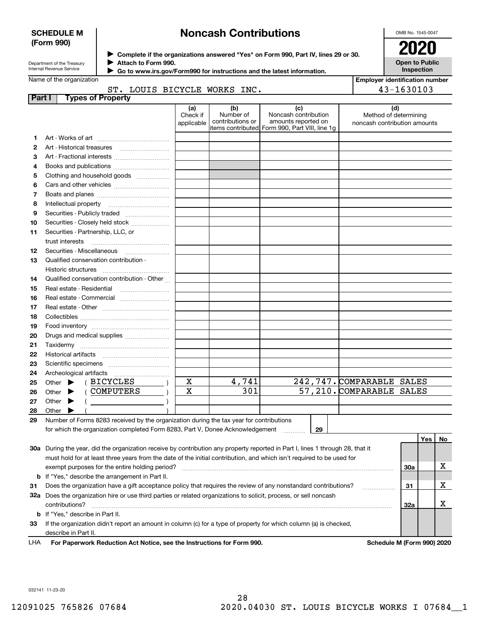### **SCHEDULE M (Form 990)**

# **Noncash Contributions**

OMB No. 1545-0047

**Open to Public Inspection**

| Department of the Treasury      |  |
|---------------------------------|--|
| <b>Internal Revenue Service</b> |  |

**Complete if the organizations answered "Yes" on Form 990, Part IV, lines 29 or 30.** <sup>J</sup>**2020 Attach to Form 990.** J

 **Go to www.irs.gov/Form990 for instructions and the latest information.** J

# Name of the organization

| <b>Employer identification number</b> |
|---------------------------------------|
| $43 - 1630103$                        |

# ST. LOUIS BICYCLE WORKS INC.

| <b>Part I</b> | <b>Types of Property</b>                                                                                                       |                               |                                      |                                                                                                      |                                                              |     |     |    |
|---------------|--------------------------------------------------------------------------------------------------------------------------------|-------------------------------|--------------------------------------|------------------------------------------------------------------------------------------------------|--------------------------------------------------------------|-----|-----|----|
|               |                                                                                                                                | (a)<br>Check if<br>applicable | (b)<br>Number of<br>contributions or | (c)<br>Noncash contribution<br>amounts reported on<br>items contributed Form 990, Part VIII, line 1g | (d)<br>Method of determining<br>noncash contribution amounts |     |     |    |
| 1             |                                                                                                                                |                               |                                      |                                                                                                      |                                                              |     |     |    |
| 2             |                                                                                                                                |                               |                                      |                                                                                                      |                                                              |     |     |    |
| з             | Art - Fractional interests                                                                                                     |                               |                                      |                                                                                                      |                                                              |     |     |    |
| 4             | Books and publications                                                                                                         |                               |                                      |                                                                                                      |                                                              |     |     |    |
| 5             | Clothing and household goods                                                                                                   |                               |                                      |                                                                                                      |                                                              |     |     |    |
| 6             |                                                                                                                                |                               |                                      |                                                                                                      |                                                              |     |     |    |
| 7             |                                                                                                                                |                               |                                      |                                                                                                      |                                                              |     |     |    |
| 8             | Intellectual property                                                                                                          |                               |                                      |                                                                                                      |                                                              |     |     |    |
| 9             | Securities - Publicly traded                                                                                                   |                               |                                      |                                                                                                      |                                                              |     |     |    |
| 10            | Securities - Closely held stock                                                                                                |                               |                                      |                                                                                                      |                                                              |     |     |    |
| 11            | Securities - Partnership, LLC, or                                                                                              |                               |                                      |                                                                                                      |                                                              |     |     |    |
|               | trust interests                                                                                                                |                               |                                      |                                                                                                      |                                                              |     |     |    |
| 12            |                                                                                                                                |                               |                                      |                                                                                                      |                                                              |     |     |    |
| 13            | Qualified conservation contribution -                                                                                          |                               |                                      |                                                                                                      |                                                              |     |     |    |
|               | Historic structures                                                                                                            |                               |                                      |                                                                                                      |                                                              |     |     |    |
| 14            | Qualified conservation contribution - Other                                                                                    |                               |                                      |                                                                                                      |                                                              |     |     |    |
| 15            | Real estate - Residential                                                                                                      |                               |                                      |                                                                                                      |                                                              |     |     |    |
| 16            | Real estate - Commercial                                                                                                       |                               |                                      |                                                                                                      |                                                              |     |     |    |
| 17            |                                                                                                                                |                               |                                      |                                                                                                      |                                                              |     |     |    |
| 18            |                                                                                                                                |                               |                                      |                                                                                                      |                                                              |     |     |    |
| 19            |                                                                                                                                |                               |                                      |                                                                                                      |                                                              |     |     |    |
| 20            | Drugs and medical supplies                                                                                                     |                               |                                      |                                                                                                      |                                                              |     |     |    |
| 21            |                                                                                                                                |                               |                                      |                                                                                                      |                                                              |     |     |    |
| 22            |                                                                                                                                |                               |                                      |                                                                                                      |                                                              |     |     |    |
| 23            |                                                                                                                                |                               |                                      |                                                                                                      |                                                              |     |     |    |
| 24            |                                                                                                                                |                               |                                      |                                                                                                      |                                                              |     |     |    |
| 25            | (BICYCLES<br>Other $\blacktriangleright$                                                                                       | X                             | 4,741                                |                                                                                                      | 242, 747. COMPARABLE SALES                                   |     |     |    |
| 26            | ( COMPUTERS<br>Other $\blacktriangleright$                                                                                     | X                             | $\overline{301}$                     |                                                                                                      | 57, 210. COMPARABLE SALES                                    |     |     |    |
| 27            | Other $\blacktriangleright$                                                                                                    |                               |                                      |                                                                                                      |                                                              |     |     |    |
| 28            | Other $\blacktriangleright$                                                                                                    |                               |                                      |                                                                                                      |                                                              |     |     |    |
| 29            | Number of Forms 8283 received by the organization during the tax year for contributions                                        |                               |                                      |                                                                                                      |                                                              |     |     |    |
|               | for which the organization completed Form 8283, Part V, Donee Acknowledgement                                                  |                               |                                      | 29                                                                                                   |                                                              |     |     |    |
|               |                                                                                                                                |                               |                                      |                                                                                                      |                                                              |     | Yes | No |
|               | 30a During the year, did the organization receive by contribution any property reported in Part I, lines 1 through 28, that it |                               |                                      |                                                                                                      |                                                              |     |     |    |
|               | must hold for at least three years from the date of the initial contribution, and which isn't required to be used for          |                               |                                      |                                                                                                      |                                                              |     |     |    |
|               | exempt purposes for the entire holding period?                                                                                 |                               |                                      |                                                                                                      |                                                              | 30a |     | х  |
|               | <b>b</b> If "Yes," describe the arrangement in Part II.                                                                        |                               |                                      |                                                                                                      |                                                              |     |     |    |
| 31            | Does the organization have a gift acceptance policy that requires the review of any nonstandard contributions?                 |                               |                                      |                                                                                                      |                                                              | 31  |     | х  |
|               | 32a Does the organization hire or use third parties or related organizations to solicit, process, or sell noncash              |                               |                                      |                                                                                                      |                                                              |     |     |    |
|               | contributions?                                                                                                                 |                               |                                      |                                                                                                      |                                                              | 32a |     | х  |
|               | <b>b</b> If "Yes," describe in Part II.                                                                                        |                               |                                      |                                                                                                      |                                                              |     |     |    |
| 33            | If the organization didn't report an amount in column (c) for a type of property for which column (a) is checked,              |                               |                                      |                                                                                                      |                                                              |     |     |    |
|               | describe in Part II.                                                                                                           |                               |                                      |                                                                                                      |                                                              |     |     |    |

**For Paperwork Reduction Act Notice, see the Instructions for Form 990. Schedule M (Form 990) 2020** LHA

032141 11-23-20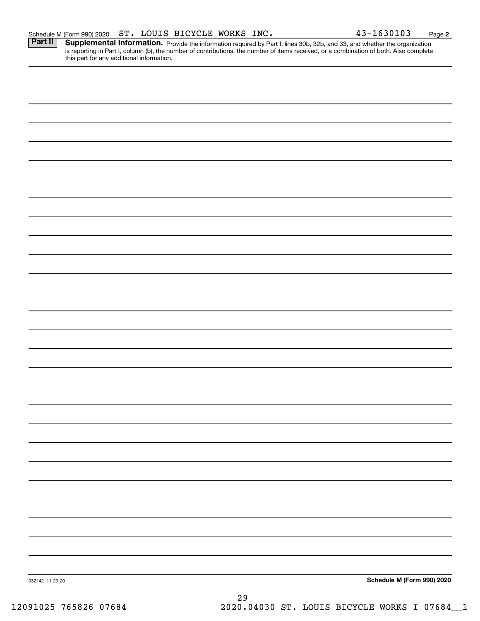Part II | Supplemental Information. Provide the information required by Part I, lines 30b, 32b, and 33, and whether the organization is reporting in Part I, column (b), the number of contributions, the number of items received, or a combination of both. Also complete this part for any additional information.

032142 11-23-20 **Schedule M (Form 990) 2020** 29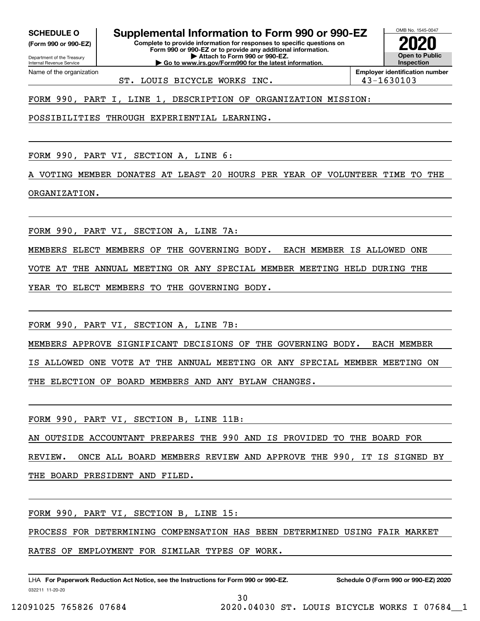**(Form 990 or 990-EZ)**

Department of the Treasury Internal Revenue Service Name of the organization

**SCHEDULE O Supplemental Information to Form 990 or 990-EZ**

**Complete to provide information for responses to specific questions on Form 990 or 990-EZ or to provide any additional information. | Attach to Form 990 or 990-EZ. | Go to www.irs.gov/Form990 for the latest information.**

**Open to Public InspectionEmployer identification number 2020**

OMB No. 1545-0047

ST. LOUIS BICYCLE WORKS INC. 43-1630103

FORM 990, PART I, LINE 1, DESCRIPTION OF ORGANIZATION MISSION:

POSSIBILITIES THROUGH EXPERIENTIAL LEARNING.

FORM 990, PART VI, SECTION A, LINE 6:

A VOTING MEMBER DONATES AT LEAST 20 HOURS PER YEAR OF VOLUNTEER TIME TO THE ORGANIZATION.

FORM 990, PART VI, SECTION A, LINE 7A:

MEMBERS ELECT MEMBERS OF THE GOVERNING BODY. EACH MEMBER IS ALLOWED ONE

VOTE AT THE ANNUAL MEETING OR ANY SPECIAL MEMBER MEETING HELD DURING THE

YEAR TO ELECT MEMBERS TO THE GOVERNING BODY.

FORM 990, PART VI, SECTION A, LINE 7B:

MEMBERS APPROVE SIGNIFICANT DECISIONS OF THE GOVERNING BODY. EACH MEMBER

IS ALLOWED ONE VOTE AT THE ANNUAL MEETING OR ANY SPECIAL MEMBER MEETING ON

THE ELECTION OF BOARD MEMBERS AND ANY BYLAW CHANGES.

FORM 990, PART VI, SECTION B, LINE 11B:

AN OUTSIDE ACCOUNTANT PREPARES THE 990 AND IS PROVIDED TO THE BOARD FOR

REVIEW. ONCE ALL BOARD MEMBERS REVIEW AND APPROVE THE 990, IT IS SIGNED BY THE BOARD PRESIDENT AND FILED.

FORM 990, PART VI, SECTION B, LINE 15:

PROCESS FOR DETERMINING COMPENSATION HAS BEEN DETERMINED USING FAIR MARKET

RATES OF EMPLOYMENT FOR SIMILAR TYPES OF WORK.

032211 11-20-20 LHA For Paperwork Reduction Act Notice, see the Instructions for Form 990 or 990-EZ. Schedule O (Form 990 or 990-EZ) 2020